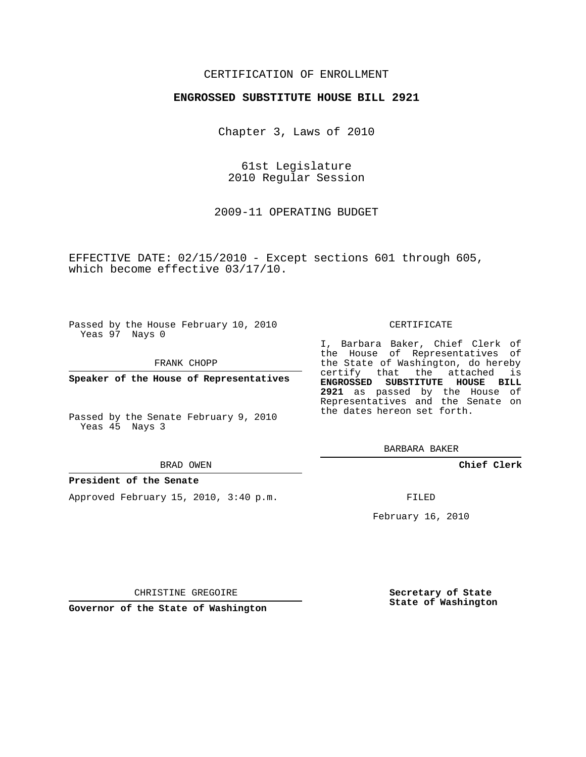#### CERTIFICATION OF ENROLLMENT

#### **ENGROSSED SUBSTITUTE HOUSE BILL 2921**

Chapter 3, Laws of 2010

61st Legislature 2010 Regular Session

2009-11 OPERATING BUDGET

EFFECTIVE DATE: 02/15/2010 - Except sections 601 through 605, which become effective 03/17/10.

Passed by the House February 10, 2010 Yeas 97 Nays 0

FRANK CHOPP

**Speaker of the House of Representatives**

Passed by the Senate February 9, 2010 Yeas 45 Nays 3

#### BRAD OWEN

#### **President of the Senate**

Approved February 15, 2010, 3:40 p.m.

CERTIFICATE

I, Barbara Baker, Chief Clerk of the House of Representatives of the State of Washington, do hereby certify that the attached is **ENGROSSED SUBSTITUTE HOUSE BILL 2921** as passed by the House of Representatives and the Senate on the dates hereon set forth.

BARBARA BAKER

**Chief Clerk**

FILED

February 16, 2010

CHRISTINE GREGOIRE

**Governor of the State of Washington**

**Secretary of State State of Washington**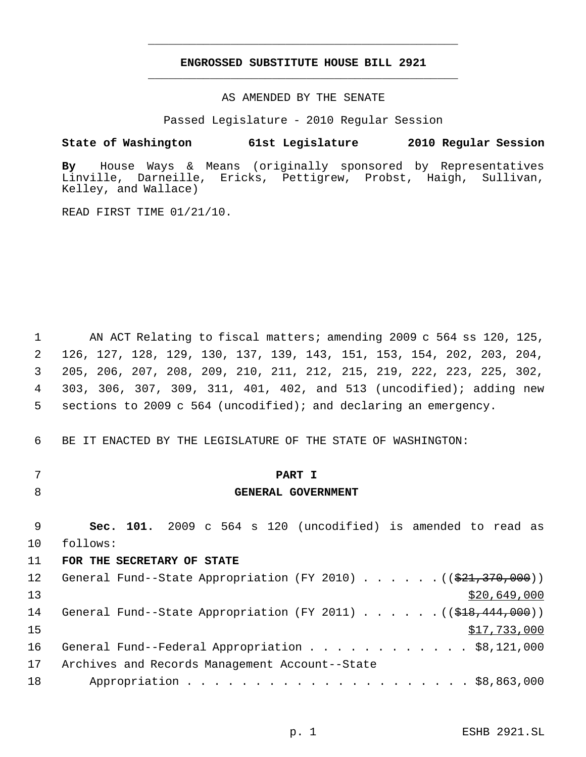### **ENGROSSED SUBSTITUTE HOUSE BILL 2921** \_\_\_\_\_\_\_\_\_\_\_\_\_\_\_\_\_\_\_\_\_\_\_\_\_\_\_\_\_\_\_\_\_\_\_\_\_\_\_\_\_\_\_\_\_

\_\_\_\_\_\_\_\_\_\_\_\_\_\_\_\_\_\_\_\_\_\_\_\_\_\_\_\_\_\_\_\_\_\_\_\_\_\_\_\_\_\_\_\_\_

AS AMENDED BY THE SENATE

Passed Legislature - 2010 Regular Session

**State of Washington 61st Legislature 2010 Regular Session**

**By** House Ways & Means (originally sponsored by Representatives Linville, Darneille, Ericks, Pettigrew, Probst, Haigh, Sullivan, Kelley, and Wallace)

READ FIRST TIME 01/21/10.

 AN ACT Relating to fiscal matters; amending 2009 c 564 ss 120, 125, 126, 127, 128, 129, 130, 137, 139, 143, 151, 153, 154, 202, 203, 204, 205, 206, 207, 208, 209, 210, 211, 212, 215, 219, 222, 223, 225, 302, 303, 306, 307, 309, 311, 401, 402, and 513 (uncodified); adding new sections to 2009 c 564 (uncodified); and declaring an emergency.

BE IT ENACTED BY THE LEGISLATURE OF THE STATE OF WASHINGTON:

- 
- 

## **PART I**

### **GENERAL GOVERNMENT**

 **Sec. 101.** 2009 c 564 s 120 (uncodified) is amended to read as follows:

#### **FOR THE SECRETARY OF STATE**

| 12 <sup>°</sup> | General Fund--State Appropriation (FY 2010) $($ $($ $\frac{21}{7}$ , $\frac{370}{700})$ ) |
|-----------------|-------------------------------------------------------------------------------------------|
| 13              | \$20,649,000                                                                              |
| 14              | General Fund--State Appropriation (FY 2011) ( $(\frac{248}{18}, \frac{444}{1000})$        |
| 15              | \$17,733,000                                                                              |
| 16              | General Fund--Federal Appropriation \$8,121,000                                           |
| 17              | Archives and Records Management Account--State                                            |
| 18              |                                                                                           |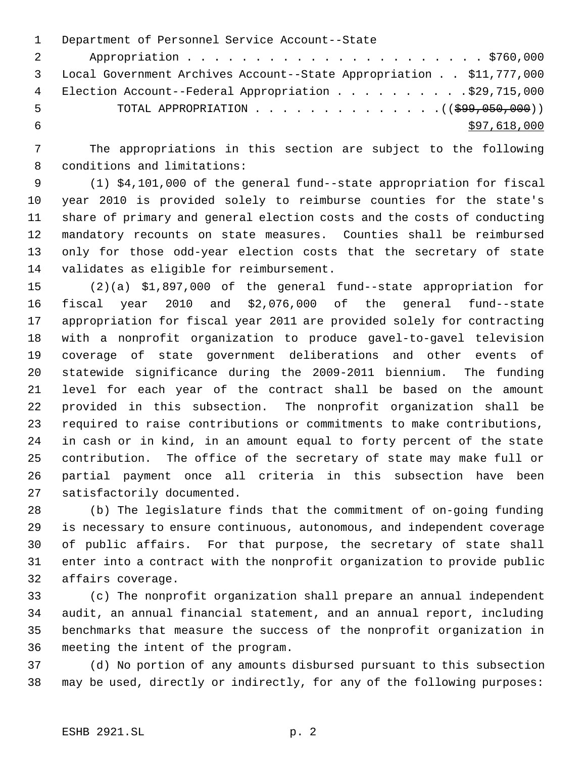Department of Personnel Service Account--State Appropriation . . . . . . . . . . . . . . . . . . . . . . \$760,000 Local Government Archives Account--State Appropriation . . \$11,777,000 4 Election Account--Federal Appropriation . . . . . . . . . . \$29,715,000 5 TOTAL APPROPRIATION . . . . . . . . . . . . . . ((\$99,050,000))  $\frac{1}{597,618,000}$ 

 The appropriations in this section are subject to the following conditions and limitations:

 (1) \$4,101,000 of the general fund--state appropriation for fiscal year 2010 is provided solely to reimburse counties for the state's share of primary and general election costs and the costs of conducting mandatory recounts on state measures. Counties shall be reimbursed only for those odd-year election costs that the secretary of state validates as eligible for reimbursement.

 (2)(a) \$1,897,000 of the general fund--state appropriation for fiscal year 2010 and \$2,076,000 of the general fund--state appropriation for fiscal year 2011 are provided solely for contracting with a nonprofit organization to produce gavel-to-gavel television coverage of state government deliberations and other events of statewide significance during the 2009-2011 biennium. The funding level for each year of the contract shall be based on the amount provided in this subsection. The nonprofit organization shall be required to raise contributions or commitments to make contributions, in cash or in kind, in an amount equal to forty percent of the state contribution. The office of the secretary of state may make full or partial payment once all criteria in this subsection have been satisfactorily documented.

 (b) The legislature finds that the commitment of on-going funding is necessary to ensure continuous, autonomous, and independent coverage of public affairs. For that purpose, the secretary of state shall enter into a contract with the nonprofit organization to provide public affairs coverage.

 (c) The nonprofit organization shall prepare an annual independent audit, an annual financial statement, and an annual report, including benchmarks that measure the success of the nonprofit organization in meeting the intent of the program.

 (d) No portion of any amounts disbursed pursuant to this subsection may be used, directly or indirectly, for any of the following purposes: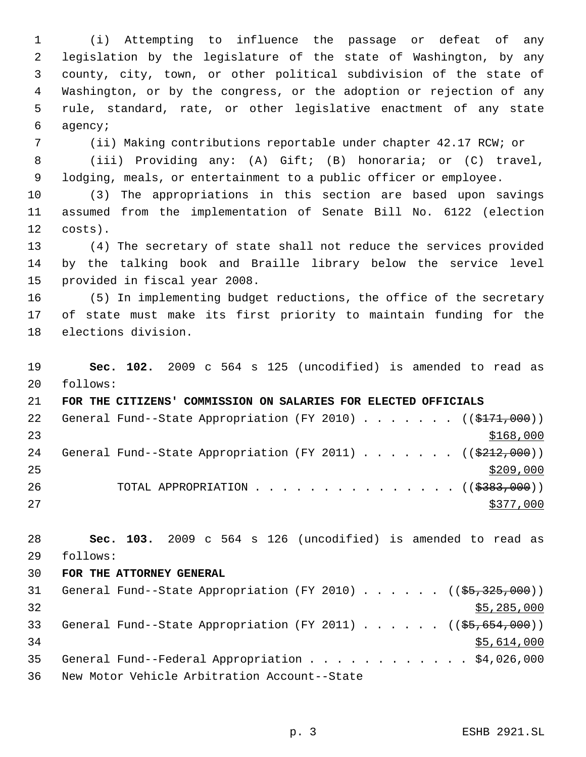(i) Attempting to influence the passage or defeat of any legislation by the legislature of the state of Washington, by any county, city, town, or other political subdivision of the state of Washington, or by the congress, or the adoption or rejection of any rule, standard, rate, or other legislative enactment of any state agency;

(ii) Making contributions reportable under chapter 42.17 RCW; or

 (iii) Providing any: (A) Gift; (B) honoraria; or (C) travel, lodging, meals, or entertainment to a public officer or employee.

 (3) The appropriations in this section are based upon savings assumed from the implementation of Senate Bill No. 6122 (election costs).

 (4) The secretary of state shall not reduce the services provided by the talking book and Braille library below the service level provided in fiscal year 2008.

 (5) In implementing budget reductions, the office of the secretary of state must make its first priority to maintain funding for the elections division.

 **Sec. 102.** 2009 c 564 s 125 (uncodified) is amended to read as follows:

 **FOR THE CITIZENS' COMMISSION ON SALARIES FOR ELECTED OFFICIALS** 22 General Fund--State Appropriation (FY 2010) . . . . . . ((\$171,000)) 24 General Fund--State Appropriation (FY 2011) . . . . . . ((\$212,000)) 26 TOTAL APPROPRIATION . . . . . . . . . . . . . . ((\$383,000)) 

 **Sec. 103.** 2009 c 564 s 126 (uncodified) is amended to read as follows:

#### **FOR THE ATTORNEY GENERAL**

| 31 |  | General Fund--State Appropriation (FY 2010) ( $(\frac{25}{325}, \frac{325}{900})$  |  |  |  |  |  |             |
|----|--|------------------------------------------------------------------------------------|--|--|--|--|--|-------------|
| 32 |  |                                                                                    |  |  |  |  |  | \$5,285,000 |
| 33 |  | General Fund--State Appropriation (FY 2011) ( $(\frac{25}{65}, \frac{654}{600})$ ) |  |  |  |  |  |             |
| 34 |  |                                                                                    |  |  |  |  |  | \$5,614,000 |
| 35 |  | General Fund--Federal Appropriation \$4,026,000                                    |  |  |  |  |  |             |
| 36 |  | New Motor Vehicle Arbitration Account--State                                       |  |  |  |  |  |             |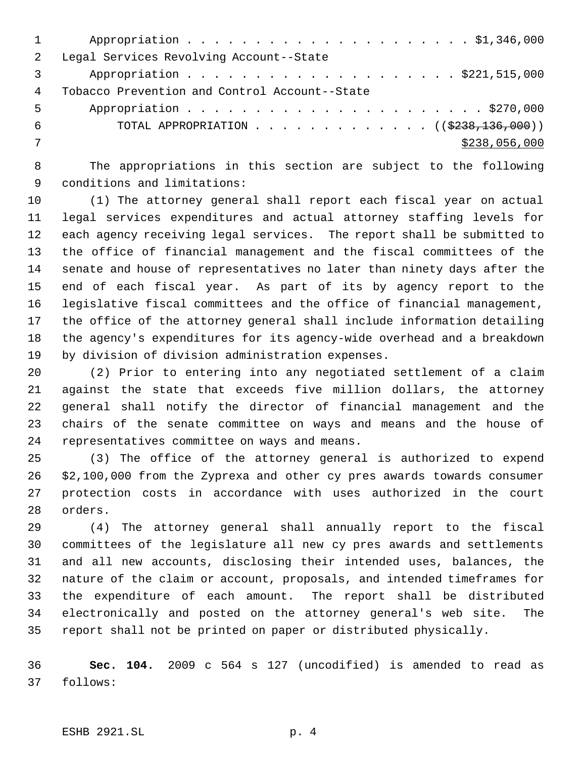| $\overline{2}$ | Legal Services Revolving Account--State           |
|----------------|---------------------------------------------------|
|                | Appropriation \$221,515,000                       |
| 4              | Tobacco Prevention and Control Account--State     |
| .5             |                                                   |
| 6              | TOTAL APPROPRIATION ( $(\frac{2238}{136}, 000)$ ) |
|                | \$238,056,000                                     |
|                |                                                   |

 The appropriations in this section are subject to the following conditions and limitations:

 (1) The attorney general shall report each fiscal year on actual legal services expenditures and actual attorney staffing levels for each agency receiving legal services. The report shall be submitted to the office of financial management and the fiscal committees of the senate and house of representatives no later than ninety days after the end of each fiscal year. As part of its by agency report to the legislative fiscal committees and the office of financial management, the office of the attorney general shall include information detailing the agency's expenditures for its agency-wide overhead and a breakdown by division of division administration expenses.

 (2) Prior to entering into any negotiated settlement of a claim against the state that exceeds five million dollars, the attorney general shall notify the director of financial management and the chairs of the senate committee on ways and means and the house of representatives committee on ways and means.

 (3) The office of the attorney general is authorized to expend \$2,100,000 from the Zyprexa and other cy pres awards towards consumer protection costs in accordance with uses authorized in the court orders.

 (4) The attorney general shall annually report to the fiscal committees of the legislature all new cy pres awards and settlements and all new accounts, disclosing their intended uses, balances, the nature of the claim or account, proposals, and intended timeframes for the expenditure of each amount. The report shall be distributed electronically and posted on the attorney general's web site. The report shall not be printed on paper or distributed physically.

 **Sec. 104.** 2009 c 564 s 127 (uncodified) is amended to read as follows: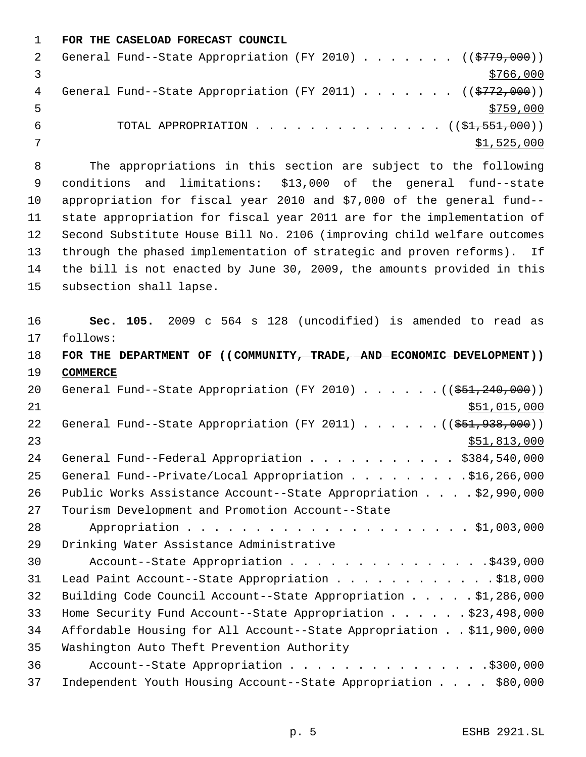**FOR THE CASELOAD FORECAST COUNCIL**

|   | General Fund--State Appropriation (FY 2010) ( $(\frac{2779}{000})$ ) |  |  |  |  |             |
|---|----------------------------------------------------------------------|--|--|--|--|-------------|
|   |                                                                      |  |  |  |  | \$766,000   |
| 4 | General Fund--State Appropriation (FY 2011) ( $(\frac{2772}{000})$   |  |  |  |  |             |
|   |                                                                      |  |  |  |  | \$759,000   |
|   | TOTAL APPROPRIATION $($ $(\frac{1}{21}, \frac{551}{100})$            |  |  |  |  |             |
|   |                                                                      |  |  |  |  | \$1,525,000 |

 The appropriations in this section are subject to the following conditions and limitations: \$13,000 of the general fund--state appropriation for fiscal year 2010 and \$7,000 of the general fund-- state appropriation for fiscal year 2011 are for the implementation of Second Substitute House Bill No. 2106 (improving child welfare outcomes through the phased implementation of strategic and proven reforms). If the bill is not enacted by June 30, 2009, the amounts provided in this subsection shall lapse.

 **Sec. 105.** 2009 c 564 s 128 (uncodified) is amended to read as follows: **FOR THE DEPARTMENT OF ((COMMUNITY, TRADE, AND ECONOMIC DEVELOPMENT)) COMMERCE** 20 General Fund--State Appropriation (FY 2010) . . . . . . ((\$51,240,000))  $$51,015,000$ 22 General Fund--State Appropriation (FY 2011) . . . . . . ((\$51,938,000))  $\frac{$51,813,000}{51}$ 24 General Fund--Federal Appropriation . . . . . . . . . . \$384,540,000 25 General Fund--Private/Local Appropriation . . . . . . . . . \$16,266,000 Public Works Assistance Account--State Appropriation . . . . \$2,990,000 Tourism Development and Promotion Account--State Appropriation . . . . . . . . . . . . . . . . . . . . . \$1,003,000 Drinking Water Assistance Administrative 30 Account--State Appropriation . . . . . . . . . . . . . . . \$439,000 31 Lead Paint Account--State Appropriation . . . . . . . . . . . . \$18,000 Building Code Council Account--State Appropriation . . . . . \$1,286,000 Home Security Fund Account--State Appropriation . . . . . . \$23,498,000 Affordable Housing for All Account--State Appropriation . . \$11,900,000 Washington Auto Theft Prevention Authority 36 Account--State Appropriation . . . . . . . . . . . . . . . \$300,000 Independent Youth Housing Account--State Appropriation . . . . \$80,000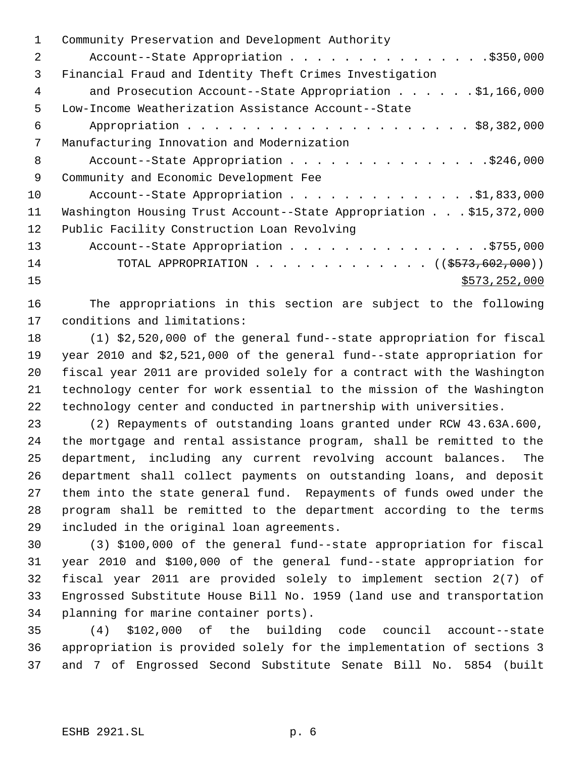| 1. | Community Preservation and Development Authority                   |
|----|--------------------------------------------------------------------|
| 2  | Account--State Appropriation \$350,000                             |
| 3  | Financial Fraud and Identity Theft Crimes Investigation            |
| 4  |                                                                    |
| 5  | Low-Income Weatherization Assistance Account--State                |
| 6  |                                                                    |
| 7  | Manufacturing Innovation and Modernization                         |
| 8  | Account--State Appropriation \$246,000                             |
| 9  | Community and Economic Development Fee                             |
| 10 | Account--State Appropriation \$1,833,000                           |
| 11 | Washington Housing Trust Account--State Appropriation \$15,372,000 |
| 12 | Public Facility Construction Loan Revolving                        |
| 13 | Account--State Appropriation \$755,000                             |
| 14 | TOTAL APPROPRIATION ( $(\frac{2573}{602},000)$ )                   |
| 15 | \$573,252,000                                                      |
|    |                                                                    |

 The appropriations in this section are subject to the following conditions and limitations:

 (1) \$2,520,000 of the general fund--state appropriation for fiscal year 2010 and \$2,521,000 of the general fund--state appropriation for fiscal year 2011 are provided solely for a contract with the Washington technology center for work essential to the mission of the Washington technology center and conducted in partnership with universities.

 (2) Repayments of outstanding loans granted under RCW 43.63A.600, the mortgage and rental assistance program, shall be remitted to the department, including any current revolving account balances. The department shall collect payments on outstanding loans, and deposit them into the state general fund. Repayments of funds owed under the program shall be remitted to the department according to the terms included in the original loan agreements.

 (3) \$100,000 of the general fund--state appropriation for fiscal year 2010 and \$100,000 of the general fund--state appropriation for fiscal year 2011 are provided solely to implement section 2(7) of Engrossed Substitute House Bill No. 1959 (land use and transportation planning for marine container ports).

 (4) \$102,000 of the building code council account--state appropriation is provided solely for the implementation of sections 3 and 7 of Engrossed Second Substitute Senate Bill No. 5854 (built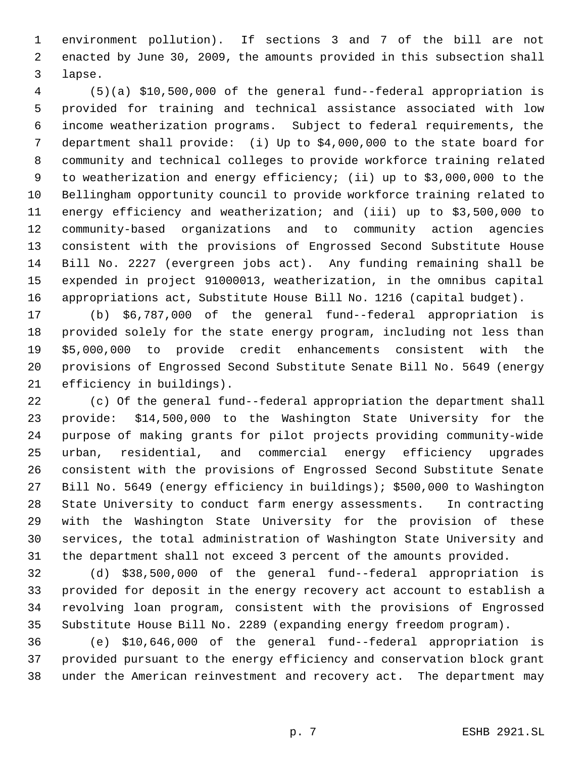environment pollution). If sections 3 and 7 of the bill are not enacted by June 30, 2009, the amounts provided in this subsection shall lapse.

 (5)(a) \$10,500,000 of the general fund--federal appropriation is provided for training and technical assistance associated with low income weatherization programs. Subject to federal requirements, the department shall provide: (i) Up to \$4,000,000 to the state board for community and technical colleges to provide workforce training related to weatherization and energy efficiency; (ii) up to \$3,000,000 to the Bellingham opportunity council to provide workforce training related to energy efficiency and weatherization; and (iii) up to \$3,500,000 to community-based organizations and to community action agencies consistent with the provisions of Engrossed Second Substitute House Bill No. 2227 (evergreen jobs act). Any funding remaining shall be expended in project 91000013, weatherization, in the omnibus capital appropriations act, Substitute House Bill No. 1216 (capital budget).

 (b) \$6,787,000 of the general fund--federal appropriation is provided solely for the state energy program, including not less than \$5,000,000 to provide credit enhancements consistent with the provisions of Engrossed Second Substitute Senate Bill No. 5649 (energy efficiency in buildings).

 (c) Of the general fund--federal appropriation the department shall provide: \$14,500,000 to the Washington State University for the purpose of making grants for pilot projects providing community-wide urban, residential, and commercial energy efficiency upgrades consistent with the provisions of Engrossed Second Substitute Senate Bill No. 5649 (energy efficiency in buildings); \$500,000 to Washington State University to conduct farm energy assessments. In contracting with the Washington State University for the provision of these services, the total administration of Washington State University and the department shall not exceed 3 percent of the amounts provided.

 (d) \$38,500,000 of the general fund--federal appropriation is provided for deposit in the energy recovery act account to establish a revolving loan program, consistent with the provisions of Engrossed Substitute House Bill No. 2289 (expanding energy freedom program).

 (e) \$10,646,000 of the general fund--federal appropriation is provided pursuant to the energy efficiency and conservation block grant under the American reinvestment and recovery act. The department may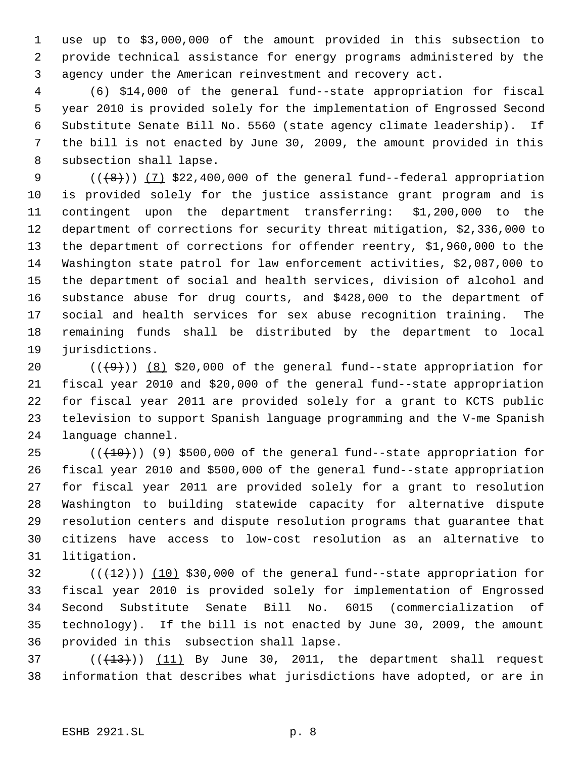use up to \$3,000,000 of the amount provided in this subsection to provide technical assistance for energy programs administered by the agency under the American reinvestment and recovery act.

 (6) \$14,000 of the general fund--state appropriation for fiscal year 2010 is provided solely for the implementation of Engrossed Second Substitute Senate Bill No. 5560 (state agency climate leadership). If the bill is not enacted by June 30, 2009, the amount provided in this subsection shall lapse.

 $((+8))$   $(7)$  \$22,400,000 of the general fund--federal appropriation is provided solely for the justice assistance grant program and is contingent upon the department transferring: \$1,200,000 to the department of corrections for security threat mitigation, \$2,336,000 to the department of corrections for offender reentry, \$1,960,000 to the Washington state patrol for law enforcement activities, \$2,087,000 to the department of social and health services, division of alcohol and substance abuse for drug courts, and \$428,000 to the department of social and health services for sex abuse recognition training. The remaining funds shall be distributed by the department to local jurisdictions.

 $((+9))$   $(8)$  \$20,000 of the general fund--state appropriation for fiscal year 2010 and \$20,000 of the general fund--state appropriation for fiscal year 2011 are provided solely for a grant to KCTS public television to support Spanish language programming and the V-me Spanish language channel.

 ( $(\overline{+10})$ )  $(9)$  \$500,000 of the general fund--state appropriation for fiscal year 2010 and \$500,000 of the general fund--state appropriation for fiscal year 2011 are provided solely for a grant to resolution Washington to building statewide capacity for alternative dispute resolution centers and dispute resolution programs that guarantee that citizens have access to low-cost resolution as an alternative to litigation.

 (( $(12)$ )) (10) \$30,000 of the general fund--state appropriation for fiscal year 2010 is provided solely for implementation of Engrossed Second Substitute Senate Bill No. 6015 (commercialization of technology). If the bill is not enacted by June 30, 2009, the amount provided in this subsection shall lapse.

37  $((+13))$   $(11)$  By June 30, 2011, the department shall request information that describes what jurisdictions have adopted, or are in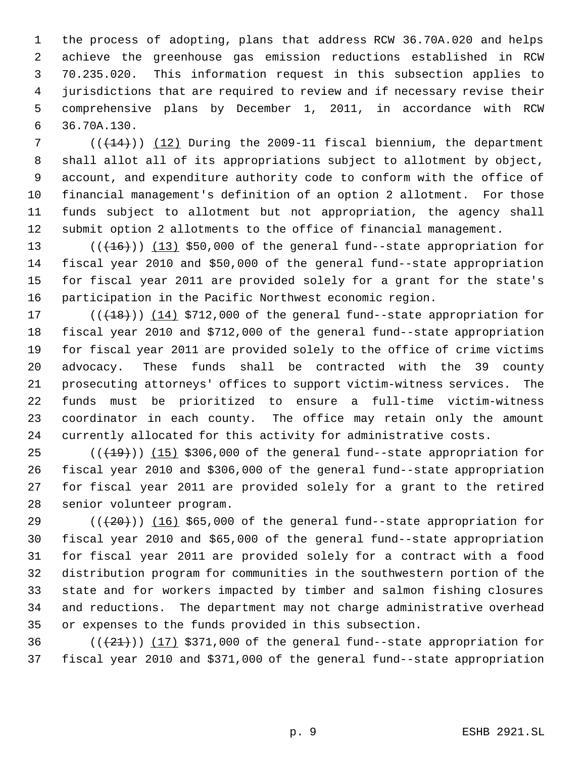the process of adopting, plans that address RCW 36.70A.020 and helps achieve the greenhouse gas emission reductions established in RCW 70.235.020. This information request in this subsection applies to jurisdictions that are required to review and if necessary revise their comprehensive plans by December 1, 2011, in accordance with RCW 36.70A.130.

 $((+14))$   $(12)$  During the 2009-11 fiscal biennium, the department shall allot all of its appropriations subject to allotment by object, account, and expenditure authority code to conform with the office of financial management's definition of an option 2 allotment. For those funds subject to allotment but not appropriation, the agency shall submit option 2 allotments to the office of financial management.

13 (( $(16)$ )) (13) \$50,000 of the general fund--state appropriation for fiscal year 2010 and \$50,000 of the general fund--state appropriation for fiscal year 2011 are provided solely for a grant for the state's participation in the Pacific Northwest economic region.

17 (( $(18)$ )) (14) \$712,000 of the general fund--state appropriation for fiscal year 2010 and \$712,000 of the general fund--state appropriation for fiscal year 2011 are provided solely to the office of crime victims advocacy. These funds shall be contracted with the 39 county prosecuting attorneys' offices to support victim-witness services. The funds must be prioritized to ensure a full-time victim-witness coordinator in each county. The office may retain only the amount currently allocated for this activity for administrative costs.

 ( $(\overline{+19})$ )  $(15)$  \$306,000 of the general fund--state appropriation for fiscal year 2010 and \$306,000 of the general fund--state appropriation for fiscal year 2011 are provided solely for a grant to the retired senior volunteer program.

 $((+20))$  (16) \$65,000 of the general fund--state appropriation for fiscal year 2010 and \$65,000 of the general fund--state appropriation for fiscal year 2011 are provided solely for a contract with a food distribution program for communities in the southwestern portion of the state and for workers impacted by timber and salmon fishing closures and reductions. The department may not charge administrative overhead or expenses to the funds provided in this subsection.

36  $((21))$  (17) \$371,000 of the general fund--state appropriation for fiscal year 2010 and \$371,000 of the general fund--state appropriation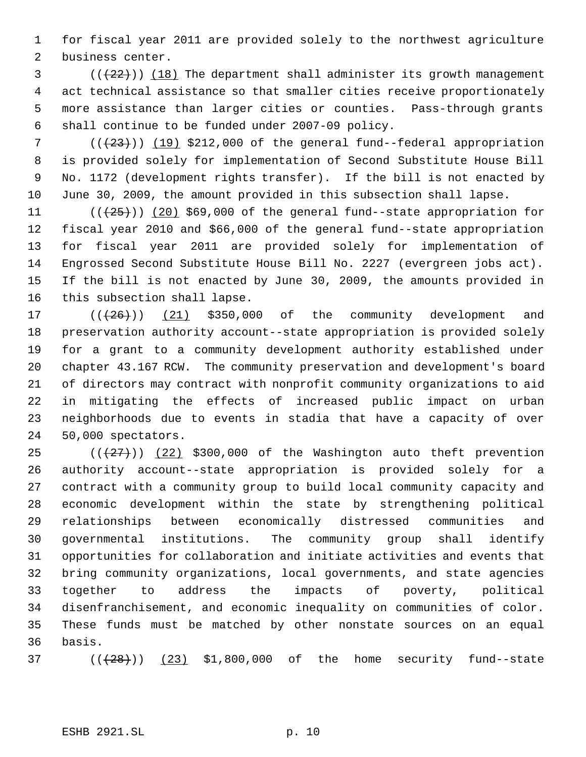for fiscal year 2011 are provided solely to the northwest agriculture business center.

 (( $(22)$ )) (18) The department shall administer its growth management act technical assistance so that smaller cities receive proportionately more assistance than larger cities or counties. Pass-through grants shall continue to be funded under 2007-09 policy.

 $((+23))$   $(19)$  \$212,000 of the general fund--federal appropriation is provided solely for implementation of Second Substitute House Bill No. 1172 (development rights transfer). If the bill is not enacted by June 30, 2009, the amount provided in this subsection shall lapse.

 $((+25))$   $(20)$  \$69,000 of the general fund--state appropriation for fiscal year 2010 and \$66,000 of the general fund--state appropriation for fiscal year 2011 are provided solely for implementation of Engrossed Second Substitute House Bill No. 2227 (evergreen jobs act). If the bill is not enacted by June 30, 2009, the amounts provided in this subsection shall lapse.

 $((+26))$   $(21)$  \$350,000 of the community development and preservation authority account--state appropriation is provided solely for a grant to a community development authority established under chapter 43.167 RCW. The community preservation and development's board of directors may contract with nonprofit community organizations to aid in mitigating the effects of increased public impact on urban neighborhoods due to events in stadia that have a capacity of over 50,000 spectators.

 $((+27))$   $(22)$  \$300,000 of the Washington auto theft prevention authority account--state appropriation is provided solely for a contract with a community group to build local community capacity and economic development within the state by strengthening political relationships between economically distressed communities and governmental institutions. The community group shall identify opportunities for collaboration and initiate activities and events that bring community organizations, local governments, and state agencies together to address the impacts of poverty, political disenfranchisement, and economic inequality on communities of color. These funds must be matched by other nonstate sources on an equal basis.

37  $((+28))$   $(23)$  \$1,800,000 of the home security fund--state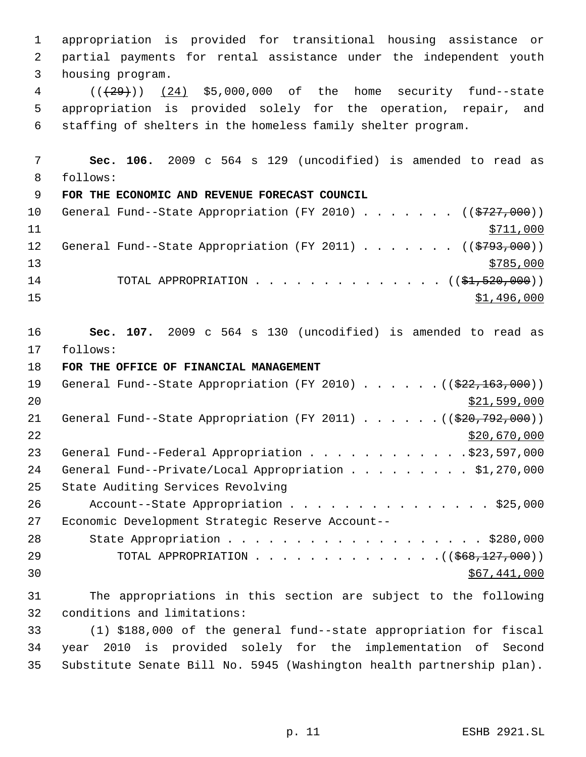appropriation is provided for transitional housing assistance or partial payments for rental assistance under the independent youth housing program. 4 (( $(29)$ )) (24) \$5,000,000 of the home security fund--state appropriation is provided solely for the operation, repair, and staffing of shelters in the homeless family shelter program. **Sec. 106.** 2009 c 564 s 129 (uncodified) is amended to read as follows: **FOR THE ECONOMIC AND REVENUE FORECAST COUNCIL** 10 General Fund--State Appropriation (FY 2010) . . . . . . ((\$727,000))  $\frac{$711,000}{}$ 12 General Fund--State Appropriation (FY 2011) . . . . . . ((\$793,000))  $\frac{13}{2785,000}$ 14 TOTAL APPROPRIATION . . . . . . . . . . . . . (  $(\frac{21}{21}, \frac{520}{100})$  )  $\frac{$1,496,000}{1}$  **Sec. 107.** 2009 c 564 s 130 (uncodified) is amended to read as follows: **FOR THE OFFICE OF FINANCIAL MANAGEMENT** 19 General Fund--State Appropriation (FY 2010) . . . . . . ((\$22,163,000)) \$21,599,000 21 General Fund--State Appropriation (FY 2011) . . . . . . ((\$20,792,000)) \$20,670,000 23 General Fund--Federal Appropriation . . . . . . . . . . . . \$23,597,000 24 General Fund--Private/Local Appropriation . . . . . . . . \$1,270,000 State Auditing Services Revolving 26 Account--State Appropriation . . . . . . . . . . . . . . \$25,000 Economic Development Strategic Reserve Account-- 28 State Appropriation . . . . . . . . . . . . . . . . . . \$280,000 29 TOTAL APPROPRIATION . . . . . . . . . . . . . . ((\$68,127,000))  $30 \,$  \$67,441,000 The appropriations in this section are subject to the following conditions and limitations: (1) \$188,000 of the general fund--state appropriation for fiscal year 2010 is provided solely for the implementation of Second Substitute Senate Bill No. 5945 (Washington health partnership plan).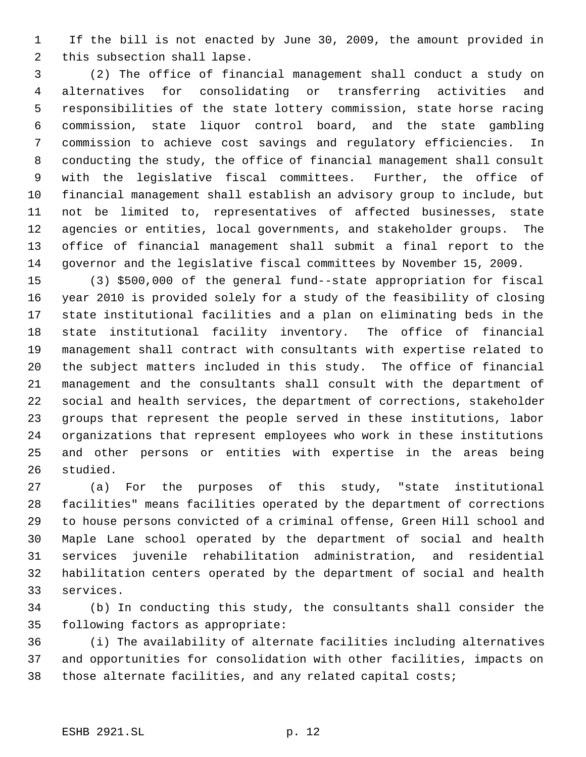1 If the bill is not enacted by June 30, 2009, the amount provided in this subsection shall lapse.

 (2) The office of financial management shall conduct a study on alternatives for consolidating or transferring activities and responsibilities of the state lottery commission, state horse racing commission, state liquor control board, and the state gambling commission to achieve cost savings and regulatory efficiencies. In conducting the study, the office of financial management shall consult with the legislative fiscal committees. Further, the office of financial management shall establish an advisory group to include, but not be limited to, representatives of affected businesses, state agencies or entities, local governments, and stakeholder groups. The office of financial management shall submit a final report to the governor and the legislative fiscal committees by November 15, 2009.

 (3) \$500,000 of the general fund--state appropriation for fiscal year 2010 is provided solely for a study of the feasibility of closing state institutional facilities and a plan on eliminating beds in the state institutional facility inventory. The office of financial management shall contract with consultants with expertise related to the subject matters included in this study. The office of financial management and the consultants shall consult with the department of social and health services, the department of corrections, stakeholder groups that represent the people served in these institutions, labor organizations that represent employees who work in these institutions and other persons or entities with expertise in the areas being studied.

 (a) For the purposes of this study, "state institutional facilities" means facilities operated by the department of corrections to house persons convicted of a criminal offense, Green Hill school and Maple Lane school operated by the department of social and health services juvenile rehabilitation administration, and residential habilitation centers operated by the department of social and health services.

 (b) In conducting this study, the consultants shall consider the following factors as appropriate:

 (i) The availability of alternate facilities including alternatives and opportunities for consolidation with other facilities, impacts on those alternate facilities, and any related capital costs;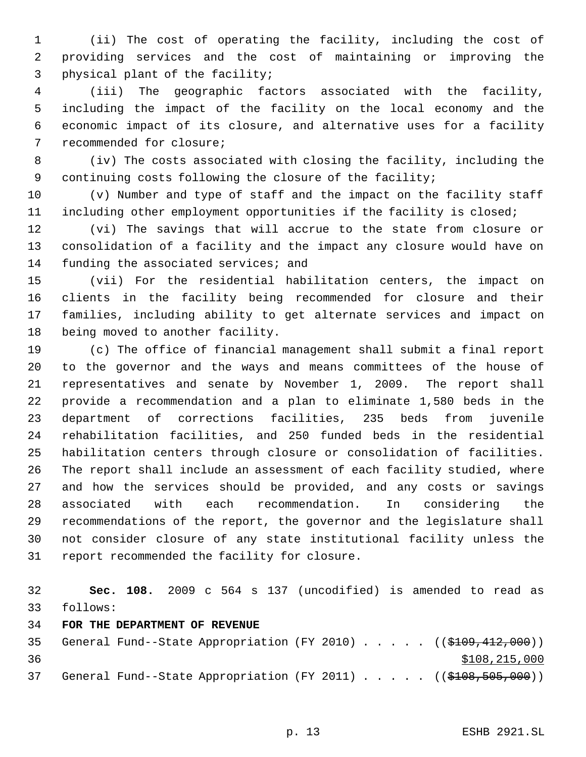(ii) The cost of operating the facility, including the cost of providing services and the cost of maintaining or improving the physical plant of the facility;

 (iii) The geographic factors associated with the facility, including the impact of the facility on the local economy and the economic impact of its closure, and alternative uses for a facility recommended for closure;

 (iv) The costs associated with closing the facility, including the continuing costs following the closure of the facility;

 (v) Number and type of staff and the impact on the facility staff including other employment opportunities if the facility is closed;

 (vi) The savings that will accrue to the state from closure or consolidation of a facility and the impact any closure would have on 14 funding the associated services; and

 (vii) For the residential habilitation centers, the impact on clients in the facility being recommended for closure and their families, including ability to get alternate services and impact on being moved to another facility.

 (c) The office of financial management shall submit a final report to the governor and the ways and means committees of the house of representatives and senate by November 1, 2009. The report shall provide a recommendation and a plan to eliminate 1,580 beds in the department of corrections facilities, 235 beds from juvenile rehabilitation facilities, and 250 funded beds in the residential habilitation centers through closure or consolidation of facilities. The report shall include an assessment of each facility studied, where and how the services should be provided, and any costs or savings associated with each recommendation. In considering the recommendations of the report, the governor and the legislature shall not consider closure of any state institutional facility unless the report recommended the facility for closure.

 **Sec. 108.** 2009 c 564 s 137 (uncodified) is amended to read as follows:

### **FOR THE DEPARTMENT OF REVENUE**

35 General Fund--State Appropriation (FY 2010) . . . . . ((\$109,412,000))  $$108,215,000$ 37 General Fund--State Appropriation (FY 2011) . . . . . ((\$108,505,000))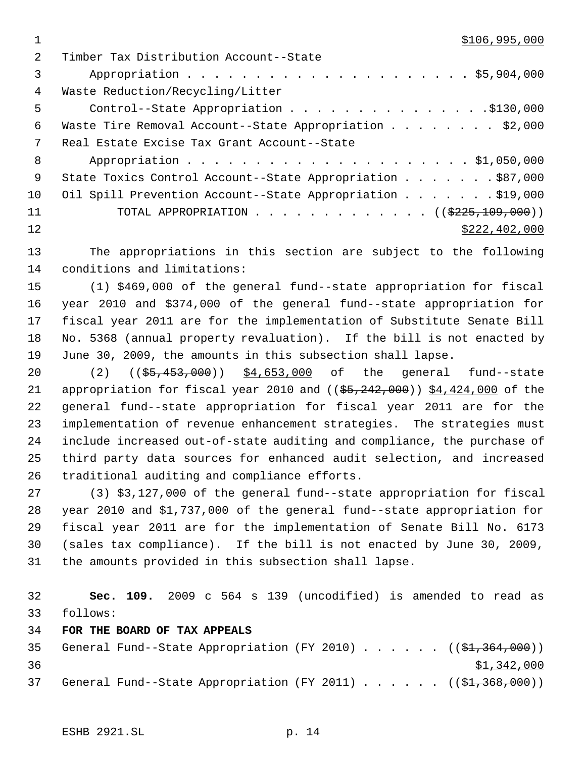$1 \quad$  \$106,995,000

| $\mathcal{L}$ | Timber Tax Distribution Account--State                     |
|---------------|------------------------------------------------------------|
| 3             |                                                            |
| 4             | Waste Reduction/Recycling/Litter                           |
| 5             | Control--State Appropriation \$130,000                     |
| 6             | Waste Tire Removal Account--State Appropriation \$2,000    |
| 7             | Real Estate Excise Tax Grant Account--State                |
| 8             |                                                            |
| - 9           | State Toxics Control Account--State Appropriation \$87,000 |
| 10            | Oil Spill Prevention Account--State Appropriation \$19,000 |
| 11            | TOTAL APPROPRIATION ( $(\frac{2225,109,000}{s})$ )         |
| 12            | \$222, 402, 000                                            |
|               |                                                            |

 The appropriations in this section are subject to the following conditions and limitations:

 (1) \$469,000 of the general fund--state appropriation for fiscal year 2010 and \$374,000 of the general fund--state appropriation for fiscal year 2011 are for the implementation of Substitute Senate Bill No. 5368 (annual property revaluation). If the bill is not enacted by June 30, 2009, the amounts in this subsection shall lapse.

20 (2) ((\$5,453,000)) \$4,653,000 of the general fund--state 21 appropriation for fiscal year 2010 and  $($   $(*5, 242, 000)$  )  $*4,424,000$  of the general fund--state appropriation for fiscal year 2011 are for the implementation of revenue enhancement strategies. The strategies must include increased out-of-state auditing and compliance, the purchase of third party data sources for enhanced audit selection, and increased traditional auditing and compliance efforts.

 (3) \$3,127,000 of the general fund--state appropriation for fiscal year 2010 and \$1,737,000 of the general fund--state appropriation for fiscal year 2011 are for the implementation of Senate Bill No. 6173 (sales tax compliance). If the bill is not enacted by June 30, 2009, the amounts provided in this subsection shall lapse.

 **Sec. 109.** 2009 c 564 s 139 (uncodified) is amended to read as follows:

**FOR THE BOARD OF TAX APPEALS**

35 General Fund--State Appropriation (FY 2010)  $\ldots$  . . . . ((\$1,364,000))  $\frac{$1,342,000}{9}$ 37 General Fund--State Appropriation (FY 2011)  $\ldots$  . . . . (( $\frac{2}{31}$ , 368, 000))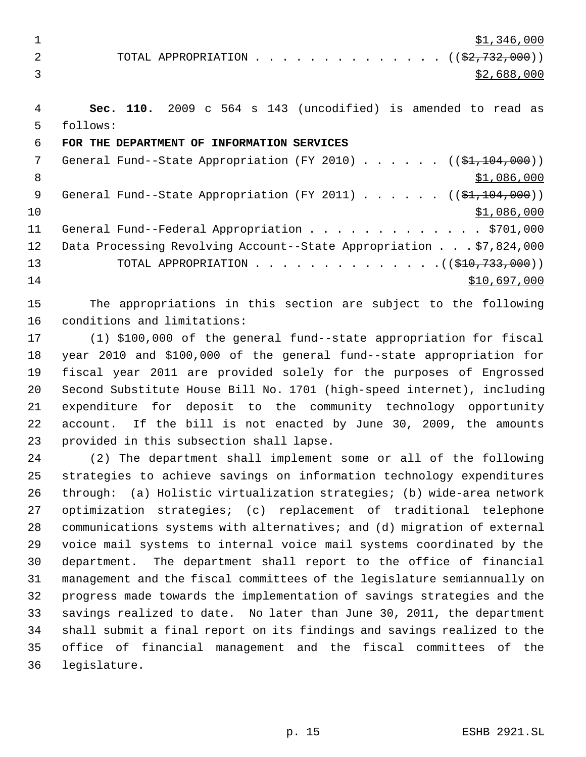$\frac{$1,346,000}{ }$ 

2 TOTAL APPROPRIATION . . . . . . . . . . . . . . ((\$2,732,000))  $3 \times 2,688,000$ 

 **Sec. 110.** 2009 c 564 s 143 (uncodified) is amended to read as follows:

## **FOR THE DEPARTMENT OF INFORMATION SERVICES**

7 General Fund--State Appropriation (FY 2010) . . . . . . ((\$1,104,000)) 8  $\text{S1,086,000}$ 9 General Fund--State Appropriation (FY 2011) . . . . . . ((\$1,104,000)) \$1,086,000 11 General Fund--Federal Appropriation . . . . . . . . . . . . . \$701,000 Data Processing Revolving Account--State Appropriation . . . \$7,824,000 13 TOTAL APPROPRIATION . . . . . . . . . . . . . . ((\$10,733,000)) \$10,697,000

 The appropriations in this section are subject to the following conditions and limitations:

 (1) \$100,000 of the general fund--state appropriation for fiscal year 2010 and \$100,000 of the general fund--state appropriation for fiscal year 2011 are provided solely for the purposes of Engrossed Second Substitute House Bill No. 1701 (high-speed internet), including expenditure for deposit to the community technology opportunity account. If the bill is not enacted by June 30, 2009, the amounts provided in this subsection shall lapse.

 (2) The department shall implement some or all of the following strategies to achieve savings on information technology expenditures through: (a) Holistic virtualization strategies; (b) wide-area network optimization strategies; (c) replacement of traditional telephone communications systems with alternatives; and (d) migration of external voice mail systems to internal voice mail systems coordinated by the department. The department shall report to the office of financial management and the fiscal committees of the legislature semiannually on progress made towards the implementation of savings strategies and the savings realized to date. No later than June 30, 2011, the department shall submit a final report on its findings and savings realized to the office of financial management and the fiscal committees of the legislature.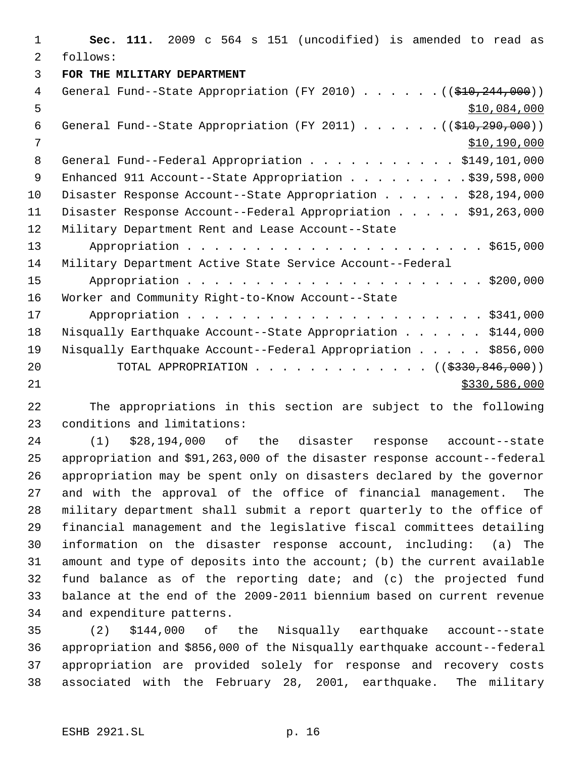**Sec. 111.** 2009 c 564 s 151 (uncodified) is amended to read as follows: **FOR THE MILITARY DEPARTMENT** 4 General Fund--State Appropriation (FY 2010) . . . . . . ((\$10,244,000))  $5 - 5$   $5 - 60$ 6 General Fund--State Appropriation (FY 2011) . . . . . . ((\$10,290,000)) \$10,190,000 8 General Fund--Federal Appropriation . . . . . . . . . . \$149,101,000 9 Enhanced 911 Account--State Appropriation . . . . . . . . \$39,598,000 10 Disaster Response Account--State Appropriation . . . . . \$28,194,000 Disaster Response Account--Federal Appropriation . . . . . \$91,263,000 Military Department Rent and Lease Account--State Appropriation . . . . . . . . . . . . . . . . . . . . . . \$615,000 Military Department Active State Service Account--Federal Appropriation . . . . . . . . . . . . . . . . . . . . . . \$200,000 Worker and Community Right-to-Know Account--State Appropriation . . . . . . . . . . . . . . . . . . . . . . \$341,000 Nisqually Earthquake Account--State Appropriation . . . . . . \$144,000 Nisqually Earthquake Account--Federal Appropriation . . . . . \$856,000 20 TOTAL APPROPRIATION . . . . . . . . . . . . ((\$330,846,000)) \$330,586,000

 The appropriations in this section are subject to the following conditions and limitations:

 (1) \$28,194,000 of the disaster response account--state appropriation and \$91,263,000 of the disaster response account--federal appropriation may be spent only on disasters declared by the governor and with the approval of the office of financial management. The military department shall submit a report quarterly to the office of financial management and the legislative fiscal committees detailing information on the disaster response account, including: (a) The amount and type of deposits into the account; (b) the current available fund balance as of the reporting date; and (c) the projected fund balance at the end of the 2009-2011 biennium based on current revenue and expenditure patterns.

 (2) \$144,000 of the Nisqually earthquake account--state appropriation and \$856,000 of the Nisqually earthquake account--federal appropriation are provided solely for response and recovery costs associated with the February 28, 2001, earthquake. The military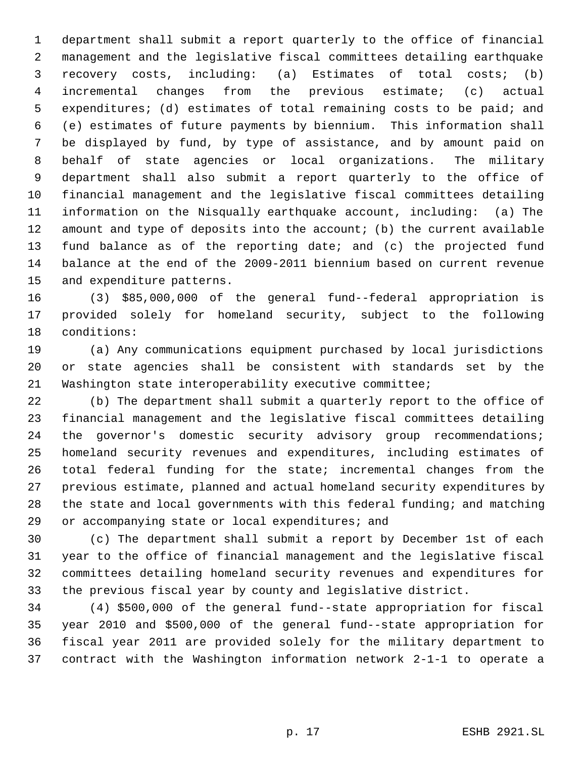department shall submit a report quarterly to the office of financial management and the legislative fiscal committees detailing earthquake recovery costs, including: (a) Estimates of total costs; (b) incremental changes from the previous estimate; (c) actual expenditures; (d) estimates of total remaining costs to be paid; and (e) estimates of future payments by biennium. This information shall be displayed by fund, by type of assistance, and by amount paid on behalf of state agencies or local organizations. The military department shall also submit a report quarterly to the office of financial management and the legislative fiscal committees detailing information on the Nisqually earthquake account, including: (a) The amount and type of deposits into the account; (b) the current available fund balance as of the reporting date; and (c) the projected fund balance at the end of the 2009-2011 biennium based on current revenue and expenditure patterns.

 (3) \$85,000,000 of the general fund--federal appropriation is provided solely for homeland security, subject to the following conditions:

 (a) Any communications equipment purchased by local jurisdictions or state agencies shall be consistent with standards set by the Washington state interoperability executive committee;

 (b) The department shall submit a quarterly report to the office of financial management and the legislative fiscal committees detailing 24 the governor's domestic security advisory group recommendations; homeland security revenues and expenditures, including estimates of total federal funding for the state; incremental changes from the previous estimate, planned and actual homeland security expenditures by the state and local governments with this federal funding; and matching or accompanying state or local expenditures; and

 (c) The department shall submit a report by December 1st of each year to the office of financial management and the legislative fiscal committees detailing homeland security revenues and expenditures for the previous fiscal year by county and legislative district.

 (4) \$500,000 of the general fund--state appropriation for fiscal year 2010 and \$500,000 of the general fund--state appropriation for fiscal year 2011 are provided solely for the military department to contract with the Washington information network 2-1-1 to operate a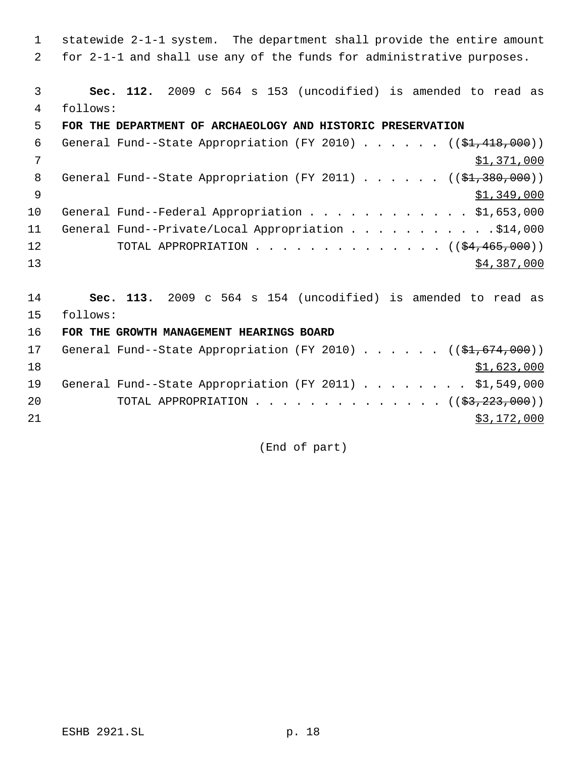1 statewide 2-1-1 system. The department shall provide the entire amount 2 for 2-1-1 and shall use any of the funds for administrative purposes.

 3 **Sec. 112.** 2009 c 564 s 153 (uncodified) is amended to read as 4 follows:

### 5 **FOR THE DEPARTMENT OF ARCHAEOLOGY AND HISTORIC PRESERVATION**

| 6            | General Fund--State Appropriation (FY 2010) $($ $(\frac{1}{2}, 418, 000) )$ |
|--------------|-----------------------------------------------------------------------------|
| 7            | \$1,371,000                                                                 |
| - 8          | General Fund--State Appropriation (FY 2011) ( $(\frac{21.380}{1.380.000})$  |
| <sup>o</sup> | \$1,349,000                                                                 |
| 10           | General Fund--Federal Appropriation \$1,653,000                             |
| 11           | General Fund--Private/Local Appropriation 914,000                           |
| 12           | TOTAL APPROPRIATION $($ $($ \$4,465,000 $)$ )                               |
| 13           | \$4,387,000                                                                 |

14 **Sec. 113.** 2009 c 564 s 154 (uncodified) is amended to read as 15 follows:

16 **FOR THE GROWTH MANAGEMENT HEARINGS BOARD**

| 17 |  | General Fund--State Appropriation (FY 2010) ( $(\frac{1}{2}, 674, 000)$ ) |  |  |  |  |             |  |
|----|--|---------------------------------------------------------------------------|--|--|--|--|-------------|--|
| 18 |  |                                                                           |  |  |  |  | \$1,623,000 |  |
| 19 |  | General Fund--State Appropriation (FY 2011) \$1,549,000                   |  |  |  |  |             |  |
| 20 |  | TOTAL APPROPRIATION $($ $(\frac{23}{223}, \frac{223}{100})$               |  |  |  |  |             |  |
| 21 |  |                                                                           |  |  |  |  | \$3,172,000 |  |

(End of part)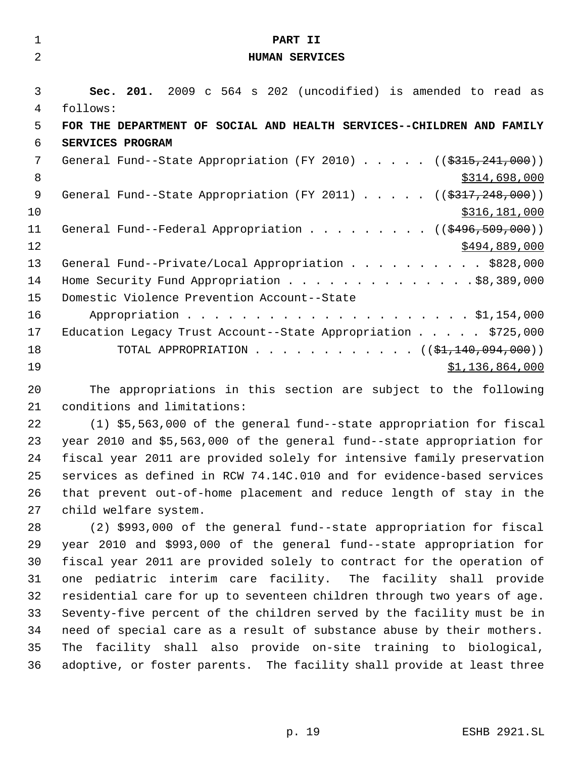| $\mathbf{1}$   | PART II                                                                                                         |
|----------------|-----------------------------------------------------------------------------------------------------------------|
| $\overline{2}$ | <b>HUMAN SERVICES</b>                                                                                           |
|                |                                                                                                                 |
| 3              | Sec. 201. 2009 c 564 s 202 (uncodified) is amended to read as                                                   |
| 4              | follows:                                                                                                        |
| 5              | FOR THE DEPARTMENT OF SOCIAL AND HEALTH SERVICES--CHILDREN AND FAMILY                                           |
| 6              | SERVICES PROGRAM                                                                                                |
| 7              | General Fund--State Appropriation (FY 2010) $($ $($ \$315,241,000))                                             |
| 8              | \$314,698,000                                                                                                   |
| 9              | General Fund--State Appropriation (FY 2011) $($ $($ \$317,248,000))                                             |
| 10             | \$316,181,000                                                                                                   |
| 11             | General Fund--Federal Appropriation $($ $($ $\frac{2496}{509},000)$                                             |
| 12             | \$494,889,000                                                                                                   |
| 13             | General Fund--Private/Local Appropriation \$828,000                                                             |
| 14             | Home Security Fund Appropriation \$8,389,000                                                                    |
| 15             | Domestic Violence Prevention Account--State                                                                     |
| 16             |                                                                                                                 |
| 17             | Education Legacy Trust Account--State Appropriation \$725,000                                                   |
| 18             | TOTAL APPROPRIATION ( $(\frac{1}{21}, 140, 094, 000)$ )                                                         |
| 19             | \$1,136,864,000                                                                                                 |
|                | the contract of the contract of the contract of the contract of the contract of the contract of the contract of |

 The appropriations in this section are subject to the following conditions and limitations:

 (1) \$5,563,000 of the general fund--state appropriation for fiscal year 2010 and \$5,563,000 of the general fund--state appropriation for fiscal year 2011 are provided solely for intensive family preservation services as defined in RCW 74.14C.010 and for evidence-based services that prevent out-of-home placement and reduce length of stay in the child welfare system.

 (2) \$993,000 of the general fund--state appropriation for fiscal year 2010 and \$993,000 of the general fund--state appropriation for fiscal year 2011 are provided solely to contract for the operation of one pediatric interim care facility. The facility shall provide residential care for up to seventeen children through two years of age. Seventy-five percent of the children served by the facility must be in need of special care as a result of substance abuse by their mothers. The facility shall also provide on-site training to biological, adoptive, or foster parents. The facility shall provide at least three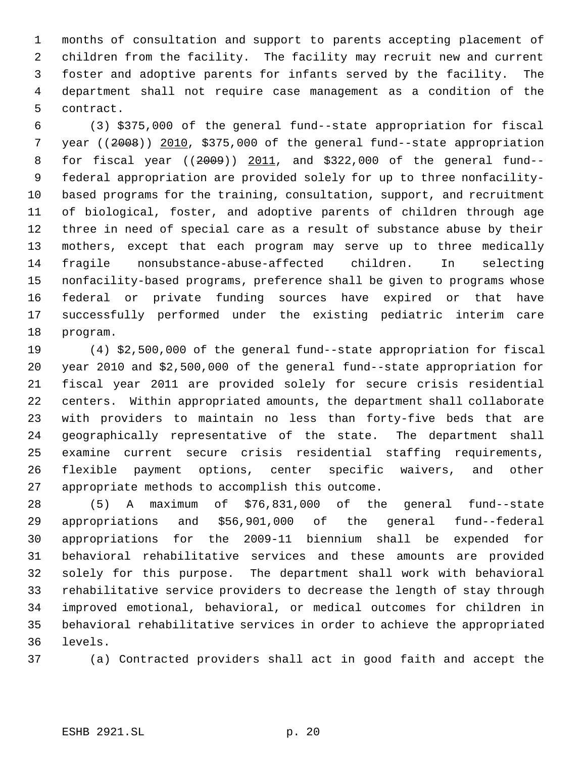months of consultation and support to parents accepting placement of children from the facility. The facility may recruit new and current foster and adoptive parents for infants served by the facility. The department shall not require case management as a condition of the contract.

 (3) \$375,000 of the general fund--state appropriation for fiscal year ((2008)) 2010, \$375,000 of the general fund--state appropriation for fiscal year ((2009)) 2011, and \$322,000 of the general fund-- federal appropriation are provided solely for up to three nonfacility- based programs for the training, consultation, support, and recruitment of biological, foster, and adoptive parents of children through age three in need of special care as a result of substance abuse by their mothers, except that each program may serve up to three medically fragile nonsubstance-abuse-affected children. In selecting nonfacility-based programs, preference shall be given to programs whose federal or private funding sources have expired or that have successfully performed under the existing pediatric interim care program.

 (4) \$2,500,000 of the general fund--state appropriation for fiscal year 2010 and \$2,500,000 of the general fund--state appropriation for fiscal year 2011 are provided solely for secure crisis residential centers. Within appropriated amounts, the department shall collaborate with providers to maintain no less than forty-five beds that are geographically representative of the state. The department shall examine current secure crisis residential staffing requirements, flexible payment options, center specific waivers, and other appropriate methods to accomplish this outcome.

 (5) A maximum of \$76,831,000 of the general fund--state appropriations and \$56,901,000 of the general fund--federal appropriations for the 2009-11 biennium shall be expended for behavioral rehabilitative services and these amounts are provided solely for this purpose. The department shall work with behavioral rehabilitative service providers to decrease the length of stay through improved emotional, behavioral, or medical outcomes for children in behavioral rehabilitative services in order to achieve the appropriated levels.

(a) Contracted providers shall act in good faith and accept the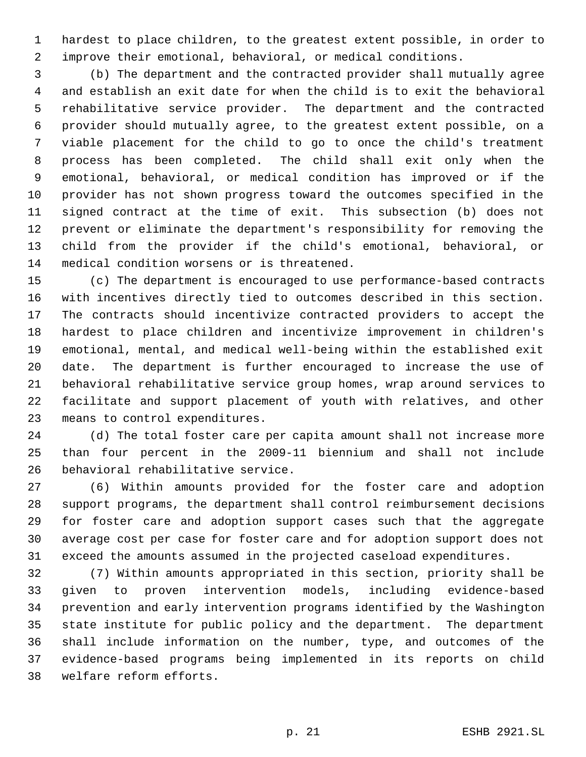hardest to place children, to the greatest extent possible, in order to improve their emotional, behavioral, or medical conditions.

 (b) The department and the contracted provider shall mutually agree and establish an exit date for when the child is to exit the behavioral rehabilitative service provider. The department and the contracted provider should mutually agree, to the greatest extent possible, on a viable placement for the child to go to once the child's treatment process has been completed. The child shall exit only when the emotional, behavioral, or medical condition has improved or if the provider has not shown progress toward the outcomes specified in the signed contract at the time of exit. This subsection (b) does not prevent or eliminate the department's responsibility for removing the child from the provider if the child's emotional, behavioral, or medical condition worsens or is threatened.

 (c) The department is encouraged to use performance-based contracts with incentives directly tied to outcomes described in this section. The contracts should incentivize contracted providers to accept the hardest to place children and incentivize improvement in children's emotional, mental, and medical well-being within the established exit date. The department is further encouraged to increase the use of behavioral rehabilitative service group homes, wrap around services to facilitate and support placement of youth with relatives, and other means to control expenditures.

 (d) The total foster care per capita amount shall not increase more than four percent in the 2009-11 biennium and shall not include behavioral rehabilitative service.

 (6) Within amounts provided for the foster care and adoption support programs, the department shall control reimbursement decisions for foster care and adoption support cases such that the aggregate average cost per case for foster care and for adoption support does not exceed the amounts assumed in the projected caseload expenditures.

 (7) Within amounts appropriated in this section, priority shall be given to proven intervention models, including evidence-based prevention and early intervention programs identified by the Washington state institute for public policy and the department. The department shall include information on the number, type, and outcomes of the evidence-based programs being implemented in its reports on child welfare reform efforts.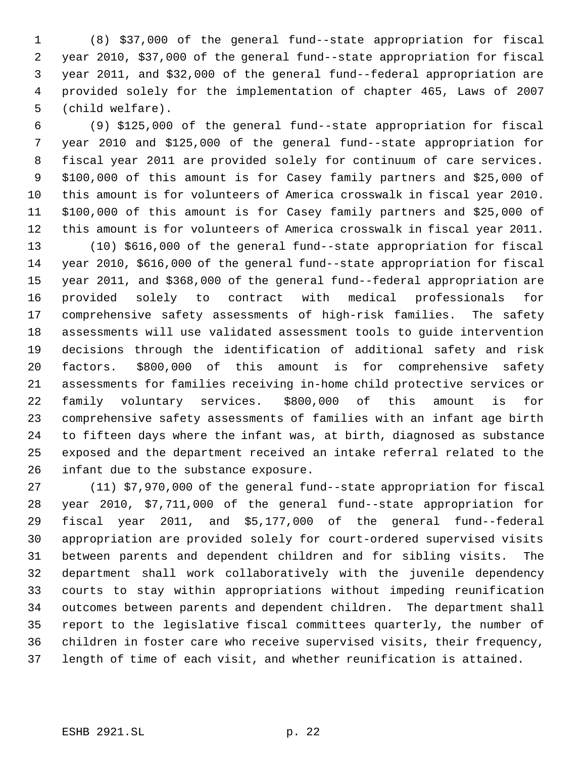(8) \$37,000 of the general fund--state appropriation for fiscal year 2010, \$37,000 of the general fund--state appropriation for fiscal year 2011, and \$32,000 of the general fund--federal appropriation are provided solely for the implementation of chapter 465, Laws of 2007 (child welfare).

 (9) \$125,000 of the general fund--state appropriation for fiscal year 2010 and \$125,000 of the general fund--state appropriation for fiscal year 2011 are provided solely for continuum of care services. \$100,000 of this amount is for Casey family partners and \$25,000 of this amount is for volunteers of America crosswalk in fiscal year 2010. \$100,000 of this amount is for Casey family partners and \$25,000 of this amount is for volunteers of America crosswalk in fiscal year 2011.

 (10) \$616,000 of the general fund--state appropriation for fiscal year 2010, \$616,000 of the general fund--state appropriation for fiscal year 2011, and \$368,000 of the general fund--federal appropriation are provided solely to contract with medical professionals for comprehensive safety assessments of high-risk families. The safety assessments will use validated assessment tools to guide intervention decisions through the identification of additional safety and risk factors. \$800,000 of this amount is for comprehensive safety assessments for families receiving in-home child protective services or family voluntary services. \$800,000 of this amount is for comprehensive safety assessments of families with an infant age birth to fifteen days where the infant was, at birth, diagnosed as substance exposed and the department received an intake referral related to the infant due to the substance exposure.

 (11) \$7,970,000 of the general fund--state appropriation for fiscal year 2010, \$7,711,000 of the general fund--state appropriation for fiscal year 2011, and \$5,177,000 of the general fund--federal appropriation are provided solely for court-ordered supervised visits between parents and dependent children and for sibling visits. The department shall work collaboratively with the juvenile dependency courts to stay within appropriations without impeding reunification outcomes between parents and dependent children. The department shall report to the legislative fiscal committees quarterly, the number of children in foster care who receive supervised visits, their frequency, length of time of each visit, and whether reunification is attained.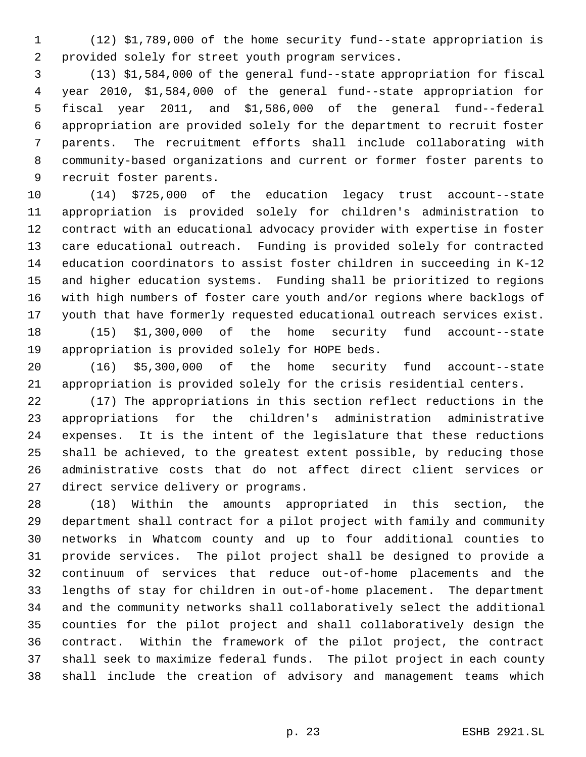(12) \$1,789,000 of the home security fund--state appropriation is provided solely for street youth program services.

 (13) \$1,584,000 of the general fund--state appropriation for fiscal year 2010, \$1,584,000 of the general fund--state appropriation for fiscal year 2011, and \$1,586,000 of the general fund--federal appropriation are provided solely for the department to recruit foster parents. The recruitment efforts shall include collaborating with community-based organizations and current or former foster parents to recruit foster parents.

 (14) \$725,000 of the education legacy trust account--state appropriation is provided solely for children's administration to contract with an educational advocacy provider with expertise in foster care educational outreach. Funding is provided solely for contracted education coordinators to assist foster children in succeeding in K-12 and higher education systems. Funding shall be prioritized to regions with high numbers of foster care youth and/or regions where backlogs of youth that have formerly requested educational outreach services exist. (15) \$1,300,000 of the home security fund account--state

appropriation is provided solely for HOPE beds.

 (16) \$5,300,000 of the home security fund account--state appropriation is provided solely for the crisis residential centers.

 (17) The appropriations in this section reflect reductions in the appropriations for the children's administration administrative expenses. It is the intent of the legislature that these reductions shall be achieved, to the greatest extent possible, by reducing those administrative costs that do not affect direct client services or direct service delivery or programs.

 (18) Within the amounts appropriated in this section, the department shall contract for a pilot project with family and community networks in Whatcom county and up to four additional counties to provide services. The pilot project shall be designed to provide a continuum of services that reduce out-of-home placements and the lengths of stay for children in out-of-home placement. The department and the community networks shall collaboratively select the additional counties for the pilot project and shall collaboratively design the contract. Within the framework of the pilot project, the contract shall seek to maximize federal funds. The pilot project in each county shall include the creation of advisory and management teams which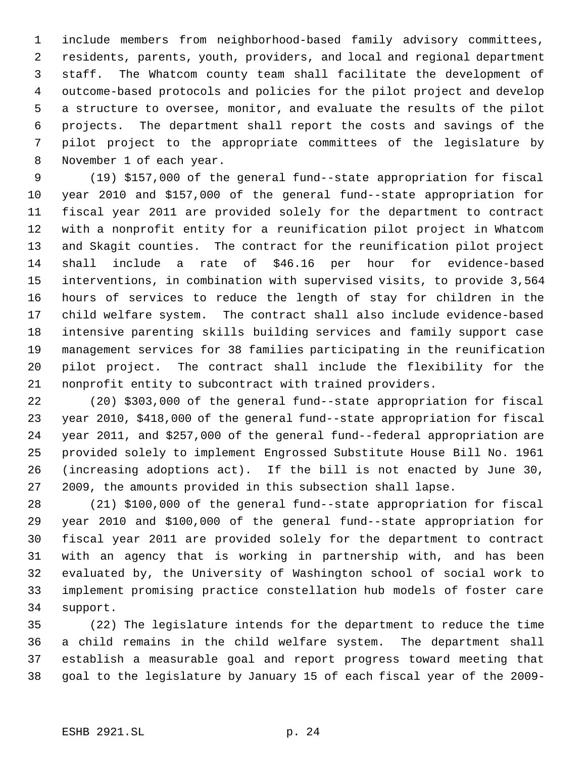include members from neighborhood-based family advisory committees, residents, parents, youth, providers, and local and regional department staff. The Whatcom county team shall facilitate the development of outcome-based protocols and policies for the pilot project and develop a structure to oversee, monitor, and evaluate the results of the pilot projects. The department shall report the costs and savings of the pilot project to the appropriate committees of the legislature by November 1 of each year.

 (19) \$157,000 of the general fund--state appropriation for fiscal year 2010 and \$157,000 of the general fund--state appropriation for fiscal year 2011 are provided solely for the department to contract with a nonprofit entity for a reunification pilot project in Whatcom and Skagit counties. The contract for the reunification pilot project shall include a rate of \$46.16 per hour for evidence-based interventions, in combination with supervised visits, to provide 3,564 hours of services to reduce the length of stay for children in the child welfare system. The contract shall also include evidence-based intensive parenting skills building services and family support case management services for 38 families participating in the reunification pilot project. The contract shall include the flexibility for the nonprofit entity to subcontract with trained providers.

 (20) \$303,000 of the general fund--state appropriation for fiscal year 2010, \$418,000 of the general fund--state appropriation for fiscal year 2011, and \$257,000 of the general fund--federal appropriation are provided solely to implement Engrossed Substitute House Bill No. 1961 (increasing adoptions act). If the bill is not enacted by June 30, 2009, the amounts provided in this subsection shall lapse.

 (21) \$100,000 of the general fund--state appropriation for fiscal year 2010 and \$100,000 of the general fund--state appropriation for fiscal year 2011 are provided solely for the department to contract with an agency that is working in partnership with, and has been evaluated by, the University of Washington school of social work to implement promising practice constellation hub models of foster care support.

 (22) The legislature intends for the department to reduce the time a child remains in the child welfare system. The department shall establish a measurable goal and report progress toward meeting that goal to the legislature by January 15 of each fiscal year of the 2009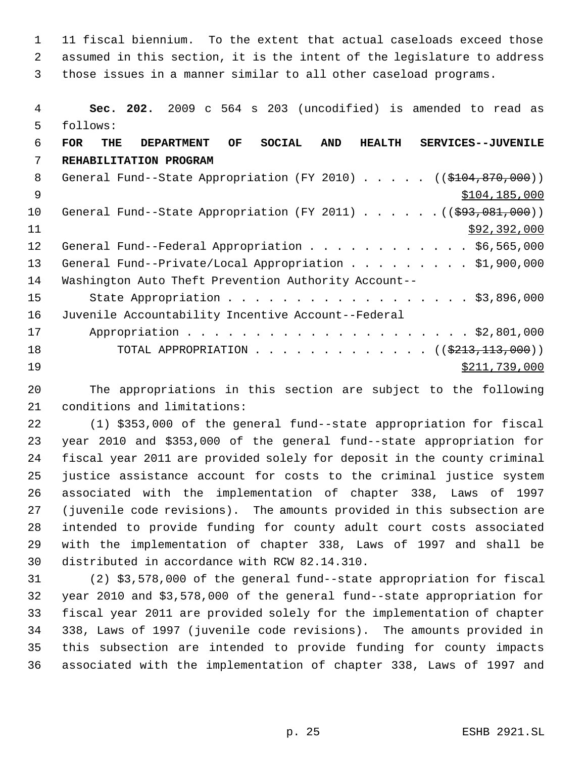11 fiscal biennium. To the extent that actual caseloads exceed those assumed in this section, it is the intent of the legislature to address those issues in a manner similar to all other caseload programs.

 **Sec. 202.** 2009 c 564 s 203 (uncodified) is amended to read as follows: **FOR THE DEPARTMENT OF SOCIAL AND HEALTH SERVICES--JUVENILE REHABILITATION PROGRAM** 8 General Fund--State Appropriation (FY 2010) . . . . . ((\$104,870,000)) \$104,185,000 10 General Fund--State Appropriation (FY 2011) . . . . . . ((\$93,081,000))  $\frac{11}{292,392,000}$ 12 General Fund--Federal Appropriation . . . . . . . . . . . \$6,565,000 13 General Fund--Private/Local Appropriation . . . . . . . . \$1,900,000 Washington Auto Theft Prevention Authority Account-- 15 State Appropriation . . . . . . . . . . . . . . . . . \$3,896,000 Juvenile Accountability Incentive Account--Federal Appropriation . . . . . . . . . . . . . . . . . . . . . \$2,801,000 18 TOTAL APPROPRIATION . . . . . . . . . . . . ((\$213,113,000))  $\frac{$211,739,000}{2}$ 

 The appropriations in this section are subject to the following conditions and limitations:

 (1) \$353,000 of the general fund--state appropriation for fiscal year 2010 and \$353,000 of the general fund--state appropriation for fiscal year 2011 are provided solely for deposit in the county criminal justice assistance account for costs to the criminal justice system associated with the implementation of chapter 338, Laws of 1997 (juvenile code revisions). The amounts provided in this subsection are intended to provide funding for county adult court costs associated with the implementation of chapter 338, Laws of 1997 and shall be distributed in accordance with RCW 82.14.310.

 (2) \$3,578,000 of the general fund--state appropriation for fiscal year 2010 and \$3,578,000 of the general fund--state appropriation for fiscal year 2011 are provided solely for the implementation of chapter 338, Laws of 1997 (juvenile code revisions). The amounts provided in this subsection are intended to provide funding for county impacts associated with the implementation of chapter 338, Laws of 1997 and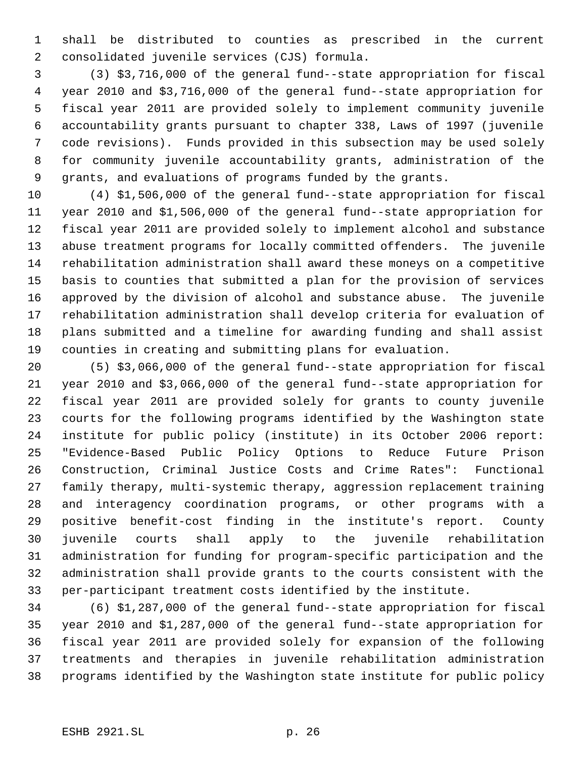shall be distributed to counties as prescribed in the current consolidated juvenile services (CJS) formula.

 (3) \$3,716,000 of the general fund--state appropriation for fiscal year 2010 and \$3,716,000 of the general fund--state appropriation for fiscal year 2011 are provided solely to implement community juvenile accountability grants pursuant to chapter 338, Laws of 1997 (juvenile code revisions). Funds provided in this subsection may be used solely for community juvenile accountability grants, administration of the grants, and evaluations of programs funded by the grants.

 (4) \$1,506,000 of the general fund--state appropriation for fiscal year 2010 and \$1,506,000 of the general fund--state appropriation for fiscal year 2011 are provided solely to implement alcohol and substance abuse treatment programs for locally committed offenders. The juvenile rehabilitation administration shall award these moneys on a competitive basis to counties that submitted a plan for the provision of services approved by the division of alcohol and substance abuse. The juvenile rehabilitation administration shall develop criteria for evaluation of plans submitted and a timeline for awarding funding and shall assist counties in creating and submitting plans for evaluation.

 (5) \$3,066,000 of the general fund--state appropriation for fiscal year 2010 and \$3,066,000 of the general fund--state appropriation for fiscal year 2011 are provided solely for grants to county juvenile courts for the following programs identified by the Washington state institute for public policy (institute) in its October 2006 report: "Evidence-Based Public Policy Options to Reduce Future Prison Construction, Criminal Justice Costs and Crime Rates": Functional family therapy, multi-systemic therapy, aggression replacement training and interagency coordination programs, or other programs with a positive benefit-cost finding in the institute's report. County juvenile courts shall apply to the juvenile rehabilitation administration for funding for program-specific participation and the administration shall provide grants to the courts consistent with the per-participant treatment costs identified by the institute.

 (6) \$1,287,000 of the general fund--state appropriation for fiscal year 2010 and \$1,287,000 of the general fund--state appropriation for fiscal year 2011 are provided solely for expansion of the following treatments and therapies in juvenile rehabilitation administration programs identified by the Washington state institute for public policy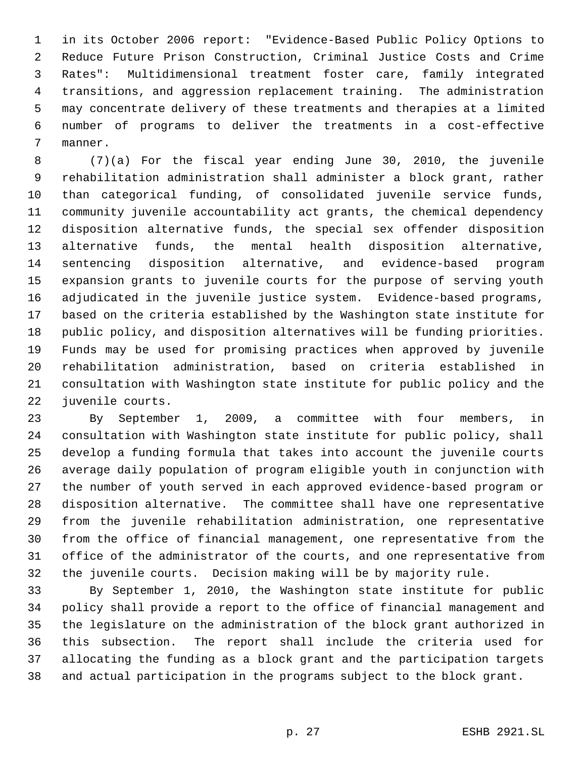in its October 2006 report: "Evidence-Based Public Policy Options to Reduce Future Prison Construction, Criminal Justice Costs and Crime Rates": Multidimensional treatment foster care, family integrated transitions, and aggression replacement training. The administration may concentrate delivery of these treatments and therapies at a limited number of programs to deliver the treatments in a cost-effective manner.

 (7)(a) For the fiscal year ending June 30, 2010, the juvenile rehabilitation administration shall administer a block grant, rather than categorical funding, of consolidated juvenile service funds, community juvenile accountability act grants, the chemical dependency disposition alternative funds, the special sex offender disposition alternative funds, the mental health disposition alternative, sentencing disposition alternative, and evidence-based program expansion grants to juvenile courts for the purpose of serving youth adjudicated in the juvenile justice system. Evidence-based programs, based on the criteria established by the Washington state institute for public policy, and disposition alternatives will be funding priorities. Funds may be used for promising practices when approved by juvenile rehabilitation administration, based on criteria established in consultation with Washington state institute for public policy and the juvenile courts.

 By September 1, 2009, a committee with four members, in consultation with Washington state institute for public policy, shall develop a funding formula that takes into account the juvenile courts average daily population of program eligible youth in conjunction with the number of youth served in each approved evidence-based program or disposition alternative. The committee shall have one representative from the juvenile rehabilitation administration, one representative from the office of financial management, one representative from the office of the administrator of the courts, and one representative from the juvenile courts. Decision making will be by majority rule.

 By September 1, 2010, the Washington state institute for public policy shall provide a report to the office of financial management and the legislature on the administration of the block grant authorized in this subsection. The report shall include the criteria used for allocating the funding as a block grant and the participation targets and actual participation in the programs subject to the block grant.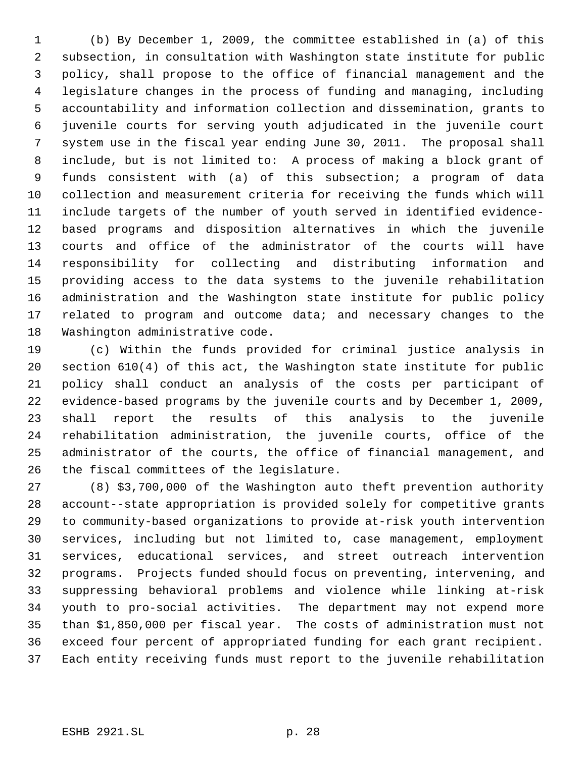(b) By December 1, 2009, the committee established in (a) of this subsection, in consultation with Washington state institute for public policy, shall propose to the office of financial management and the legislature changes in the process of funding and managing, including accountability and information collection and dissemination, grants to juvenile courts for serving youth adjudicated in the juvenile court system use in the fiscal year ending June 30, 2011. The proposal shall include, but is not limited to: A process of making a block grant of funds consistent with (a) of this subsection; a program of data collection and measurement criteria for receiving the funds which will include targets of the number of youth served in identified evidence- based programs and disposition alternatives in which the juvenile courts and office of the administrator of the courts will have responsibility for collecting and distributing information and providing access to the data systems to the juvenile rehabilitation administration and the Washington state institute for public policy 17 related to program and outcome data; and necessary changes to the Washington administrative code.

 (c) Within the funds provided for criminal justice analysis in section 610(4) of this act, the Washington state institute for public policy shall conduct an analysis of the costs per participant of evidence-based programs by the juvenile courts and by December 1, 2009, shall report the results of this analysis to the juvenile rehabilitation administration, the juvenile courts, office of the administrator of the courts, the office of financial management, and the fiscal committees of the legislature.

 (8) \$3,700,000 of the Washington auto theft prevention authority account--state appropriation is provided solely for competitive grants to community-based organizations to provide at-risk youth intervention services, including but not limited to, case management, employment services, educational services, and street outreach intervention programs. Projects funded should focus on preventing, intervening, and suppressing behavioral problems and violence while linking at-risk youth to pro-social activities. The department may not expend more than \$1,850,000 per fiscal year. The costs of administration must not exceed four percent of appropriated funding for each grant recipient. Each entity receiving funds must report to the juvenile rehabilitation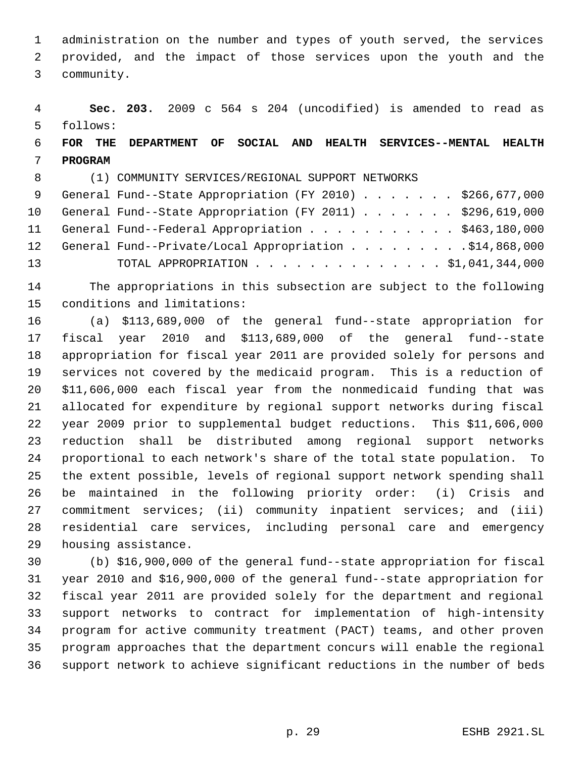administration on the number and types of youth served, the services provided, and the impact of those services upon the youth and the community.

 **Sec. 203.** 2009 c 564 s 204 (uncodified) is amended to read as follows:

# **FOR THE DEPARTMENT OF SOCIAL AND HEALTH SERVICES--MENTAL HEALTH PROGRAM**

(1) COMMUNITY SERVICES/REGIONAL SUPPORT NETWORKS

| 9 General Fund--State Appropriation (FY 2010) \$266,677,000  |
|--------------------------------------------------------------|
| 10 General Fund--State Appropriation (FY 2011) \$296,619,000 |
| 11 General Fund--Federal Appropriation \$463,180,000         |
| 12 General Fund--Private/Local Appropriation \$14,868,000    |
| TOTAL APPROPRIATION \$1,041,344,000                          |
|                                                              |

 The appropriations in this subsection are subject to the following conditions and limitations:

 (a) \$113,689,000 of the general fund--state appropriation for fiscal year 2010 and \$113,689,000 of the general fund--state appropriation for fiscal year 2011 are provided solely for persons and services not covered by the medicaid program. This is a reduction of \$11,606,000 each fiscal year from the nonmedicaid funding that was allocated for expenditure by regional support networks during fiscal year 2009 prior to supplemental budget reductions. This \$11,606,000 reduction shall be distributed among regional support networks proportional to each network's share of the total state population. To the extent possible, levels of regional support network spending shall be maintained in the following priority order: (i) Crisis and 27 commitment services; (ii) community inpatient services; and (iii) residential care services, including personal care and emergency housing assistance.

 (b) \$16,900,000 of the general fund--state appropriation for fiscal year 2010 and \$16,900,000 of the general fund--state appropriation for fiscal year 2011 are provided solely for the department and regional support networks to contract for implementation of high-intensity program for active community treatment (PACT) teams, and other proven program approaches that the department concurs will enable the regional support network to achieve significant reductions in the number of beds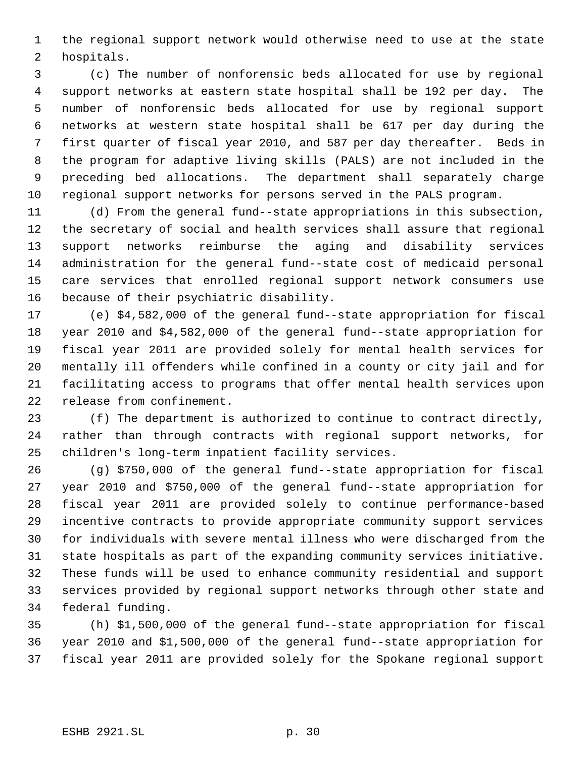the regional support network would otherwise need to use at the state hospitals.

 (c) The number of nonforensic beds allocated for use by regional support networks at eastern state hospital shall be 192 per day. The number of nonforensic beds allocated for use by regional support networks at western state hospital shall be 617 per day during the first quarter of fiscal year 2010, and 587 per day thereafter. Beds in the program for adaptive living skills (PALS) are not included in the preceding bed allocations. The department shall separately charge regional support networks for persons served in the PALS program.

 (d) From the general fund--state appropriations in this subsection, the secretary of social and health services shall assure that regional support networks reimburse the aging and disability services administration for the general fund--state cost of medicaid personal care services that enrolled regional support network consumers use because of their psychiatric disability.

 (e) \$4,582,000 of the general fund--state appropriation for fiscal year 2010 and \$4,582,000 of the general fund--state appropriation for fiscal year 2011 are provided solely for mental health services for mentally ill offenders while confined in a county or city jail and for facilitating access to programs that offer mental health services upon release from confinement.

 (f) The department is authorized to continue to contract directly, rather than through contracts with regional support networks, for children's long-term inpatient facility services.

 (g) \$750,000 of the general fund--state appropriation for fiscal year 2010 and \$750,000 of the general fund--state appropriation for fiscal year 2011 are provided solely to continue performance-based incentive contracts to provide appropriate community support services for individuals with severe mental illness who were discharged from the state hospitals as part of the expanding community services initiative. These funds will be used to enhance community residential and support services provided by regional support networks through other state and federal funding.

 (h) \$1,500,000 of the general fund--state appropriation for fiscal year 2010 and \$1,500,000 of the general fund--state appropriation for fiscal year 2011 are provided solely for the Spokane regional support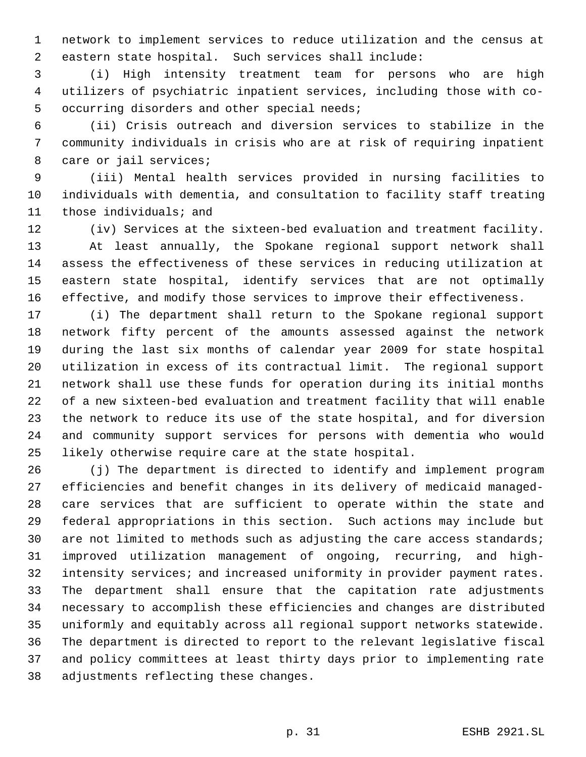network to implement services to reduce utilization and the census at eastern state hospital. Such services shall include:

 (i) High intensity treatment team for persons who are high utilizers of psychiatric inpatient services, including those with co- occurring disorders and other special needs;

 (ii) Crisis outreach and diversion services to stabilize in the community individuals in crisis who are at risk of requiring inpatient care or jail services;

 (iii) Mental health services provided in nursing facilities to individuals with dementia, and consultation to facility staff treating those individuals; and

 (iv) Services at the sixteen-bed evaluation and treatment facility. At least annually, the Spokane regional support network shall assess the effectiveness of these services in reducing utilization at eastern state hospital, identify services that are not optimally effective, and modify those services to improve their effectiveness.

 (i) The department shall return to the Spokane regional support network fifty percent of the amounts assessed against the network during the last six months of calendar year 2009 for state hospital utilization in excess of its contractual limit. The regional support network shall use these funds for operation during its initial months of a new sixteen-bed evaluation and treatment facility that will enable the network to reduce its use of the state hospital, and for diversion and community support services for persons with dementia who would likely otherwise require care at the state hospital.

 (j) The department is directed to identify and implement program efficiencies and benefit changes in its delivery of medicaid managed- care services that are sufficient to operate within the state and federal appropriations in this section. Such actions may include but 30 are not limited to methods such as adjusting the care access standards; improved utilization management of ongoing, recurring, and high- intensity services; and increased uniformity in provider payment rates. The department shall ensure that the capitation rate adjustments necessary to accomplish these efficiencies and changes are distributed uniformly and equitably across all regional support networks statewide. The department is directed to report to the relevant legislative fiscal and policy committees at least thirty days prior to implementing rate adjustments reflecting these changes.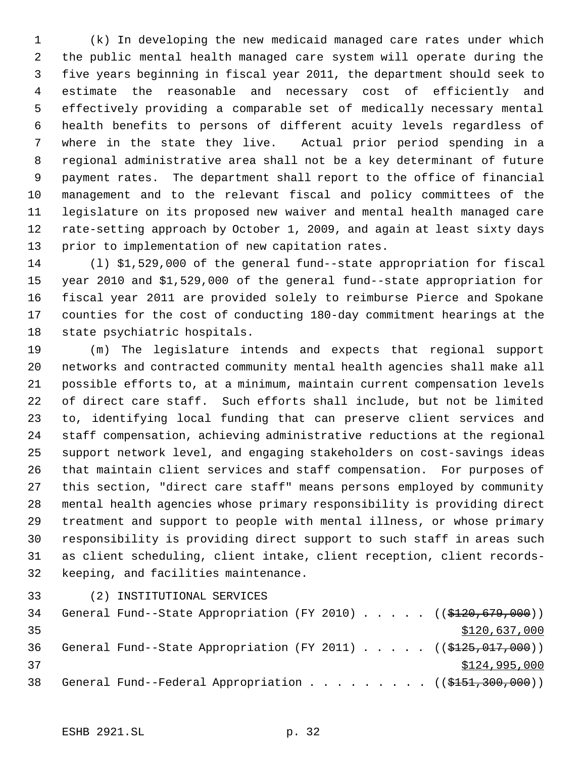(k) In developing the new medicaid managed care rates under which the public mental health managed care system will operate during the five years beginning in fiscal year 2011, the department should seek to estimate the reasonable and necessary cost of efficiently and effectively providing a comparable set of medically necessary mental health benefits to persons of different acuity levels regardless of where in the state they live. Actual prior period spending in a regional administrative area shall not be a key determinant of future payment rates. The department shall report to the office of financial management and to the relevant fiscal and policy committees of the legislature on its proposed new waiver and mental health managed care rate-setting approach by October 1, 2009, and again at least sixty days prior to implementation of new capitation rates.

 (l) \$1,529,000 of the general fund--state appropriation for fiscal year 2010 and \$1,529,000 of the general fund--state appropriation for fiscal year 2011 are provided solely to reimburse Pierce and Spokane counties for the cost of conducting 180-day commitment hearings at the state psychiatric hospitals.

 (m) The legislature intends and expects that regional support networks and contracted community mental health agencies shall make all possible efforts to, at a minimum, maintain current compensation levels of direct care staff. Such efforts shall include, but not be limited to, identifying local funding that can preserve client services and staff compensation, achieving administrative reductions at the regional support network level, and engaging stakeholders on cost-savings ideas that maintain client services and staff compensation. For purposes of this section, "direct care staff" means persons employed by community mental health agencies whose primary responsibility is providing direct treatment and support to people with mental illness, or whose primary responsibility is providing direct support to such staff in areas such as client scheduling, client intake, client reception, client records-keeping, and facilities maintenance.

(2) INSTITUTIONAL SERVICES

34 General Fund--State Appropriation (FY 2010) . . . . . ((\$120,679,000)) \$120,637,000 36 General Fund--State Appropriation (FY 2011) . . . . ((\$125,017,000))  $$124,995,000$ 38 General Fund--Federal Appropriation . . . . . . . . ((\$151,300,000))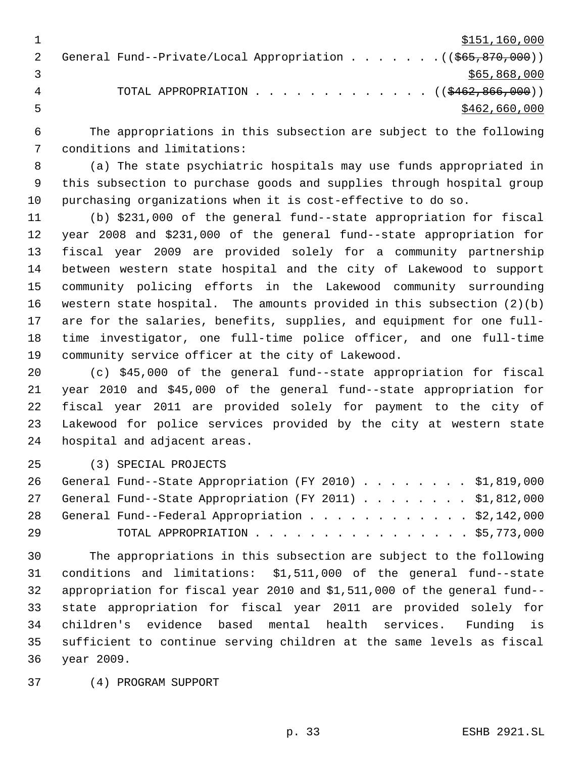$\frac{$151,160,000}{2}$ 2 General Fund--Private/Local Appropriation . . . . . . . ((\$65,870,000))  $3 \times 565,868,000$ 4 TOTAL APPROPRIATION . . . . . . . . . . . . . ((\$462,866,000))  $5 - 5$  \$462,660,000

 The appropriations in this subsection are subject to the following conditions and limitations:

 (a) The state psychiatric hospitals may use funds appropriated in this subsection to purchase goods and supplies through hospital group purchasing organizations when it is cost-effective to do so.

 (b) \$231,000 of the general fund--state appropriation for fiscal year 2008 and \$231,000 of the general fund--state appropriation for fiscal year 2009 are provided solely for a community partnership between western state hospital and the city of Lakewood to support community policing efforts in the Lakewood community surrounding western state hospital. The amounts provided in this subsection (2)(b) are for the salaries, benefits, supplies, and equipment for one full- time investigator, one full-time police officer, and one full-time community service officer at the city of Lakewood.

 (c) \$45,000 of the general fund--state appropriation for fiscal year 2010 and \$45,000 of the general fund--state appropriation for fiscal year 2011 are provided solely for payment to the city of Lakewood for police services provided by the city at western state hospital and adjacent areas.

(3) SPECIAL PROJECTS

|    | 26 General Fund--State Appropriation (FY 2010) \$1,819,000 |
|----|------------------------------------------------------------|
|    | 27 General Fund--State Appropriation (FY 2011) \$1,812,000 |
|    | 28 General Fund--Federal Appropriation \$2,142,000         |
| 29 | TOTAL APPROPRIATION $\ldots$ \$5,773,000                   |

 The appropriations in this subsection are subject to the following conditions and limitations: \$1,511,000 of the general fund--state appropriation for fiscal year 2010 and \$1,511,000 of the general fund-- state appropriation for fiscal year 2011 are provided solely for children's evidence based mental health services. Funding is sufficient to continue serving children at the same levels as fiscal year 2009.

(4) PROGRAM SUPPORT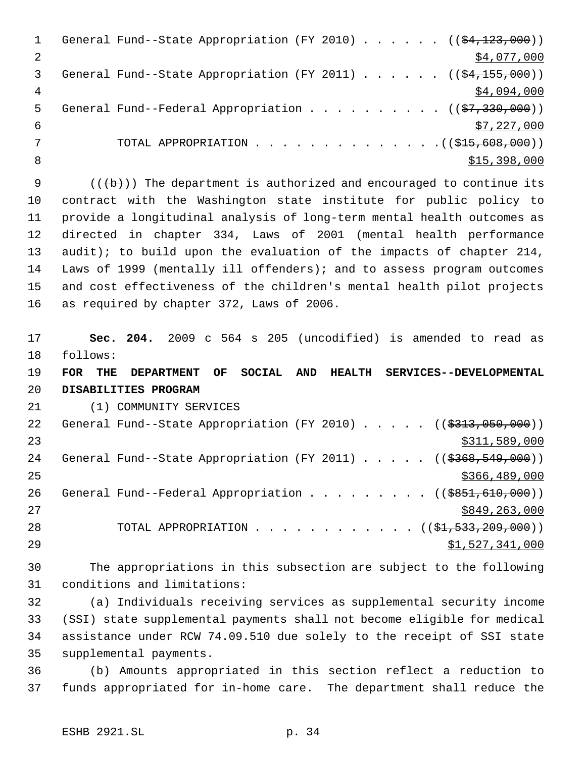|   | General Fund--State Appropriation (FY 2010) $($ $($ $\frac{23}{123},000)$ ) |
|---|-----------------------------------------------------------------------------|
|   | \$4,077,000                                                                 |
| 3 | General Fund--State Appropriation (FY 2011) ( $(\frac{24,155,000}{2})$      |
| 4 | \$4,094,000                                                                 |
| 5 | General Fund--Federal Appropriation ( $(\frac{27}{330}, 000)$ )             |
| 6 | \$7,227,000                                                                 |
|   | TOTAL APPROPRIATION $($ $($ $\frac{215,608,000)}{1000})$                    |
| 8 | \$15,398,000                                                                |
|   |                                                                             |

 $((+b))$  The department is authorized and encouraged to continue its contract with the Washington state institute for public policy to provide a longitudinal analysis of long-term mental health outcomes as directed in chapter 334, Laws of 2001 (mental health performance audit); to build upon the evaluation of the impacts of chapter 214, Laws of 1999 (mentally ill offenders); and to assess program outcomes and cost effectiveness of the children's mental health pilot projects as required by chapter 372, Laws of 2006.

 **Sec. 204.** 2009 c 564 s 205 (uncodified) is amended to read as follows:

 **FOR THE DEPARTMENT OF SOCIAL AND HEALTH SERVICES--DEVELOPMENTAL DISABILITIES PROGRAM**

(1) COMMUNITY SERVICES

| 22 | General Fund--State Appropriation (FY 2010) $($ $($ \$313,050,000)) |
|----|---------------------------------------------------------------------|
| 23 | \$311,589,000                                                       |
| 24 | General Fund--State Appropriation (FY 2011) $($ $($ \$368,549,000)) |
| 25 | \$366, 489, 000                                                     |
| 26 | General Fund--Federal Appropriation ( $(\frac{18851,610,000}{2})$ ) |
| 27 | \$849,263,000                                                       |
| 28 | TOTAL APPROPRIATION ( $(\frac{1}{2}, 533, 209, 000)$ )              |
| 29 | \$1,527,341,000                                                     |

 The appropriations in this subsection are subject to the following conditions and limitations:

 (a) Individuals receiving services as supplemental security income (SSI) state supplemental payments shall not become eligible for medical assistance under RCW 74.09.510 due solely to the receipt of SSI state supplemental payments.

 (b) Amounts appropriated in this section reflect a reduction to funds appropriated for in-home care. The department shall reduce the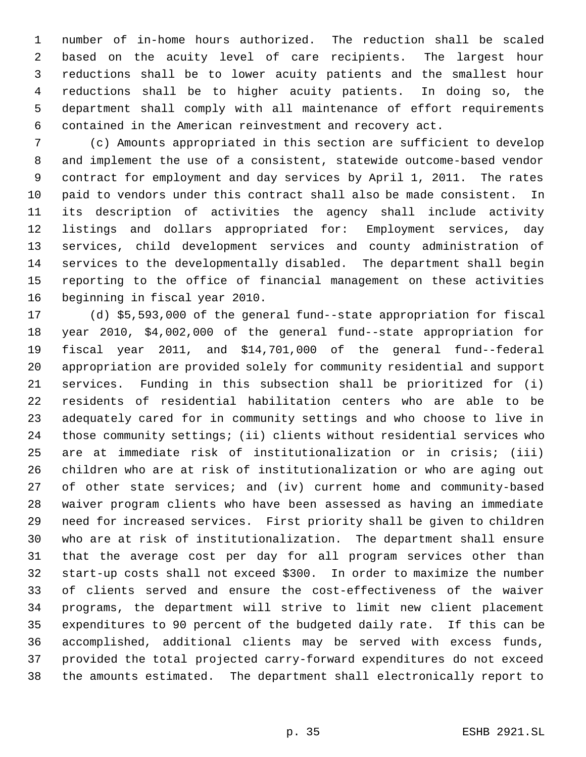number of in-home hours authorized. The reduction shall be scaled based on the acuity level of care recipients. The largest hour reductions shall be to lower acuity patients and the smallest hour reductions shall be to higher acuity patients. In doing so, the department shall comply with all maintenance of effort requirements contained in the American reinvestment and recovery act.

 (c) Amounts appropriated in this section are sufficient to develop and implement the use of a consistent, statewide outcome-based vendor contract for employment and day services by April 1, 2011. The rates paid to vendors under this contract shall also be made consistent. In its description of activities the agency shall include activity listings and dollars appropriated for: Employment services, day services, child development services and county administration of services to the developmentally disabled. The department shall begin reporting to the office of financial management on these activities beginning in fiscal year 2010.

 (d) \$5,593,000 of the general fund--state appropriation for fiscal year 2010, \$4,002,000 of the general fund--state appropriation for fiscal year 2011, and \$14,701,000 of the general fund--federal appropriation are provided solely for community residential and support services. Funding in this subsection shall be prioritized for (i) residents of residential habilitation centers who are able to be adequately cared for in community settings and who choose to live in those community settings; (ii) clients without residential services who are at immediate risk of institutionalization or in crisis; (iii) children who are at risk of institutionalization or who are aging out of other state services; and (iv) current home and community-based waiver program clients who have been assessed as having an immediate need for increased services. First priority shall be given to children who are at risk of institutionalization. The department shall ensure that the average cost per day for all program services other than start-up costs shall not exceed \$300. In order to maximize the number of clients served and ensure the cost-effectiveness of the waiver programs, the department will strive to limit new client placement expenditures to 90 percent of the budgeted daily rate. If this can be accomplished, additional clients may be served with excess funds, provided the total projected carry-forward expenditures do not exceed the amounts estimated. The department shall electronically report to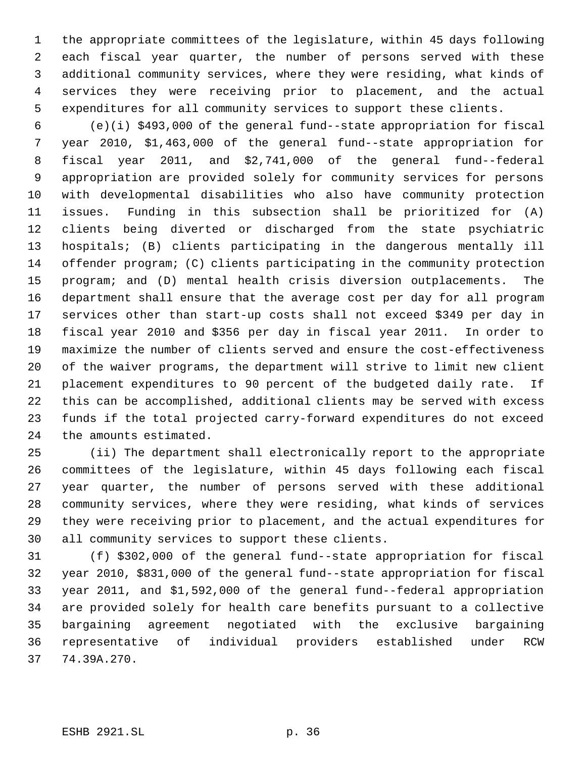the appropriate committees of the legislature, within 45 days following each fiscal year quarter, the number of persons served with these additional community services, where they were residing, what kinds of services they were receiving prior to placement, and the actual expenditures for all community services to support these clients.

 (e)(i) \$493,000 of the general fund--state appropriation for fiscal year 2010, \$1,463,000 of the general fund--state appropriation for fiscal year 2011, and \$2,741,000 of the general fund--federal appropriation are provided solely for community services for persons with developmental disabilities who also have community protection issues. Funding in this subsection shall be prioritized for (A) clients being diverted or discharged from the state psychiatric hospitals; (B) clients participating in the dangerous mentally ill offender program; (C) clients participating in the community protection program; and (D) mental health crisis diversion outplacements. The department shall ensure that the average cost per day for all program services other than start-up costs shall not exceed \$349 per day in fiscal year 2010 and \$356 per day in fiscal year 2011. In order to maximize the number of clients served and ensure the cost-effectiveness of the waiver programs, the department will strive to limit new client placement expenditures to 90 percent of the budgeted daily rate. If this can be accomplished, additional clients may be served with excess funds if the total projected carry-forward expenditures do not exceed the amounts estimated.

 (ii) The department shall electronically report to the appropriate committees of the legislature, within 45 days following each fiscal year quarter, the number of persons served with these additional community services, where they were residing, what kinds of services they were receiving prior to placement, and the actual expenditures for all community services to support these clients.

 (f) \$302,000 of the general fund--state appropriation for fiscal year 2010, \$831,000 of the general fund--state appropriation for fiscal year 2011, and \$1,592,000 of the general fund--federal appropriation are provided solely for health care benefits pursuant to a collective bargaining agreement negotiated with the exclusive bargaining representative of individual providers established under RCW 74.39A.270.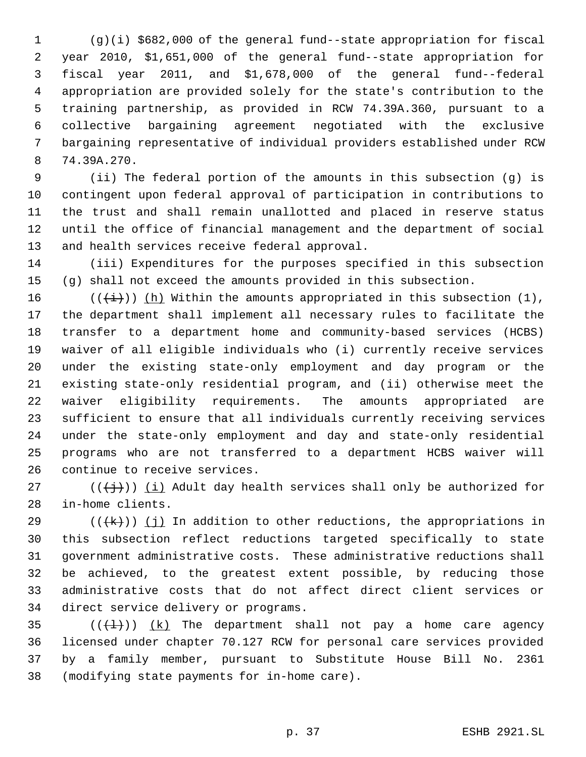(g)(i) \$682,000 of the general fund--state appropriation for fiscal year 2010, \$1,651,000 of the general fund--state appropriation for fiscal year 2011, and \$1,678,000 of the general fund--federal appropriation are provided solely for the state's contribution to the training partnership, as provided in RCW 74.39A.360, pursuant to a collective bargaining agreement negotiated with the exclusive bargaining representative of individual providers established under RCW 74.39A.270.

 (ii) The federal portion of the amounts in this subsection (g) is contingent upon federal approval of participation in contributions to the trust and shall remain unallotted and placed in reserve status until the office of financial management and the department of social and health services receive federal approval.

 (iii) Expenditures for the purposes specified in this subsection (g) shall not exceed the amounts provided in this subsection.

16 ( $(\{\pm\})$ ) (h) Within the amounts appropriated in this subsection (1), the department shall implement all necessary rules to facilitate the transfer to a department home and community-based services (HCBS) waiver of all eligible individuals who (i) currently receive services under the existing state-only employment and day program or the existing state-only residential program, and (ii) otherwise meet the waiver eligibility requirements. The amounts appropriated are sufficient to ensure that all individuals currently receiving services under the state-only employment and day and state-only residential programs who are not transferred to a department HCBS waiver will continue to receive services.

27 ( $(\{\dagger\})$ ) (i) Adult day health services shall only be authorized for in-home clients.

29 ( $(\overline{+k})$ ) (j) In addition to other reductions, the appropriations in this subsection reflect reductions targeted specifically to state government administrative costs. These administrative reductions shall be achieved, to the greatest extent possible, by reducing those administrative costs that do not affect direct client services or direct service delivery or programs.

 $((+1))$   $(k)$  The department shall not pay a home care agency licensed under chapter 70.127 RCW for personal care services provided by a family member, pursuant to Substitute House Bill No. 2361 (modifying state payments for in-home care).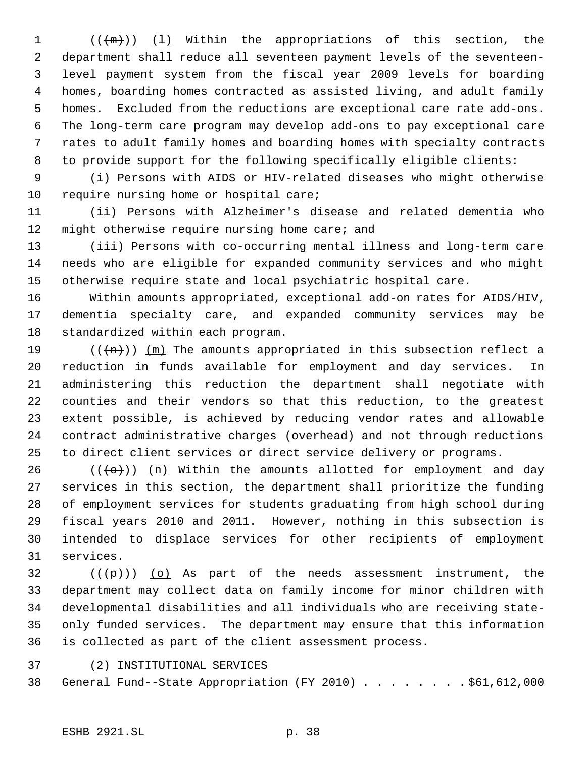$((+m))$   $(1)$  Within the appropriations of this section, the department shall reduce all seventeen payment levels of the seventeen- level payment system from the fiscal year 2009 levels for boarding homes, boarding homes contracted as assisted living, and adult family homes. Excluded from the reductions are exceptional care rate add-ons. The long-term care program may develop add-ons to pay exceptional care rates to adult family homes and boarding homes with specialty contracts to provide support for the following specifically eligible clients:

 (i) Persons with AIDS or HIV-related diseases who might otherwise 10 require nursing home or hospital care;

 (ii) Persons with Alzheimer's disease and related dementia who 12 might otherwise require nursing home care; and

 (iii) Persons with co-occurring mental illness and long-term care needs who are eligible for expanded community services and who might otherwise require state and local psychiatric hospital care.

 Within amounts appropriated, exceptional add-on rates for AIDS/HIV, dementia specialty care, and expanded community services may be standardized within each program.

19 ( $(\overline{+n})$ )  $(m)$  The amounts appropriated in this subsection reflect a reduction in funds available for employment and day services. In administering this reduction the department shall negotiate with counties and their vendors so that this reduction, to the greatest extent possible, is achieved by reducing vendor rates and allowable contract administrative charges (overhead) and not through reductions to direct client services or direct service delivery or programs.

26 ( $(\overline{\left\langle 0+\right\rangle})$ ) (n) Within the amounts allotted for employment and day services in this section, the department shall prioritize the funding of employment services for students graduating from high school during fiscal years 2010 and 2011. However, nothing in this subsection is intended to displace services for other recipients of employment services.

 ( $(\overline{\mathcal{P}})$ ) (o) As part of the needs assessment instrument, the department may collect data on family income for minor children with developmental disabilities and all individuals who are receiving state- only funded services. The department may ensure that this information is collected as part of the client assessment process.

(2) INSTITUTIONAL SERVICES

General Fund--State Appropriation (FY 2010) . . . . . . . . \$61,612,000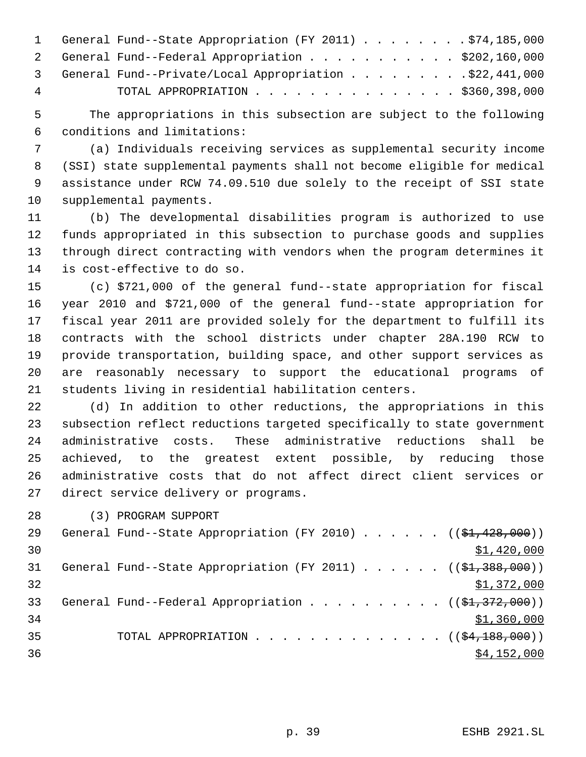|    | 1 General Fund--State Appropriation (FY 2011) \$74,185,000 |
|----|------------------------------------------------------------|
|    | 2 General Fund--Federal Appropriation \$202,160,000        |
|    | 3 General Fund--Private/Local Appropriation \$22,441,000   |
| -4 | TOTAL APPROPRIATION $\ldots$ , \$360,398,000               |

 The appropriations in this subsection are subject to the following conditions and limitations:

 (a) Individuals receiving services as supplemental security income (SSI) state supplemental payments shall not become eligible for medical assistance under RCW 74.09.510 due solely to the receipt of SSI state supplemental payments.

 (b) The developmental disabilities program is authorized to use funds appropriated in this subsection to purchase goods and supplies through direct contracting with vendors when the program determines it is cost-effective to do so.

 (c) \$721,000 of the general fund--state appropriation for fiscal year 2010 and \$721,000 of the general fund--state appropriation for fiscal year 2011 are provided solely for the department to fulfill its contracts with the school districts under chapter 28A.190 RCW to provide transportation, building space, and other support services as are reasonably necessary to support the educational programs of students living in residential habilitation centers.

 (d) In addition to other reductions, the appropriations in this subsection reflect reductions targeted specifically to state government administrative costs. These administrative reductions shall be achieved, to the greatest extent possible, by reducing those administrative costs that do not affect direct client services or direct service delivery or programs.

(3) PROGRAM SUPPORT

| 29 | General Fund--State Appropriation (FY 2010) $($ $($ \$1,428,000))        |
|----|--------------------------------------------------------------------------|
| 30 | \$1,420,000                                                              |
| 31 | General Fund--State Appropriation (FY 2011) $($ $($ \$1,388,000))        |
| 32 | \$1,372,000                                                              |
| 33 | General Fund--Federal Appropriation ( $(\frac{1}{2}, \frac{372}{100})$ ) |
| 34 | \$1,360,000                                                              |
| 35 | TOTAL APPROPRIATION $\ldots$ , ( $(\frac{64,188,000}{2})$ )              |
| 36 | \$4,152,000                                                              |
|    |                                                                          |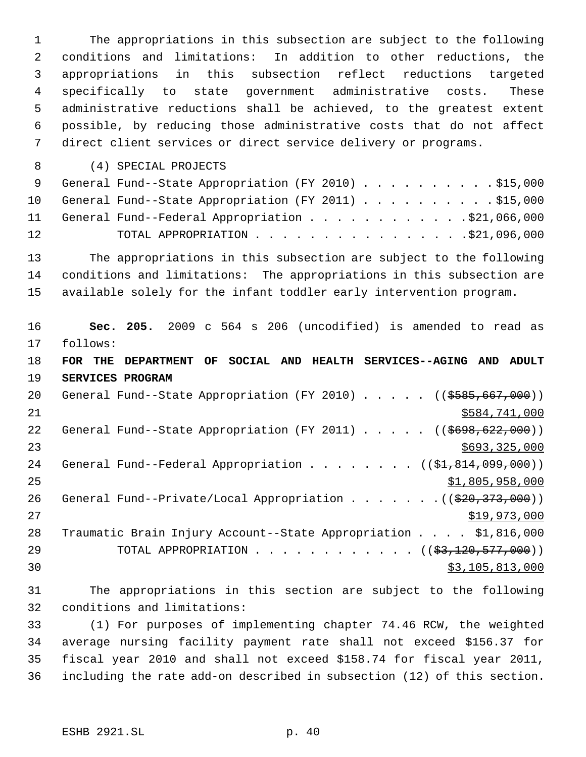The appropriations in this subsection are subject to the following conditions and limitations: In addition to other reductions, the appropriations in this subsection reflect reductions targeted specifically to state government administrative costs. These administrative reductions shall be achieved, to the greatest extent possible, by reducing those administrative costs that do not affect direct client services or direct service delivery or programs. (4) SPECIAL PROJECTS 9 General Fund--State Appropriation (FY 2010) . . . . . . . . . \$15,000 10 General Fund--State Appropriation (FY 2011) . . . . . . . . . . \$15,000 11 General Fund--Federal Appropriation . . . . . . . . . . . \$21,066,000 12 TOTAL APPROPRIATION . . . . . . . . . . . . . . . . \$21,096,000 The appropriations in this subsection are subject to the following conditions and limitations: The appropriations in this subsection are available solely for the infant toddler early intervention program. **Sec. 205.** 2009 c 564 s 206 (uncodified) is amended to read as follows: **FOR THE DEPARTMENT OF SOCIAL AND HEALTH SERVICES--AGING AND ADULT SERVICES PROGRAM** 20 General Fund--State Appropriation (FY 2010) . . . . . ((\$585,667,000)) \$584,741,000 22 General Fund--State Appropriation (FY 2011) . . . . . ((\$698,622,000))  $$693,325,000$ 24 General Fund--Federal Appropriation . . . . . . . ((\$1,814,099,000))  $\frac{$1,805,958,000}{25}$ 26 General Fund--Private/Local Appropriation . . . . . . . ((\$20,373,000)) \$19,973,000 Traumatic Brain Injury Account--State Appropriation . . . . \$1,816,000 29 TOTAL APPROPRIATION . . . . . . . . . . . . ((\$3,120,577,000)) 30 \$3,105,813,000

 The appropriations in this section are subject to the following conditions and limitations:

 (1) For purposes of implementing chapter 74.46 RCW, the weighted average nursing facility payment rate shall not exceed \$156.37 for fiscal year 2010 and shall not exceed \$158.74 for fiscal year 2011, including the rate add-on described in subsection (12) of this section.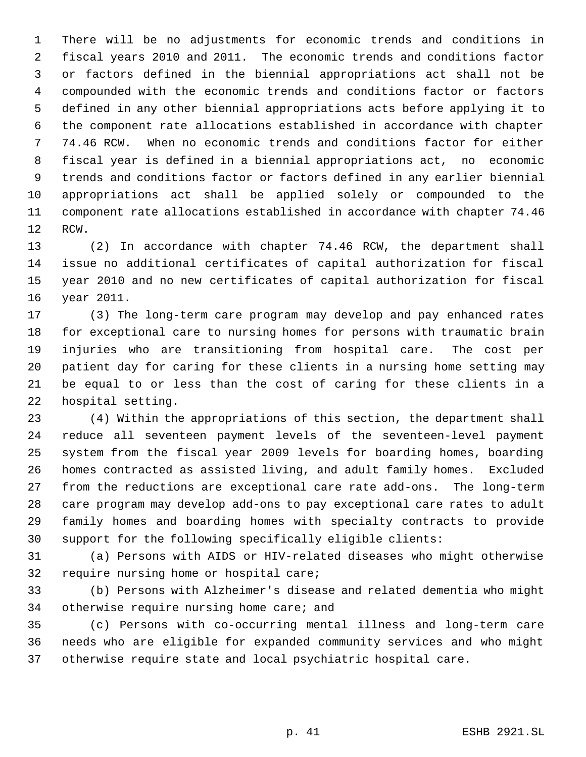There will be no adjustments for economic trends and conditions in fiscal years 2010 and 2011. The economic trends and conditions factor or factors defined in the biennial appropriations act shall not be compounded with the economic trends and conditions factor or factors defined in any other biennial appropriations acts before applying it to the component rate allocations established in accordance with chapter 74.46 RCW. When no economic trends and conditions factor for either fiscal year is defined in a biennial appropriations act, no economic trends and conditions factor or factors defined in any earlier biennial appropriations act shall be applied solely or compounded to the component rate allocations established in accordance with chapter 74.46 RCW.

 (2) In accordance with chapter 74.46 RCW, the department shall issue no additional certificates of capital authorization for fiscal year 2010 and no new certificates of capital authorization for fiscal year 2011.

 (3) The long-term care program may develop and pay enhanced rates for exceptional care to nursing homes for persons with traumatic brain injuries who are transitioning from hospital care. The cost per patient day for caring for these clients in a nursing home setting may be equal to or less than the cost of caring for these clients in a hospital setting.

 (4) Within the appropriations of this section, the department shall reduce all seventeen payment levels of the seventeen-level payment system from the fiscal year 2009 levels for boarding homes, boarding homes contracted as assisted living, and adult family homes. Excluded from the reductions are exceptional care rate add-ons. The long-term care program may develop add-ons to pay exceptional care rates to adult family homes and boarding homes with specialty contracts to provide support for the following specifically eligible clients:

 (a) Persons with AIDS or HIV-related diseases who might otherwise require nursing home or hospital care;

 (b) Persons with Alzheimer's disease and related dementia who might 34 otherwise require nursing home care; and

 (c) Persons with co-occurring mental illness and long-term care needs who are eligible for expanded community services and who might otherwise require state and local psychiatric hospital care.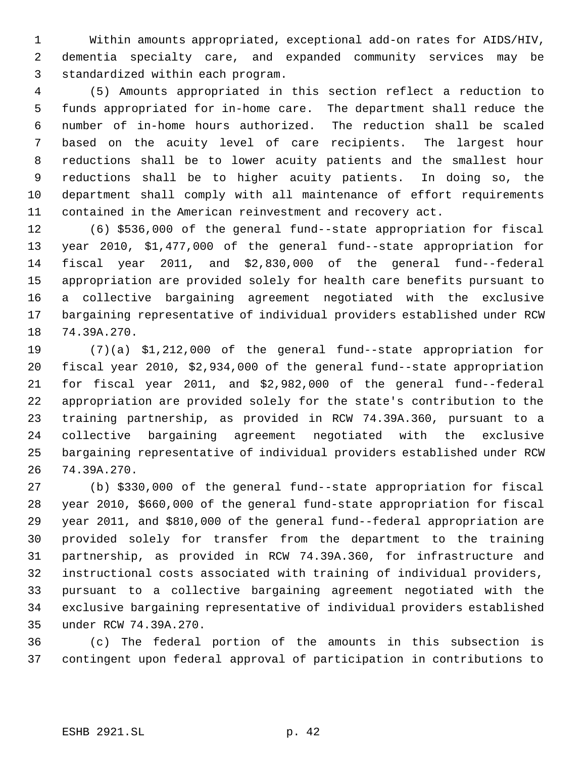Within amounts appropriated, exceptional add-on rates for AIDS/HIV, dementia specialty care, and expanded community services may be standardized within each program.

 (5) Amounts appropriated in this section reflect a reduction to funds appropriated for in-home care. The department shall reduce the number of in-home hours authorized. The reduction shall be scaled based on the acuity level of care recipients. The largest hour reductions shall be to lower acuity patients and the smallest hour reductions shall be to higher acuity patients. In doing so, the department shall comply with all maintenance of effort requirements contained in the American reinvestment and recovery act.

 (6) \$536,000 of the general fund--state appropriation for fiscal year 2010, \$1,477,000 of the general fund--state appropriation for fiscal year 2011, and \$2,830,000 of the general fund--federal appropriation are provided solely for health care benefits pursuant to a collective bargaining agreement negotiated with the exclusive bargaining representative of individual providers established under RCW 74.39A.270.

 (7)(a) \$1,212,000 of the general fund--state appropriation for fiscal year 2010, \$2,934,000 of the general fund--state appropriation for fiscal year 2011, and \$2,982,000 of the general fund--federal appropriation are provided solely for the state's contribution to the training partnership, as provided in RCW 74.39A.360, pursuant to a collective bargaining agreement negotiated with the exclusive bargaining representative of individual providers established under RCW 74.39A.270.

 (b) \$330,000 of the general fund--state appropriation for fiscal year 2010, \$660,000 of the general fund-state appropriation for fiscal year 2011, and \$810,000 of the general fund--federal appropriation are provided solely for transfer from the department to the training partnership, as provided in RCW 74.39A.360, for infrastructure and instructional costs associated with training of individual providers, pursuant to a collective bargaining agreement negotiated with the exclusive bargaining representative of individual providers established under RCW 74.39A.270.

 (c) The federal portion of the amounts in this subsection is contingent upon federal approval of participation in contributions to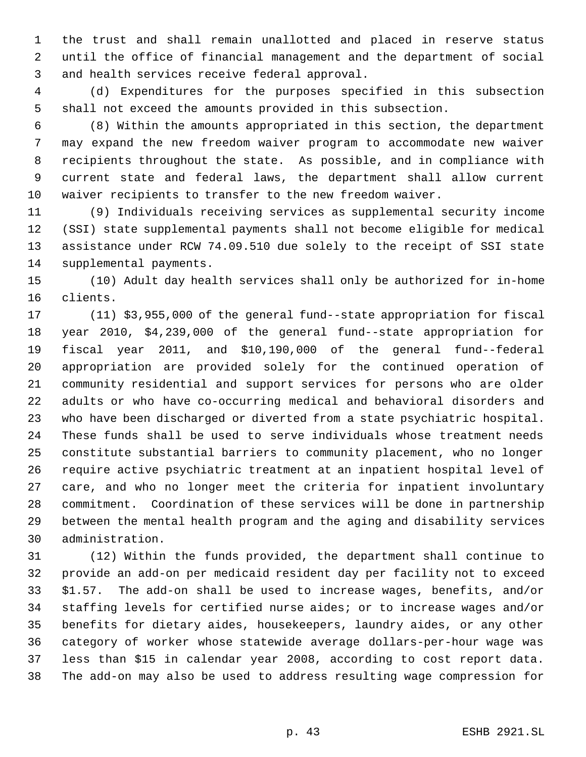the trust and shall remain unallotted and placed in reserve status until the office of financial management and the department of social and health services receive federal approval.

 (d) Expenditures for the purposes specified in this subsection shall not exceed the amounts provided in this subsection.

 (8) Within the amounts appropriated in this section, the department may expand the new freedom waiver program to accommodate new waiver recipients throughout the state. As possible, and in compliance with current state and federal laws, the department shall allow current waiver recipients to transfer to the new freedom waiver.

 (9) Individuals receiving services as supplemental security income (SSI) state supplemental payments shall not become eligible for medical assistance under RCW 74.09.510 due solely to the receipt of SSI state supplemental payments.

 (10) Adult day health services shall only be authorized for in-home clients.

 (11) \$3,955,000 of the general fund--state appropriation for fiscal year 2010, \$4,239,000 of the general fund--state appropriation for fiscal year 2011, and \$10,190,000 of the general fund--federal appropriation are provided solely for the continued operation of community residential and support services for persons who are older adults or who have co-occurring medical and behavioral disorders and who have been discharged or diverted from a state psychiatric hospital. These funds shall be used to serve individuals whose treatment needs constitute substantial barriers to community placement, who no longer require active psychiatric treatment at an inpatient hospital level of care, and who no longer meet the criteria for inpatient involuntary commitment. Coordination of these services will be done in partnership between the mental health program and the aging and disability services administration.

 (12) Within the funds provided, the department shall continue to provide an add-on per medicaid resident day per facility not to exceed \$1.57. The add-on shall be used to increase wages, benefits, and/or staffing levels for certified nurse aides; or to increase wages and/or benefits for dietary aides, housekeepers, laundry aides, or any other category of worker whose statewide average dollars-per-hour wage was less than \$15 in calendar year 2008, according to cost report data. The add-on may also be used to address resulting wage compression for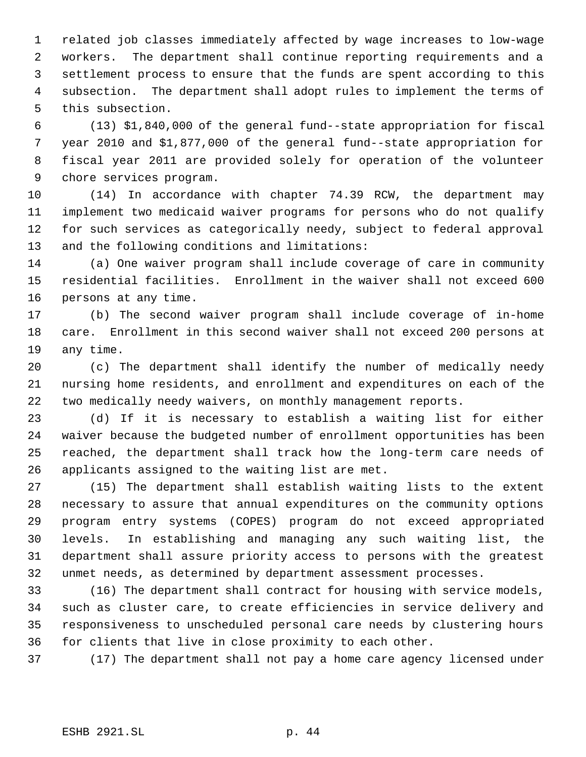related job classes immediately affected by wage increases to low-wage workers. The department shall continue reporting requirements and a settlement process to ensure that the funds are spent according to this subsection. The department shall adopt rules to implement the terms of this subsection.

 (13) \$1,840,000 of the general fund--state appropriation for fiscal year 2010 and \$1,877,000 of the general fund--state appropriation for fiscal year 2011 are provided solely for operation of the volunteer chore services program.

 (14) In accordance with chapter 74.39 RCW, the department may implement two medicaid waiver programs for persons who do not qualify for such services as categorically needy, subject to federal approval and the following conditions and limitations:

 (a) One waiver program shall include coverage of care in community residential facilities. Enrollment in the waiver shall not exceed 600 persons at any time.

 (b) The second waiver program shall include coverage of in-home care. Enrollment in this second waiver shall not exceed 200 persons at any time.

 (c) The department shall identify the number of medically needy nursing home residents, and enrollment and expenditures on each of the two medically needy waivers, on monthly management reports.

 (d) If it is necessary to establish a waiting list for either waiver because the budgeted number of enrollment opportunities has been reached, the department shall track how the long-term care needs of applicants assigned to the waiting list are met.

 (15) The department shall establish waiting lists to the extent necessary to assure that annual expenditures on the community options program entry systems (COPES) program do not exceed appropriated levels. In establishing and managing any such waiting list, the department shall assure priority access to persons with the greatest unmet needs, as determined by department assessment processes.

 (16) The department shall contract for housing with service models, such as cluster care, to create efficiencies in service delivery and responsiveness to unscheduled personal care needs by clustering hours for clients that live in close proximity to each other.

(17) The department shall not pay a home care agency licensed under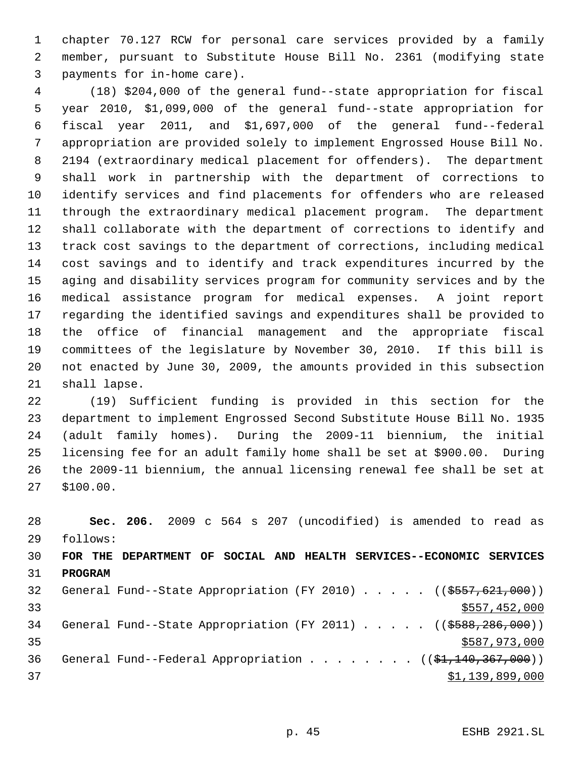chapter 70.127 RCW for personal care services provided by a family member, pursuant to Substitute House Bill No. 2361 (modifying state payments for in-home care).

 (18) \$204,000 of the general fund--state appropriation for fiscal year 2010, \$1,099,000 of the general fund--state appropriation for fiscal year 2011, and \$1,697,000 of the general fund--federal appropriation are provided solely to implement Engrossed House Bill No. 2194 (extraordinary medical placement for offenders). The department shall work in partnership with the department of corrections to identify services and find placements for offenders who are released through the extraordinary medical placement program. The department shall collaborate with the department of corrections to identify and track cost savings to the department of corrections, including medical cost savings and to identify and track expenditures incurred by the aging and disability services program for community services and by the medical assistance program for medical expenses. A joint report regarding the identified savings and expenditures shall be provided to the office of financial management and the appropriate fiscal committees of the legislature by November 30, 2010. If this bill is not enacted by June 30, 2009, the amounts provided in this subsection shall lapse.

 (19) Sufficient funding is provided in this section for the department to implement Engrossed Second Substitute House Bill No. 1935 (adult family homes). During the 2009-11 biennium, the initial licensing fee for an adult family home shall be set at \$900.00. During the 2009-11 biennium, the annual licensing renewal fee shall be set at \$100.00.

 **Sec. 206.** 2009 c 564 s 207 (uncodified) is amended to read as follows: **FOR THE DEPARTMENT OF SOCIAL AND HEALTH SERVICES--ECONOMIC SERVICES PROGRAM** 32 General Fund--State Appropriation (FY 2010) . . . . . ((\$557,621,000))  $\frac{1}{2}$  33  $\frac{1}{2}$  33 34 General Fund--State Appropriation (FY 2011) . . . . . ((\$588,286,000))  $35 \times 587,973,000$ 36 General Fund--Federal Appropriation . . . . . . . ((\$1,140,367,000))  $\frac{1}{2}$   $\frac{1}{39}$ , 899, 000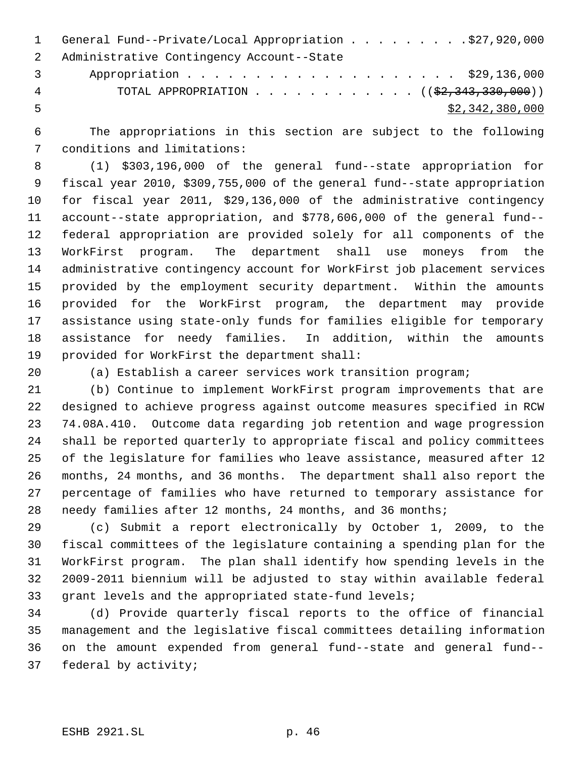|                | 1 General Fund--Private/Local Appropriation \$27,920,000                 |
|----------------|--------------------------------------------------------------------------|
|                | 2 Administrative Contingency Account--State                              |
| $\overline{3}$ | Appropriation \$29,136,000                                               |
| 4              | TOTAL APPROPRIATION ( $(\frac{2}{2}, \frac{343}{330}, \frac{300}{90})$ ) |
| - 5            | \$2,342,380,000                                                          |

 The appropriations in this section are subject to the following conditions and limitations:

 (1) \$303,196,000 of the general fund--state appropriation for fiscal year 2010, \$309,755,000 of the general fund--state appropriation for fiscal year 2011, \$29,136,000 of the administrative contingency account--state appropriation, and \$778,606,000 of the general fund-- federal appropriation are provided solely for all components of the WorkFirst program. The department shall use moneys from the administrative contingency account for WorkFirst job placement services provided by the employment security department. Within the amounts provided for the WorkFirst program, the department may provide assistance using state-only funds for families eligible for temporary assistance for needy families. In addition, within the amounts provided for WorkFirst the department shall:

(a) Establish a career services work transition program;

 (b) Continue to implement WorkFirst program improvements that are designed to achieve progress against outcome measures specified in RCW 74.08A.410. Outcome data regarding job retention and wage progression shall be reported quarterly to appropriate fiscal and policy committees of the legislature for families who leave assistance, measured after 12 months, 24 months, and 36 months. The department shall also report the percentage of families who have returned to temporary assistance for needy families after 12 months, 24 months, and 36 months;

 (c) Submit a report electronically by October 1, 2009, to the fiscal committees of the legislature containing a spending plan for the WorkFirst program. The plan shall identify how spending levels in the 2009-2011 biennium will be adjusted to stay within available federal grant levels and the appropriated state-fund levels;

 (d) Provide quarterly fiscal reports to the office of financial management and the legislative fiscal committees detailing information on the amount expended from general fund--state and general fund-- federal by activity;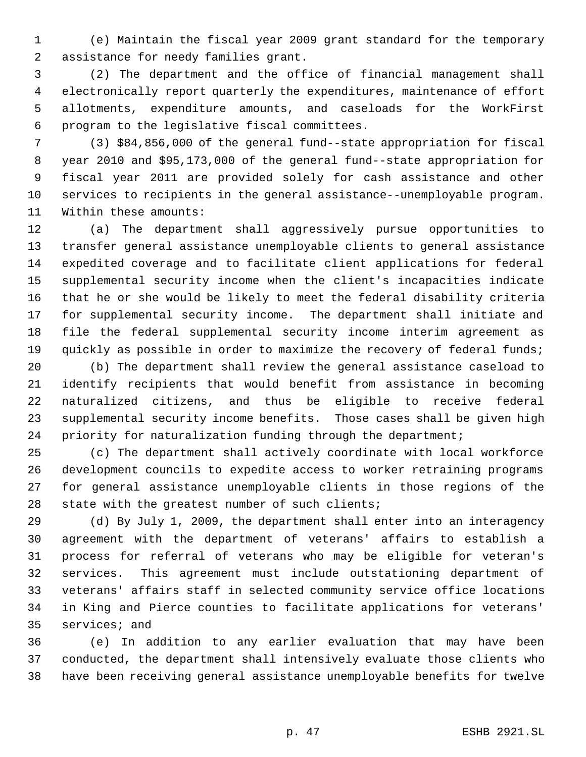(e) Maintain the fiscal year 2009 grant standard for the temporary assistance for needy families grant.

 (2) The department and the office of financial management shall electronically report quarterly the expenditures, maintenance of effort allotments, expenditure amounts, and caseloads for the WorkFirst program to the legislative fiscal committees.

 (3) \$84,856,000 of the general fund--state appropriation for fiscal year 2010 and \$95,173,000 of the general fund--state appropriation for fiscal year 2011 are provided solely for cash assistance and other services to recipients in the general assistance--unemployable program. Within these amounts:

 (a) The department shall aggressively pursue opportunities to transfer general assistance unemployable clients to general assistance expedited coverage and to facilitate client applications for federal supplemental security income when the client's incapacities indicate that he or she would be likely to meet the federal disability criteria for supplemental security income. The department shall initiate and file the federal supplemental security income interim agreement as 19 quickly as possible in order to maximize the recovery of federal funds;

 (b) The department shall review the general assistance caseload to identify recipients that would benefit from assistance in becoming naturalized citizens, and thus be eligible to receive federal supplemental security income benefits. Those cases shall be given high priority for naturalization funding through the department;

 (c) The department shall actively coordinate with local workforce development councils to expedite access to worker retraining programs for general assistance unemployable clients in those regions of the state with the greatest number of such clients;

 (d) By July 1, 2009, the department shall enter into an interagency agreement with the department of veterans' affairs to establish a process for referral of veterans who may be eligible for veteran's services. This agreement must include outstationing department of veterans' affairs staff in selected community service office locations in King and Pierce counties to facilitate applications for veterans' services; and

 (e) In addition to any earlier evaluation that may have been conducted, the department shall intensively evaluate those clients who have been receiving general assistance unemployable benefits for twelve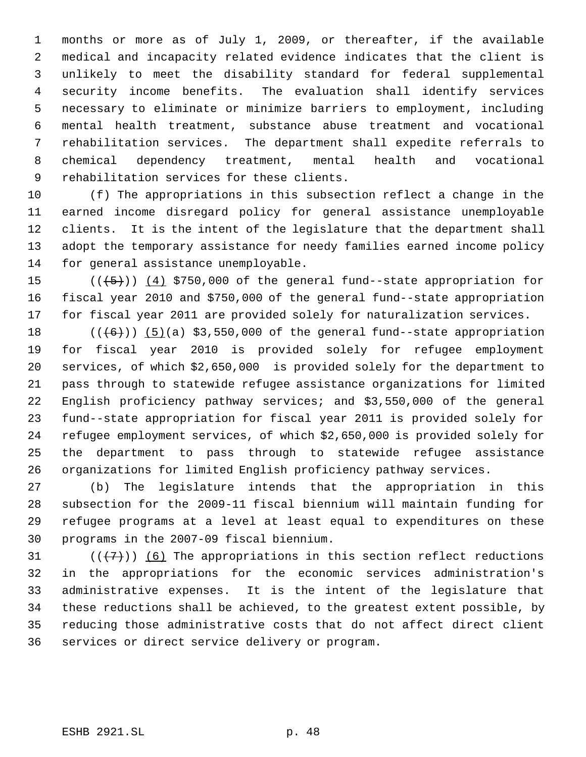months or more as of July 1, 2009, or thereafter, if the available medical and incapacity related evidence indicates that the client is unlikely to meet the disability standard for federal supplemental security income benefits. The evaluation shall identify services necessary to eliminate or minimize barriers to employment, including mental health treatment, substance abuse treatment and vocational rehabilitation services. The department shall expedite referrals to chemical dependency treatment, mental health and vocational rehabilitation services for these clients.

 (f) The appropriations in this subsection reflect a change in the earned income disregard policy for general assistance unemployable clients. It is the intent of the legislature that the department shall adopt the temporary assistance for needy families earned income policy for general assistance unemployable.

15  $((+5))$   $(4)$  \$750,000 of the general fund--state appropriation for fiscal year 2010 and \$750,000 of the general fund--state appropriation for fiscal year 2011 are provided solely for naturalization services.

 $((\text{(+6)}))$  (5)(a) \$3,550,000 of the general fund--state appropriation for fiscal year 2010 is provided solely for refugee employment services, of which \$2,650,000 is provided solely for the department to pass through to statewide refugee assistance organizations for limited English proficiency pathway services; and \$3,550,000 of the general fund--state appropriation for fiscal year 2011 is provided solely for refugee employment services, of which \$2,650,000 is provided solely for the department to pass through to statewide refugee assistance organizations for limited English proficiency pathway services.

 (b) The legislature intends that the appropriation in this subsection for the 2009-11 fiscal biennium will maintain funding for refugee programs at a level at least equal to expenditures on these programs in the 2007-09 fiscal biennium.

 $((+7))$  (6) The appropriations in this section reflect reductions in the appropriations for the economic services administration's administrative expenses. It is the intent of the legislature that these reductions shall be achieved, to the greatest extent possible, by reducing those administrative costs that do not affect direct client services or direct service delivery or program.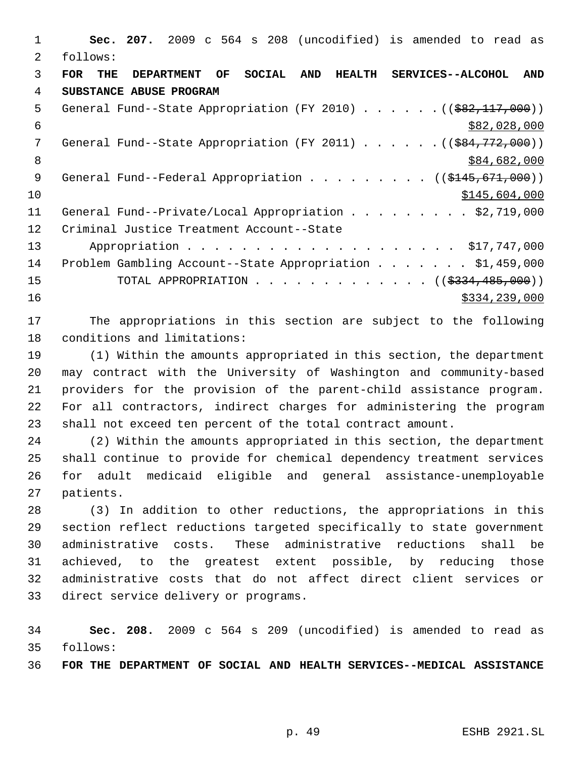**Sec. 207.** 2009 c 564 s 208 (uncodified) is amended to read as follows: **FOR THE DEPARTMENT OF SOCIAL AND HEALTH SERVICES--ALCOHOL AND SUBSTANCE ABUSE PROGRAM** 5 General Fund--State Appropriation (FY 2010) . . . . . . ((\$82,117,000))  $\frac{$82,028,000}{ }$ 7 General Fund--State Appropriation (FY 2011) . . . . . . ((\$84,772,000)) 8 \$84,682,000 \$84,682,000 9 General Fund--Federal Appropriation . . . . . . . . ((\$145,671,000)) \$145,604,000 11 General Fund--Private/Local Appropriation . . . . . . . . \$2,719,000 Criminal Justice Treatment Account--State Appropriation . . . . . . . . . . . . . . . . . . . . \$17,747,000 Problem Gambling Account--State Appropriation . . . . . . . \$1,459,000 15 TOTAL APPROPRIATION . . . . . . . . . . . . ((\$<del>334,485,000</del>)) \$334,239,000

 The appropriations in this section are subject to the following conditions and limitations:

 (1) Within the amounts appropriated in this section, the department may contract with the University of Washington and community-based providers for the provision of the parent-child assistance program. For all contractors, indirect charges for administering the program shall not exceed ten percent of the total contract amount.

 (2) Within the amounts appropriated in this section, the department shall continue to provide for chemical dependency treatment services for adult medicaid eligible and general assistance-unemployable patients.

 (3) In addition to other reductions, the appropriations in this section reflect reductions targeted specifically to state government administrative costs. These administrative reductions shall be achieved, to the greatest extent possible, by reducing those administrative costs that do not affect direct client services or direct service delivery or programs.

 **Sec. 208.** 2009 c 564 s 209 (uncodified) is amended to read as follows:

**FOR THE DEPARTMENT OF SOCIAL AND HEALTH SERVICES--MEDICAL ASSISTANCE**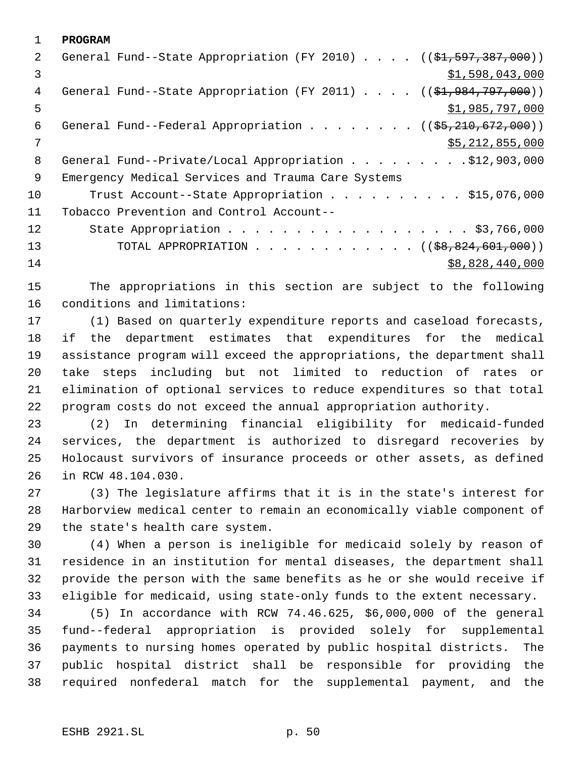**PROGRAM** 2 General Fund--State Appropriation (FY 2010) . . . . ((\$1,597,387,000))  $3 \hspace{2.5cm}$   $\frac{1}{3}$ ,598,043,000 4 General Fund--State Appropriation (FY 2011) . . . . ((\$1,984,797,000))  $5 - 5$   $\frac{1}{2}$ ,985,797,000 6 General Fund--Federal Appropriation . . . . . . .  $($   $($ \$5,210,672,000)) \$5,212,855,000 8 General Fund--Private/Local Appropriation . . . . . . . . . \$12,903,000 Emergency Medical Services and Trauma Care Systems 10 Trust Account--State Appropriation . . . . . . . . . \$15,076,000 Tobacco Prevention and Control Account-- 12 State Appropriation . . . . . . . . . . . . . . . . . \$3,766,000 13 TOTAL APPROPRIATION . . . . . . . . . . . . ((\$8,824,601,000)) \$8,828,440,000

 The appropriations in this section are subject to the following conditions and limitations:

 (1) Based on quarterly expenditure reports and caseload forecasts, if the department estimates that expenditures for the medical assistance program will exceed the appropriations, the department shall take steps including but not limited to reduction of rates or elimination of optional services to reduce expenditures so that total program costs do not exceed the annual appropriation authority.

 (2) In determining financial eligibility for medicaid-funded services, the department is authorized to disregard recoveries by Holocaust survivors of insurance proceeds or other assets, as defined in RCW 48.104.030.

 (3) The legislature affirms that it is in the state's interest for Harborview medical center to remain an economically viable component of the state's health care system.

 (4) When a person is ineligible for medicaid solely by reason of residence in an institution for mental diseases, the department shall provide the person with the same benefits as he or she would receive if eligible for medicaid, using state-only funds to the extent necessary.

 (5) In accordance with RCW 74.46.625, \$6,000,000 of the general fund--federal appropriation is provided solely for supplemental payments to nursing homes operated by public hospital districts. The public hospital district shall be responsible for providing the required nonfederal match for the supplemental payment, and the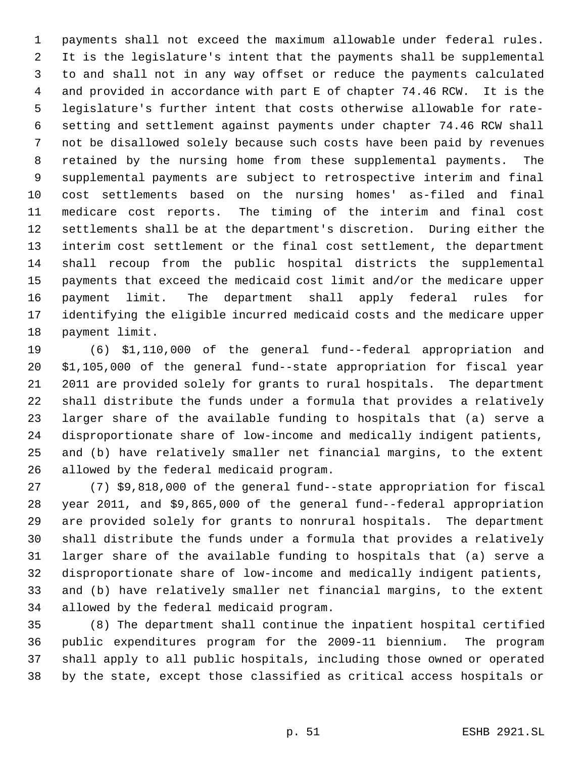payments shall not exceed the maximum allowable under federal rules. It is the legislature's intent that the payments shall be supplemental to and shall not in any way offset or reduce the payments calculated and provided in accordance with part E of chapter 74.46 RCW. It is the legislature's further intent that costs otherwise allowable for rate- setting and settlement against payments under chapter 74.46 RCW shall not be disallowed solely because such costs have been paid by revenues retained by the nursing home from these supplemental payments. The supplemental payments are subject to retrospective interim and final cost settlements based on the nursing homes' as-filed and final medicare cost reports. The timing of the interim and final cost settlements shall be at the department's discretion. During either the interim cost settlement or the final cost settlement, the department shall recoup from the public hospital districts the supplemental payments that exceed the medicaid cost limit and/or the medicare upper payment limit. The department shall apply federal rules for identifying the eligible incurred medicaid costs and the medicare upper payment limit.

 (6) \$1,110,000 of the general fund--federal appropriation and \$1,105,000 of the general fund--state appropriation for fiscal year 2011 are provided solely for grants to rural hospitals. The department shall distribute the funds under a formula that provides a relatively larger share of the available funding to hospitals that (a) serve a disproportionate share of low-income and medically indigent patients, and (b) have relatively smaller net financial margins, to the extent allowed by the federal medicaid program.

 (7) \$9,818,000 of the general fund--state appropriation for fiscal year 2011, and \$9,865,000 of the general fund--federal appropriation are provided solely for grants to nonrural hospitals. The department shall distribute the funds under a formula that provides a relatively larger share of the available funding to hospitals that (a) serve a disproportionate share of low-income and medically indigent patients, and (b) have relatively smaller net financial margins, to the extent allowed by the federal medicaid program.

 (8) The department shall continue the inpatient hospital certified public expenditures program for the 2009-11 biennium. The program shall apply to all public hospitals, including those owned or operated by the state, except those classified as critical access hospitals or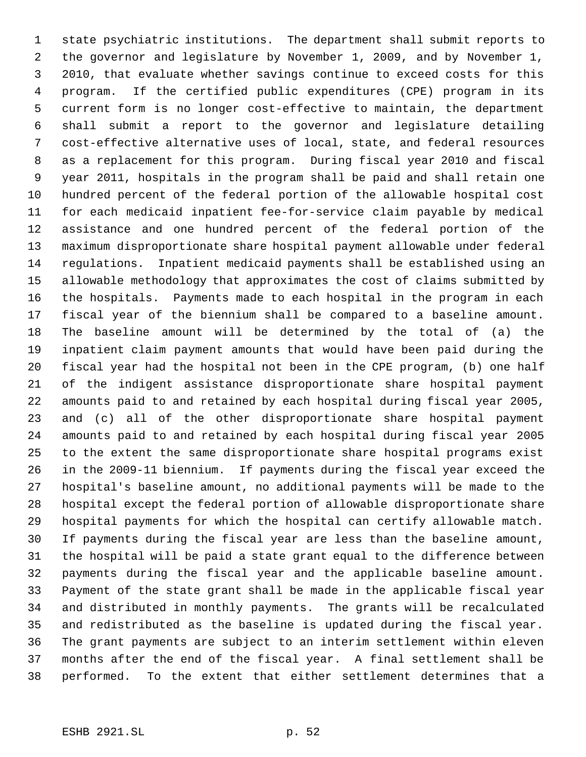state psychiatric institutions. The department shall submit reports to the governor and legislature by November 1, 2009, and by November 1, 2010, that evaluate whether savings continue to exceed costs for this program. If the certified public expenditures (CPE) program in its current form is no longer cost-effective to maintain, the department shall submit a report to the governor and legislature detailing cost-effective alternative uses of local, state, and federal resources as a replacement for this program. During fiscal year 2010 and fiscal year 2011, hospitals in the program shall be paid and shall retain one hundred percent of the federal portion of the allowable hospital cost for each medicaid inpatient fee-for-service claim payable by medical assistance and one hundred percent of the federal portion of the maximum disproportionate share hospital payment allowable under federal regulations. Inpatient medicaid payments shall be established using an allowable methodology that approximates the cost of claims submitted by the hospitals. Payments made to each hospital in the program in each fiscal year of the biennium shall be compared to a baseline amount. The baseline amount will be determined by the total of (a) the inpatient claim payment amounts that would have been paid during the fiscal year had the hospital not been in the CPE program, (b) one half of the indigent assistance disproportionate share hospital payment amounts paid to and retained by each hospital during fiscal year 2005, and (c) all of the other disproportionate share hospital payment amounts paid to and retained by each hospital during fiscal year 2005 to the extent the same disproportionate share hospital programs exist in the 2009-11 biennium. If payments during the fiscal year exceed the hospital's baseline amount, no additional payments will be made to the hospital except the federal portion of allowable disproportionate share hospital payments for which the hospital can certify allowable match. If payments during the fiscal year are less than the baseline amount, the hospital will be paid a state grant equal to the difference between payments during the fiscal year and the applicable baseline amount. Payment of the state grant shall be made in the applicable fiscal year and distributed in monthly payments. The grants will be recalculated and redistributed as the baseline is updated during the fiscal year. The grant payments are subject to an interim settlement within eleven months after the end of the fiscal year. A final settlement shall be performed. To the extent that either settlement determines that a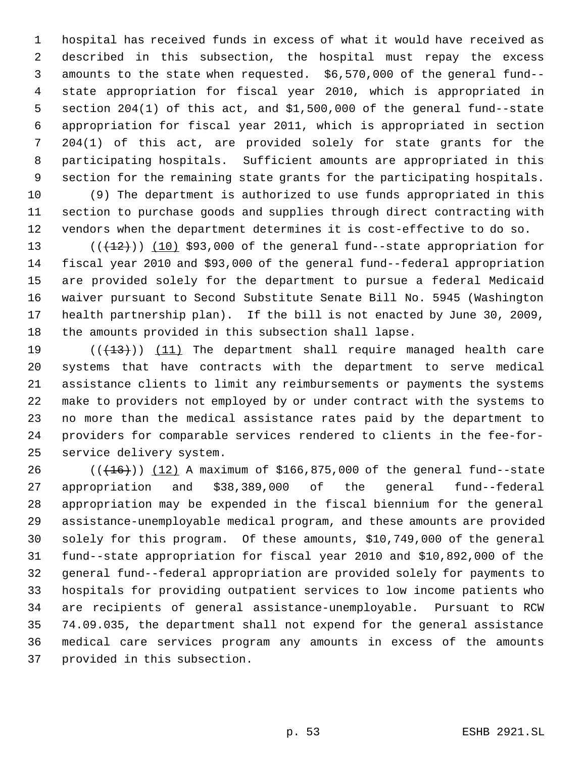hospital has received funds in excess of what it would have received as described in this subsection, the hospital must repay the excess amounts to the state when requested. \$6,570,000 of the general fund-- state appropriation for fiscal year 2010, which is appropriated in section 204(1) of this act, and \$1,500,000 of the general fund--state appropriation for fiscal year 2011, which is appropriated in section 204(1) of this act, are provided solely for state grants for the participating hospitals. Sufficient amounts are appropriated in this section for the remaining state grants for the participating hospitals.

 (9) The department is authorized to use funds appropriated in this section to purchase goods and supplies through direct contracting with vendors when the department determines it is cost-effective to do so.

13 (( $(12)$ )) (10) \$93,000 of the general fund--state appropriation for fiscal year 2010 and \$93,000 of the general fund--federal appropriation are provided solely for the department to pursue a federal Medicaid waiver pursuant to Second Substitute Senate Bill No. 5945 (Washington health partnership plan). If the bill is not enacted by June 30, 2009, the amounts provided in this subsection shall lapse.

19 (((13))) (11) The department shall require managed health care systems that have contracts with the department to serve medical assistance clients to limit any reimbursements or payments the systems make to providers not employed by or under contract with the systems to no more than the medical assistance rates paid by the department to providers for comparable services rendered to clients in the fee-for-service delivery system.

26 (( $(16)$ )) (12) A maximum of \$166,875,000 of the general fund--state appropriation and \$38,389,000 of the general fund--federal appropriation may be expended in the fiscal biennium for the general assistance-unemployable medical program, and these amounts are provided solely for this program. Of these amounts, \$10,749,000 of the general fund--state appropriation for fiscal year 2010 and \$10,892,000 of the general fund--federal appropriation are provided solely for payments to hospitals for providing outpatient services to low income patients who are recipients of general assistance-unemployable. Pursuant to RCW 74.09.035, the department shall not expend for the general assistance medical care services program any amounts in excess of the amounts provided in this subsection.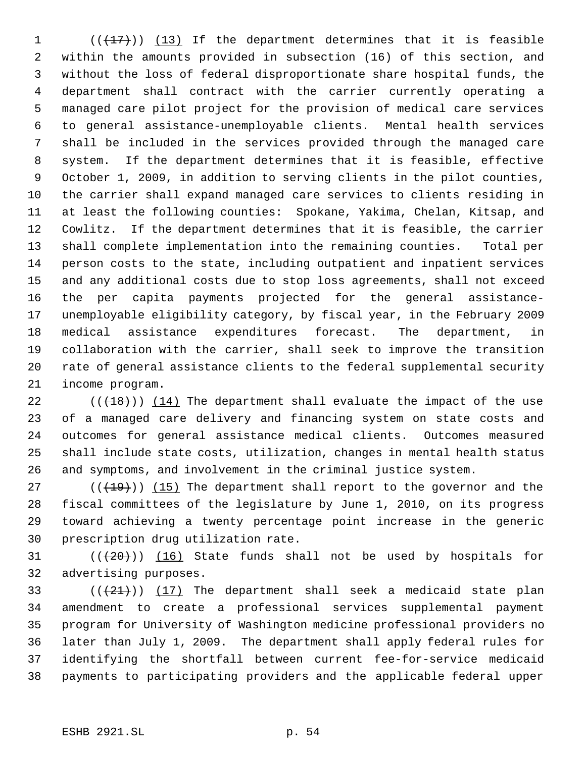(( $\left(\frac{17}{17}\right)$ ) (13) If the department determines that it is feasible within the amounts provided in subsection (16) of this section, and without the loss of federal disproportionate share hospital funds, the department shall contract with the carrier currently operating a managed care pilot project for the provision of medical care services to general assistance-unemployable clients. Mental health services shall be included in the services provided through the managed care system. If the department determines that it is feasible, effective October 1, 2009, in addition to serving clients in the pilot counties, the carrier shall expand managed care services to clients residing in at least the following counties: Spokane, Yakima, Chelan, Kitsap, and Cowlitz. If the department determines that it is feasible, the carrier shall complete implementation into the remaining counties. Total per person costs to the state, including outpatient and inpatient services and any additional costs due to stop loss agreements, shall not exceed the per capita payments projected for the general assistance- unemployable eligibility category, by fiscal year, in the February 2009 medical assistance expenditures forecast. The department, in collaboration with the carrier, shall seek to improve the transition rate of general assistance clients to the federal supplemental security income program.

 $((+18))$   $(14)$  The department shall evaluate the impact of the use of a managed care delivery and financing system on state costs and outcomes for general assistance medical clients. Outcomes measured shall include state costs, utilization, changes in mental health status and symptoms, and involvement in the criminal justice system.

 $((+19))$   $(15)$  The department shall report to the governor and the fiscal committees of the legislature by June 1, 2010, on its progress toward achieving a twenty percentage point increase in the generic prescription drug utilization rate.

31  $((+20))$   $(16)$  State funds shall not be used by hospitals for advertising purposes.

 $((+21))$   $(17)$  The department shall seek a medicaid state plan amendment to create a professional services supplemental payment program for University of Washington medicine professional providers no later than July 1, 2009. The department shall apply federal rules for identifying the shortfall between current fee-for-service medicaid payments to participating providers and the applicable federal upper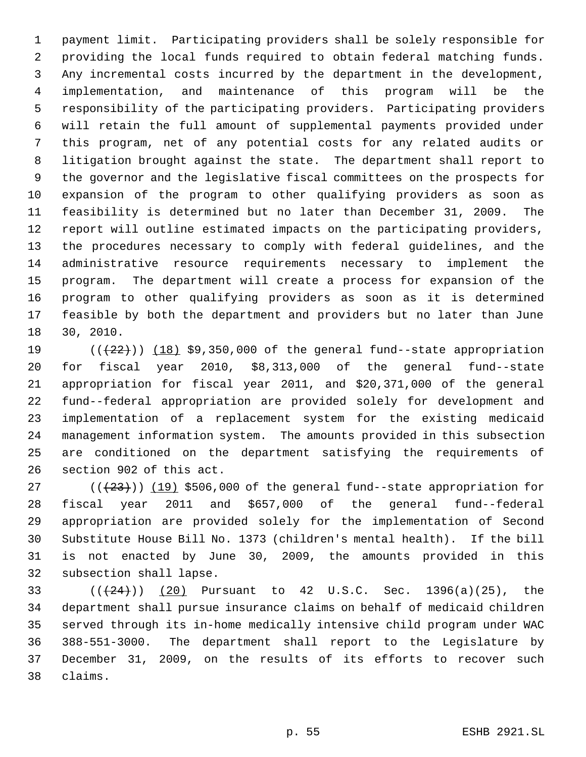payment limit. Participating providers shall be solely responsible for providing the local funds required to obtain federal matching funds. Any incremental costs incurred by the department in the development, implementation, and maintenance of this program will be the responsibility of the participating providers. Participating providers will retain the full amount of supplemental payments provided under this program, net of any potential costs for any related audits or litigation brought against the state. The department shall report to the governor and the legislative fiscal committees on the prospects for expansion of the program to other qualifying providers as soon as feasibility is determined but no later than December 31, 2009. The report will outline estimated impacts on the participating providers, the procedures necessary to comply with federal guidelines, and the administrative resource requirements necessary to implement the program. The department will create a process for expansion of the program to other qualifying providers as soon as it is determined feasible by both the department and providers but no later than June 30, 2010.

 $((+22))$   $(18)$  \$9,350,000 of the general fund--state appropriation for fiscal year 2010, \$8,313,000 of the general fund--state appropriation for fiscal year 2011, and \$20,371,000 of the general fund--federal appropriation are provided solely for development and implementation of a replacement system for the existing medicaid management information system. The amounts provided in this subsection are conditioned on the department satisfying the requirements of section 902 of this act.

 $((+23))$   $(19)$  \$506,000 of the general fund--state appropriation for fiscal year 2011 and \$657,000 of the general fund--federal appropriation are provided solely for the implementation of Second Substitute House Bill No. 1373 (children's mental health). If the bill is not enacted by June 30, 2009, the amounts provided in this subsection shall lapse.

33 ( $(\frac{24}{2})$ ) (20) Pursuant to 42 U.S.C. Sec. 1396(a)(25), the department shall pursue insurance claims on behalf of medicaid children served through its in-home medically intensive child program under WAC 388-551-3000. The department shall report to the Legislature by December 31, 2009, on the results of its efforts to recover such claims.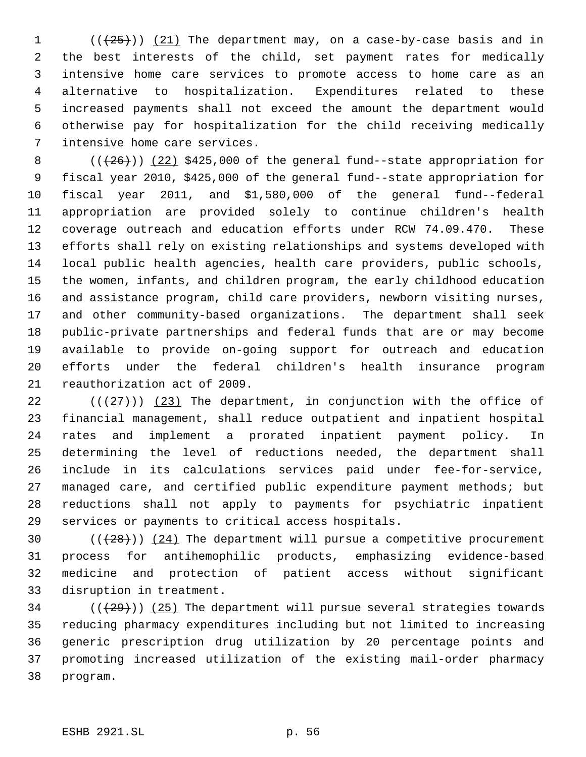( $(\frac{25}{1})$ ) (21) The department may, on a case-by-case basis and in the best interests of the child, set payment rates for medically intensive home care services to promote access to home care as an alternative to hospitalization. Expenditures related to these increased payments shall not exceed the amount the department would otherwise pay for hospitalization for the child receiving medically intensive home care services.

 $((+26))$   $(22)$  \$425,000 of the general fund--state appropriation for fiscal year 2010, \$425,000 of the general fund--state appropriation for fiscal year 2011, and \$1,580,000 of the general fund--federal appropriation are provided solely to continue children's health coverage outreach and education efforts under RCW 74.09.470. These efforts shall rely on existing relationships and systems developed with local public health agencies, health care providers, public schools, the women, infants, and children program, the early childhood education and assistance program, child care providers, newborn visiting nurses, and other community-based organizations. The department shall seek public-private partnerships and federal funds that are or may become available to provide on-going support for outreach and education efforts under the federal children's health insurance program reauthorization act of 2009.

 $((+27))$  (23) The department, in conjunction with the office of financial management, shall reduce outpatient and inpatient hospital rates and implement a prorated inpatient payment policy. In determining the level of reductions needed, the department shall include in its calculations services paid under fee-for-service, managed care, and certified public expenditure payment methods; but reductions shall not apply to payments for psychiatric inpatient services or payments to critical access hospitals.

 $((+28))$   $(24)$  The department will pursue a competitive procurement process for antihemophilic products, emphasizing evidence-based medicine and protection of patient access without significant disruption in treatment.

 (( $(29)$ )) (25) The department will pursue several strategies towards reducing pharmacy expenditures including but not limited to increasing generic prescription drug utilization by 20 percentage points and promoting increased utilization of the existing mail-order pharmacy program.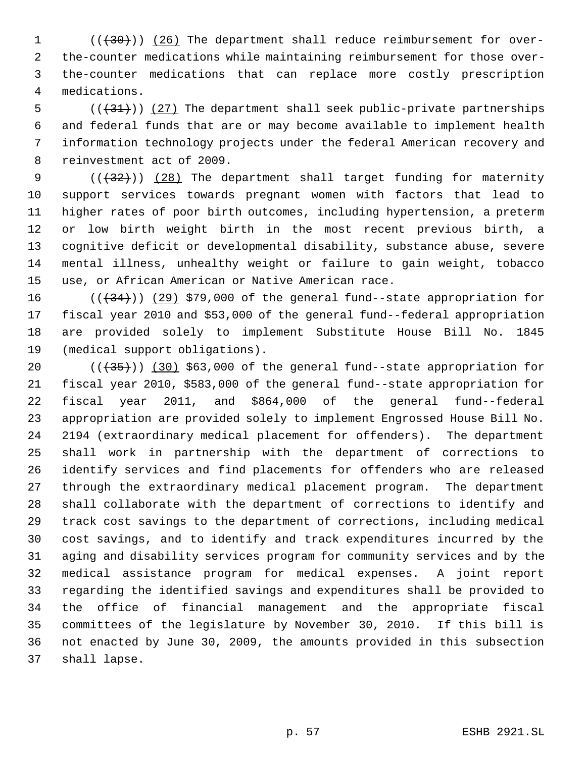$((+30))$   $(26)$  The department shall reduce reimbursement for over- the-counter medications while maintaining reimbursement for those over- the-counter medications that can replace more costly prescription medications.

 $((+31))$   $(27)$  The department shall seek public-private partnerships and federal funds that are or may become available to implement health information technology projects under the federal American recovery and reinvestment act of 2009.

9 (( $\left(\frac{1}{32}\right)$ ) (28) The department shall target funding for maternity support services towards pregnant women with factors that lead to higher rates of poor birth outcomes, including hypertension, a preterm or low birth weight birth in the most recent previous birth, a cognitive deficit or developmental disability, substance abuse, severe mental illness, unhealthy weight or failure to gain weight, tobacco use, or African American or Native American race.

 $((+34))$   $(29)$  \$79,000 of the general fund--state appropriation for fiscal year 2010 and \$53,000 of the general fund--federal appropriation are provided solely to implement Substitute House Bill No. 1845 (medical support obligations).

 $((+35))$   $(30)$  \$63,000 of the general fund--state appropriation for fiscal year 2010, \$583,000 of the general fund--state appropriation for fiscal year 2011, and \$864,000 of the general fund--federal appropriation are provided solely to implement Engrossed House Bill No. 2194 (extraordinary medical placement for offenders). The department shall work in partnership with the department of corrections to identify services and find placements for offenders who are released through the extraordinary medical placement program. The department shall collaborate with the department of corrections to identify and track cost savings to the department of corrections, including medical cost savings, and to identify and track expenditures incurred by the aging and disability services program for community services and by the medical assistance program for medical expenses. A joint report regarding the identified savings and expenditures shall be provided to the office of financial management and the appropriate fiscal committees of the legislature by November 30, 2010. If this bill is not enacted by June 30, 2009, the amounts provided in this subsection shall lapse.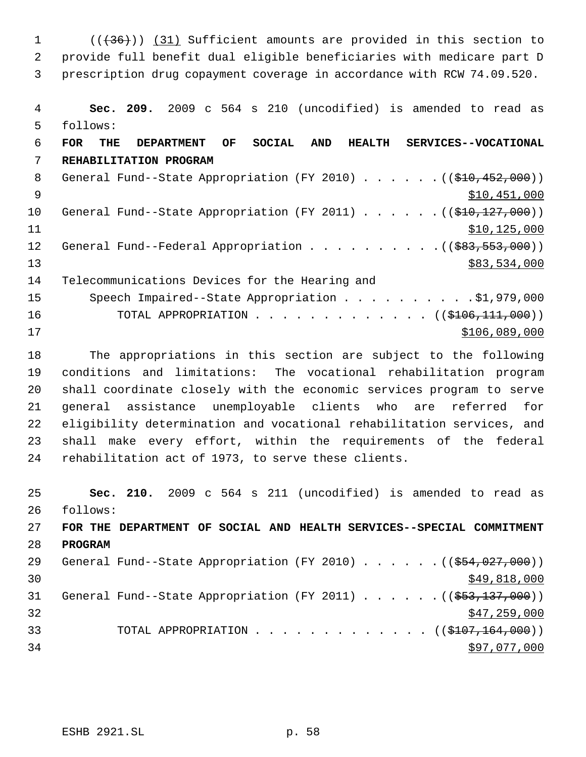1 (( $(36)$ )) (31) Sufficient amounts are provided in this section to provide full benefit dual eligible beneficiaries with medicare part D prescription drug copayment coverage in accordance with RCW 74.09.520.

 **Sec. 209.** 2009 c 564 s 210 (uncodified) is amended to read as follows: **FOR THE DEPARTMENT OF SOCIAL AND HEALTH SERVICES--VOCATIONAL REHABILITATION PROGRAM** 8 General Fund--State Appropriation (FY 2010) . . . . . . ((\$10,452,000)) \$10,451,000 10 General Fund--State Appropriation (FY 2011) . . . . . . ((\$10,127,000)) 11 \$10,125,000 12 General Fund--Federal Appropriation . . . . . . . . . . ((\$83,553,000)) \$83,534,000 Telecommunications Devices for the Hearing and 15 Speech Impaired--State Appropriation . . . . . . . . . \$1,979,000 16 TOTAL APPROPRIATION . . . . . . . . . . . . ((\$<del>106,111,000</del>)) \$106,089,000

 The appropriations in this section are subject to the following conditions and limitations: The vocational rehabilitation program shall coordinate closely with the economic services program to serve general assistance unemployable clients who are referred for eligibility determination and vocational rehabilitation services, and shall make every effort, within the requirements of the federal rehabilitation act of 1973, to serve these clients.

 **Sec. 210.** 2009 c 564 s 211 (uncodified) is amended to read as follows: **FOR THE DEPARTMENT OF SOCIAL AND HEALTH SERVICES--SPECIAL COMMITMENT PROGRAM** 29 General Fund--State Appropriation (FY 2010) . . . . . . ((\$54,027,000))  $\frac{1}{20}$  \$49,818,000 31 General Fund--State Appropriation (FY 2011) . . . . . . ((\$53,137,000)) \$47,259,000 33 TOTAL APPROPRIATION . . . . . . . . . . . . . ((\$107,164,000)) \$97,077,000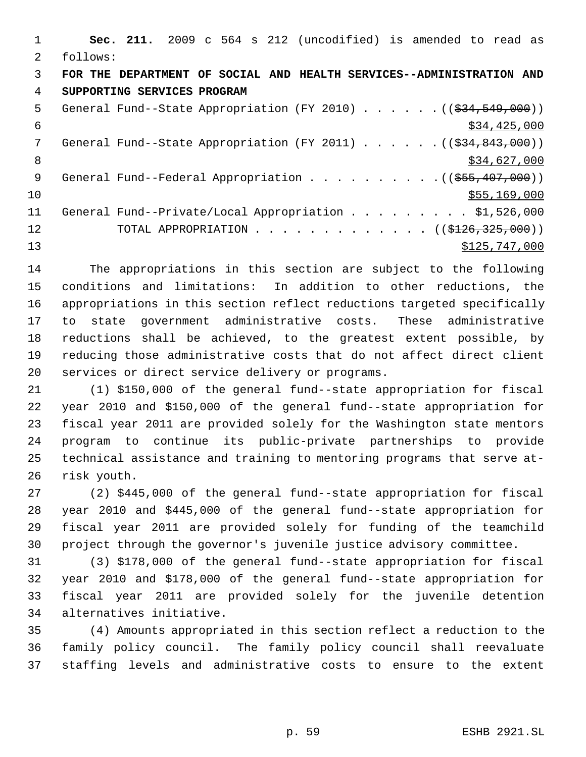|               | Sec. 211. 2009 c 564 s 212 (uncodified) is amended to read as                     |
|---------------|-----------------------------------------------------------------------------------|
| $\mathcal{L}$ | follows:                                                                          |
| 3             | FOR THE DEPARTMENT OF SOCIAL AND HEALTH SERVICES--ADMINISTRATION AND              |
| 4             | SUPPORTING SERVICES PROGRAM                                                       |
| 5             | General Fund--State Appropriation (FY 2010) $($ $($ $\frac{24}{534}, 549, 000)$ ) |
| 6             | \$34,425,000                                                                      |
| 7             | General Fund--State Appropriation (FY 2011) $($ $($ \$34,843,000))                |
| 8             | \$34,627,000                                                                      |
| 9             |                                                                                   |
| 10            | \$55,169,000                                                                      |
| 11            | General Fund--Private/Local Appropriation \$1,526,000                             |
| 12            | TOTAL APPROPRIATION ( $(\frac{$126}{,325},000)$ )                                 |
| 13            | \$125,747,000                                                                     |

 The appropriations in this section are subject to the following conditions and limitations: In addition to other reductions, the appropriations in this section reflect reductions targeted specifically to state government administrative costs. These administrative reductions shall be achieved, to the greatest extent possible, by reducing those administrative costs that do not affect direct client services or direct service delivery or programs.

 (1) \$150,000 of the general fund--state appropriation for fiscal year 2010 and \$150,000 of the general fund--state appropriation for fiscal year 2011 are provided solely for the Washington state mentors program to continue its public-private partnerships to provide technical assistance and training to mentoring programs that serve at-risk youth.

 (2) \$445,000 of the general fund--state appropriation for fiscal year 2010 and \$445,000 of the general fund--state appropriation for fiscal year 2011 are provided solely for funding of the teamchild project through the governor's juvenile justice advisory committee.

 (3) \$178,000 of the general fund--state appropriation for fiscal year 2010 and \$178,000 of the general fund--state appropriation for fiscal year 2011 are provided solely for the juvenile detention alternatives initiative.

 (4) Amounts appropriated in this section reflect a reduction to the family policy council. The family policy council shall reevaluate staffing levels and administrative costs to ensure to the extent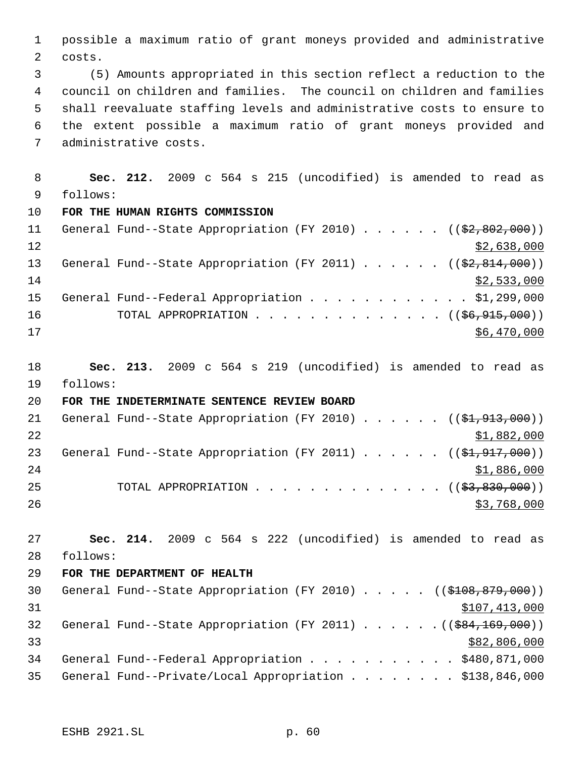possible a maximum ratio of grant moneys provided and administrative costs.

 (5) Amounts appropriated in this section reflect a reduction to the council on children and families. The council on children and families shall reevaluate staffing levels and administrative costs to ensure to the extent possible a maximum ratio of grant moneys provided and administrative costs.

 **Sec. 212.** 2009 c 564 s 215 (uncodified) is amended to read as follows: **FOR THE HUMAN RIGHTS COMMISSION** 11 General Fund--State Appropriation (FY 2010) . . . . . ((\$2,802,000))  $\frac{12}{2}$   $\frac{12}{2}$   $\frac{12}{2}$   $\frac{12}{2}$   $\frac{12}{2}$   $\frac{12}{2}$   $\frac{12}{2}$   $\frac{12}{2}$   $\frac{12}{2}$   $\frac{12}{2}$   $\frac{12}{2}$   $\frac{12}{2}$   $\frac{12}{2}$   $\frac{12}{2}$   $\frac{12}{2}$   $\frac{12}{2}$   $\frac{12}{2}$   $\frac{12}{2}$   $\frac{12}{2}$   $\frac{12}{2}$  13 General Fund--State Appropriation (FY 2011) . . . . . . ((\$2,814,000))

 $\frac{$2,533,000}{ }$ 15 General Fund--Federal Appropriation . . . . . . . . . . . \$1,299,000 16 TOTAL APPROPRIATION . . . . . . . . . . . . . ((<del>\$6,915,000</del>)) \$6,470,000

 **Sec. 213.** 2009 c 564 s 219 (uncodified) is amended to read as follows:

## **FOR THE INDETERMINATE SENTENCE REVIEW BOARD**

| 21 | General Fund--State Appropriation (FY 2010) ( $(\frac{1}{2}, 913, 000)$ ) |  |  |  |  |             |
|----|---------------------------------------------------------------------------|--|--|--|--|-------------|
| 22 |                                                                           |  |  |  |  | \$1,882,000 |
| 23 | General Fund--State Appropriation (FY 2011) $($ $(\frac{21.917}{100})$    |  |  |  |  |             |
| 24 |                                                                           |  |  |  |  | \$1,886,000 |
| 25 | TOTAL APPROPRIATION $\ldots$ , ( $(\frac{2}{53}, \frac{830}{100})$ )      |  |  |  |  |             |
| 26 |                                                                           |  |  |  |  | \$3,768,000 |

 **Sec. 214.** 2009 c 564 s 222 (uncodified) is amended to read as follows:

## **FOR THE DEPARTMENT OF HEALTH**

30 General Fund--State Appropriation (FY 2010) . . . . . ((\$108,879,000)) \$107,413,000 32 General Fund--State Appropriation (FY 2011) . . . . . . ((\$84,169,000)) \$82,806,000 General Fund--Federal Appropriation . . . . . . . . . . . \$480,871,000 General Fund--Private/Local Appropriation . . . . . . . . \$138,846,000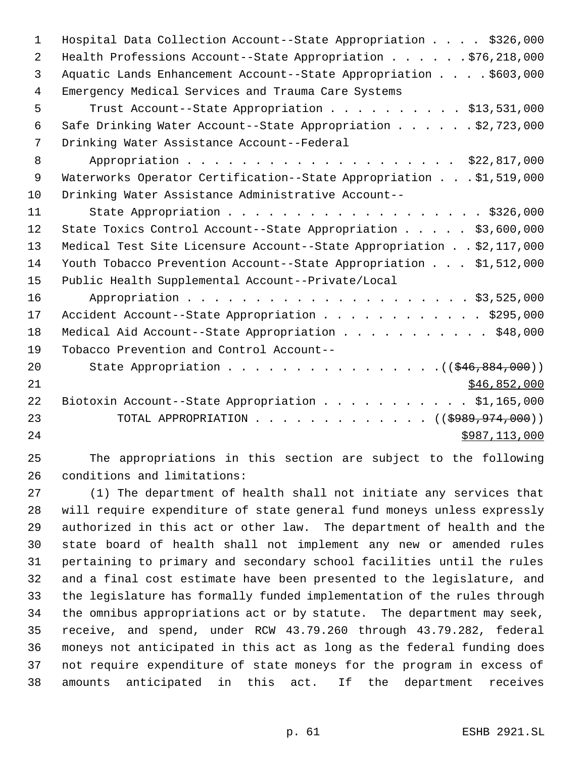| 1  | Hospital Data Collection Account--State Appropriation \$326,000      |
|----|----------------------------------------------------------------------|
| 2  | Health Professions Account--State Appropriation \$76,218,000         |
| 3  | Aquatic Lands Enhancement Account--State Appropriation \$603,000     |
| 4  | Emergency Medical Services and Trauma Care Systems                   |
| 5  | Trust Account--State Appropriation \$13,531,000                      |
| 6  | Safe Drinking Water Account--State Appropriation \$2,723,000         |
| 7  | Drinking Water Assistance Account--Federal                           |
| 8  | Appropriation \$22,817,000                                           |
| 9  | Waterworks Operator Certification--State Appropriation \$1,519,000   |
| 10 | Drinking Water Assistance Administrative Account--                   |
| 11 | State Appropriation \$326,000                                        |
| 12 | State Toxics Control Account--State Appropriation \$3,600,000        |
| 13 | Medical Test Site Licensure Account--State Appropriation \$2,117,000 |
| 14 | Youth Tobacco Prevention Account--State Appropriation \$1,512,000    |
| 15 | Public Health Supplemental Account--Private/Local                    |
| 16 |                                                                      |
| 17 | Accident Account--State Appropriation \$295,000                      |
| 18 | Medical Aid Account--State Appropriation \$48,000                    |
| 19 | Tobacco Prevention and Control Account--                             |
| 20 | State Appropriation $($ $($ $$46, 884, 000)$ $)$                     |
| 21 | \$46,852,000                                                         |
| 22 | Biotoxin Account--State Appropriation \$1,165,000                    |
| 23 | TOTAL APPROPRIATION ( $(\frac{1989}{1000}, \frac{974}{1000})$ )      |
| 24 | \$987,113,000                                                        |
|    |                                                                      |

 The appropriations in this section are subject to the following conditions and limitations:

 (1) The department of health shall not initiate any services that will require expenditure of state general fund moneys unless expressly authorized in this act or other law. The department of health and the state board of health shall not implement any new or amended rules pertaining to primary and secondary school facilities until the rules and a final cost estimate have been presented to the legislature, and the legislature has formally funded implementation of the rules through the omnibus appropriations act or by statute. The department may seek, receive, and spend, under RCW 43.79.260 through 43.79.282, federal moneys not anticipated in this act as long as the federal funding does not require expenditure of state moneys for the program in excess of amounts anticipated in this act. If the department receives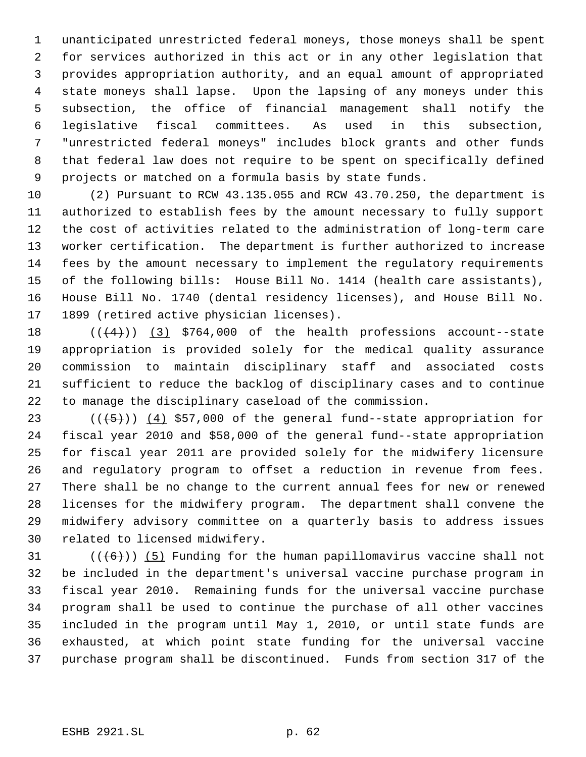unanticipated unrestricted federal moneys, those moneys shall be spent for services authorized in this act or in any other legislation that provides appropriation authority, and an equal amount of appropriated state moneys shall lapse. Upon the lapsing of any moneys under this subsection, the office of financial management shall notify the legislative fiscal committees. As used in this subsection, "unrestricted federal moneys" includes block grants and other funds that federal law does not require to be spent on specifically defined projects or matched on a formula basis by state funds.

 (2) Pursuant to RCW 43.135.055 and RCW 43.70.250, the department is authorized to establish fees by the amount necessary to fully support the cost of activities related to the administration of long-term care worker certification. The department is further authorized to increase fees by the amount necessary to implement the regulatory requirements of the following bills: House Bill No. 1414 (health care assistants), House Bill No. 1740 (dental residency licenses), and House Bill No. 1899 (retired active physician licenses).

 $((+4))$   $(3)$  \$764,000 of the health professions account--state appropriation is provided solely for the medical quality assurance commission to maintain disciplinary staff and associated costs sufficient to reduce the backlog of disciplinary cases and to continue to manage the disciplinary caseload of the commission.

 $((+5))$   $(4)$  \$57,000 of the general fund--state appropriation for fiscal year 2010 and \$58,000 of the general fund--state appropriation for fiscal year 2011 are provided solely for the midwifery licensure and regulatory program to offset a reduction in revenue from fees. There shall be no change to the current annual fees for new or renewed licenses for the midwifery program. The department shall convene the midwifery advisory committee on a quarterly basis to address issues related to licensed midwifery.

 $((+6))$  (5) Funding for the human papillomavirus vaccine shall not be included in the department's universal vaccine purchase program in fiscal year 2010. Remaining funds for the universal vaccine purchase program shall be used to continue the purchase of all other vaccines included in the program until May 1, 2010, or until state funds are exhausted, at which point state funding for the universal vaccine purchase program shall be discontinued. Funds from section 317 of the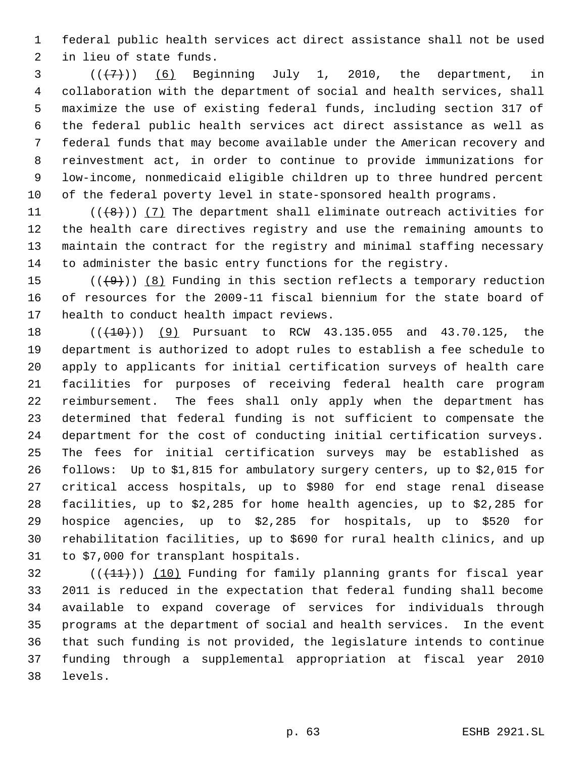federal public health services act direct assistance shall not be used in lieu of state funds.

  $((+7+))$  (6) Beginning July 1, 2010, the department, in collaboration with the department of social and health services, shall maximize the use of existing federal funds, including section 317 of the federal public health services act direct assistance as well as federal funds that may become available under the American recovery and reinvestment act, in order to continue to provide immunizations for low-income, nonmedicaid eligible children up to three hundred percent of the federal poverty level in state-sponsored health programs.

 $((\{8\})$  (7) The department shall eliminate outreach activities for the health care directives registry and use the remaining amounts to maintain the contract for the registry and minimal staffing necessary to administer the basic entry functions for the registry.

15  $((+9))$   $(8)$  Funding in this section reflects a temporary reduction of resources for the 2009-11 fiscal biennium for the state board of health to conduct health impact reviews.

18 (( $(410)$ ) (9) Pursuant to RCW 43.135.055 and 43.70.125, the department is authorized to adopt rules to establish a fee schedule to apply to applicants for initial certification surveys of health care facilities for purposes of receiving federal health care program reimbursement. The fees shall only apply when the department has determined that federal funding is not sufficient to compensate the department for the cost of conducting initial certification surveys. The fees for initial certification surveys may be established as follows: Up to \$1,815 for ambulatory surgery centers, up to \$2,015 for critical access hospitals, up to \$980 for end stage renal disease facilities, up to \$2,285 for home health agencies, up to \$2,285 for hospice agencies, up to \$2,285 for hospitals, up to \$520 for rehabilitation facilities, up to \$690 for rural health clinics, and up to \$7,000 for transplant hospitals.

 (( $(11)$ )) (10) Funding for family planning grants for fiscal year 2011 is reduced in the expectation that federal funding shall become available to expand coverage of services for individuals through programs at the department of social and health services. In the event that such funding is not provided, the legislature intends to continue funding through a supplemental appropriation at fiscal year 2010 levels.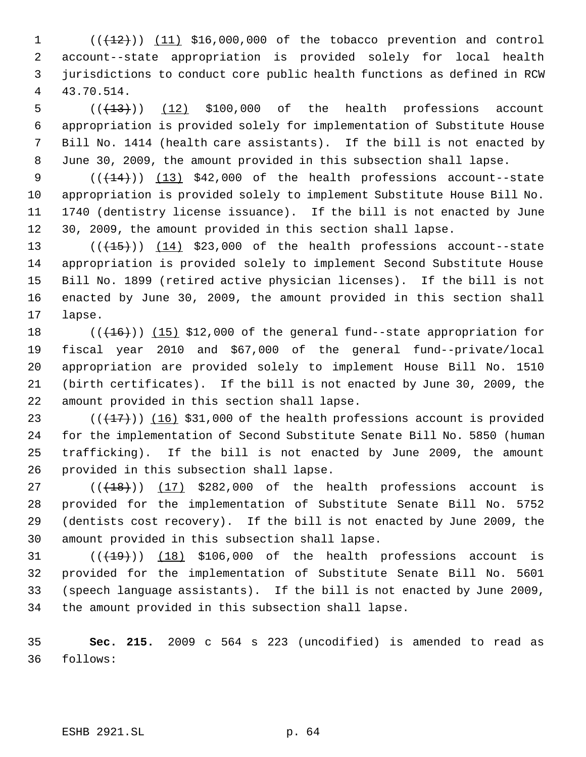$((+12))$   $(11)$  \$16,000,000 of the tobacco prevention and control account--state appropriation is provided solely for local health jurisdictions to conduct core public health functions as defined in RCW 43.70.514.

 $((+13))$   $(12)$  \$100,000 of the health professions account appropriation is provided solely for implementation of Substitute House Bill No. 1414 (health care assistants). If the bill is not enacted by June 30, 2009, the amount provided in this subsection shall lapse.

 $((+14))$   $(13)$  \$42,000 of the health professions account--state appropriation is provided solely to implement Substitute House Bill No. 1740 (dentistry license issuance). If the bill is not enacted by June 30, 2009, the amount provided in this section shall lapse.

 $((+15))$   $(14)$  \$23,000 of the health professions account--state appropriation is provided solely to implement Second Substitute House Bill No. 1899 (retired active physician licenses). If the bill is not enacted by June 30, 2009, the amount provided in this section shall lapse.

18 (( $(16)$ )) (15) \$12,000 of the general fund--state appropriation for fiscal year 2010 and \$67,000 of the general fund--private/local appropriation are provided solely to implement House Bill No. 1510 (birth certificates). If the bill is not enacted by June 30, 2009, the amount provided in this section shall lapse.

 $((+17))$   $(16)$  \$31,000 of the health professions account is provided for the implementation of Second Substitute Senate Bill No. 5850 (human trafficking). If the bill is not enacted by June 2009, the amount provided in this subsection shall lapse.

 $((+18))$   $(17)$  \$282,000 of the health professions account is provided for the implementation of Substitute Senate Bill No. 5752 (dentists cost recovery). If the bill is not enacted by June 2009, the amount provided in this subsection shall lapse.

 $((+19))$   $(18)$  \$106,000 of the health professions account is provided for the implementation of Substitute Senate Bill No. 5601 (speech language assistants). If the bill is not enacted by June 2009, the amount provided in this subsection shall lapse.

 **Sec. 215.** 2009 c 564 s 223 (uncodified) is amended to read as follows: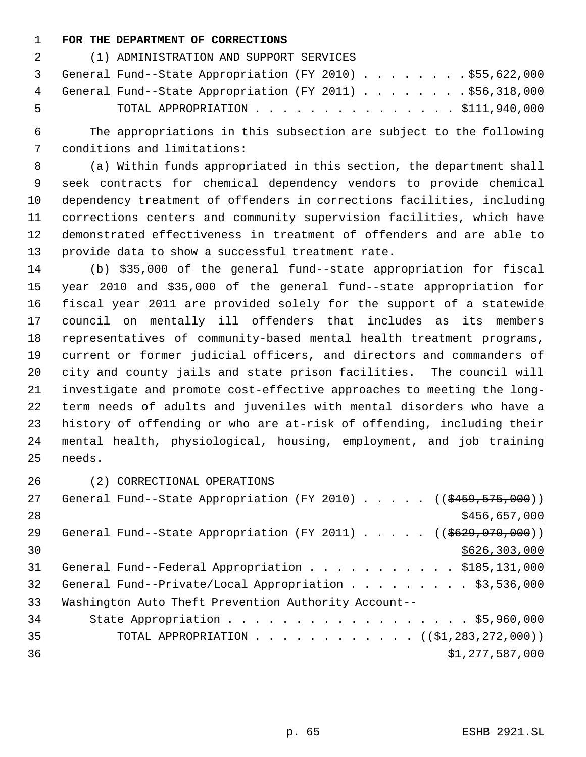## **FOR THE DEPARTMENT OF CORRECTIONS**

| 2   | (1) ADMINISTRATION AND SUPPORT SERVICES                    |
|-----|------------------------------------------------------------|
|     | 3 General Fund--State Appropriation (FY 2010) \$55,622,000 |
|     | 4 General Fund--State Appropriation (FY 2011) \$56,318,000 |
| - 5 | TOTAL APPROPRIATION $\ldots$ \$111,940,000                 |

 The appropriations in this subsection are subject to the following conditions and limitations:

 (a) Within funds appropriated in this section, the department shall seek contracts for chemical dependency vendors to provide chemical dependency treatment of offenders in corrections facilities, including corrections centers and community supervision facilities, which have demonstrated effectiveness in treatment of offenders and are able to provide data to show a successful treatment rate.

 (b) \$35,000 of the general fund--state appropriation for fiscal year 2010 and \$35,000 of the general fund--state appropriation for fiscal year 2011 are provided solely for the support of a statewide council on mentally ill offenders that includes as its members representatives of community-based mental health treatment programs, current or former judicial officers, and directors and commanders of city and county jails and state prison facilities. The council will investigate and promote cost-effective approaches to meeting the long- term needs of adults and juveniles with mental disorders who have a history of offending or who are at-risk of offending, including their mental health, physiological, housing, employment, and job training needs.

(2) CORRECTIONAL OPERATIONS

| 27              | General Fund--State Appropriation (FY 2010) ( $(\frac{2459}{575}, \frac{1000}{10})$ |
|-----------------|-------------------------------------------------------------------------------------|
| 28              | \$456,657,000                                                                       |
| 29              | General Fund--State Appropriation (FY 2011) ( $(\frac{2629}{1000})$ )               |
| 30              | \$626, 303, 000                                                                     |
| 31              | General Fund--Federal Appropriation \$185,131,000                                   |
| 32 <sup>°</sup> | General Fund--Private/Local Appropriation \$3,536,000                               |
| 33              | Washington Auto Theft Prevention Authority Account--                                |
| 34              | State Appropriation \$5,960,000                                                     |
| 35              | TOTAL APPROPRIATION ( $(\frac{21}{223}, \frac{272}{200})$ )                         |
| 36              | \$1,277,587,000                                                                     |
|                 |                                                                                     |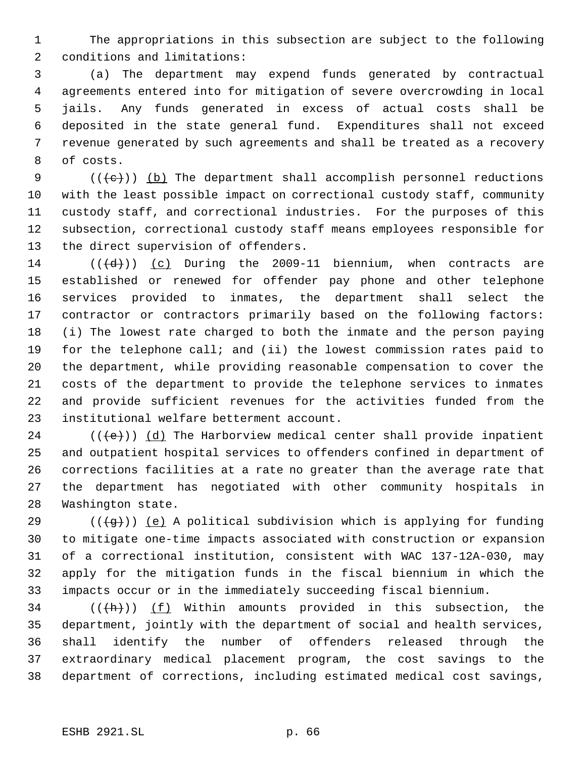The appropriations in this subsection are subject to the following conditions and limitations:

 (a) The department may expend funds generated by contractual agreements entered into for mitigation of severe overcrowding in local jails. Any funds generated in excess of actual costs shall be deposited in the state general fund. Expenditures shall not exceed revenue generated by such agreements and shall be treated as a recovery of costs.

 $((+e))$  (b) The department shall accomplish personnel reductions with the least possible impact on correctional custody staff, community custody staff, and correctional industries. For the purposes of this subsection, correctional custody staff means employees responsible for the direct supervision of offenders.

 $((\{d\})$  (c) During the 2009-11 biennium, when contracts are established or renewed for offender pay phone and other telephone services provided to inmates, the department shall select the contractor or contractors primarily based on the following factors: (i) The lowest rate charged to both the inmate and the person paying for the telephone call; and (ii) the lowest commission rates paid to the department, while providing reasonable compensation to cover the costs of the department to provide the telephone services to inmates and provide sufficient revenues for the activities funded from the institutional welfare betterment account.

24 ( $(\langle e \rangle)$ ) (d) The Harborview medical center shall provide inpatient and outpatient hospital services to offenders confined in department of corrections facilities at a rate no greater than the average rate that the department has negotiated with other community hospitals in Washington state.

29 ( $(\overline{+q})$ ) (e) A political subdivision which is applying for funding to mitigate one-time impacts associated with construction or expansion of a correctional institution, consistent with WAC 137-12A-030, may apply for the mitigation funds in the fiscal biennium in which the impacts occur or in the immediately succeeding fiscal biennium.

34 ( $(\overline{(h)})$  (f) Within amounts provided in this subsection, the department, jointly with the department of social and health services, shall identify the number of offenders released through the extraordinary medical placement program, the cost savings to the department of corrections, including estimated medical cost savings,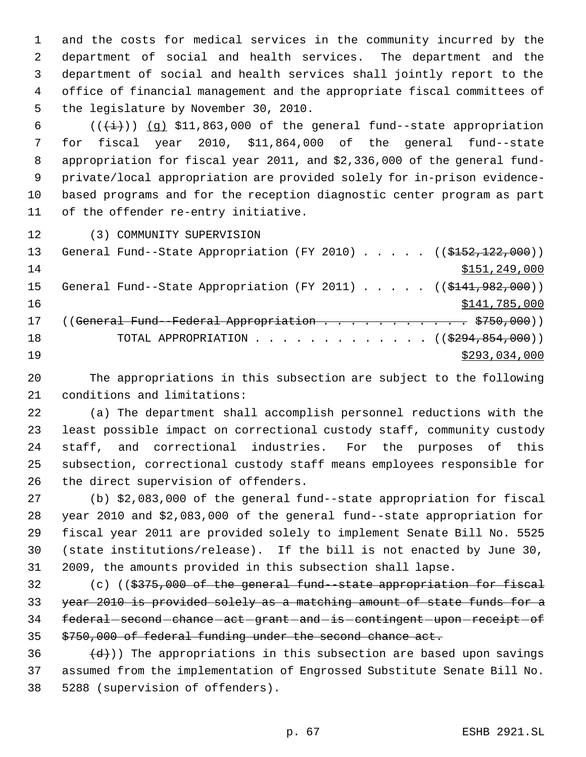and the costs for medical services in the community incurred by the department of social and health services. The department and the department of social and health services shall jointly report to the office of financial management and the appropriate fiscal committees of the legislature by November 30, 2010.

 $((\overleftrightarrow{t}))$  (g) \$11,863,000 of the general fund--state appropriation for fiscal year 2010, \$11,864,000 of the general fund--state appropriation for fiscal year 2011, and \$2,336,000 of the general fund- private/local appropriation are provided solely for in-prison evidence- based programs and for the reception diagnostic center program as part of the offender re-entry initiative.

(3) COMMUNITY SUPERVISION

| 13 | General Fund--State Appropriation (FY 2010) $($ $($ $\frac{152}{152}$ , $122$ , 000)) |
|----|---------------------------------------------------------------------------------------|
| 14 | \$151, 249, 000                                                                       |
| 15 | General Fund--State Appropriation (FY 2011) ( $(\frac{141.982}{000})$                 |
| 16 | \$141,785,000                                                                         |
| 17 | (( <del>General Fund - Federal Appropriation \$750,000</del> ))                       |
| 18 | TOTAL APPROPRIATION $\ldots$ , ( $(\$294, 854, 000)$ )                                |
| 19 | \$293,034,000                                                                         |

 The appropriations in this subsection are subject to the following conditions and limitations:

 (a) The department shall accomplish personnel reductions with the least possible impact on correctional custody staff, community custody staff, and correctional industries. For the purposes of this subsection, correctional custody staff means employees responsible for the direct supervision of offenders.

 (b) \$2,083,000 of the general fund--state appropriation for fiscal year 2010 and \$2,083,000 of the general fund--state appropriation for fiscal year 2011 are provided solely to implement Senate Bill No. 5525 (state institutions/release). If the bill is not enacted by June 30, 2009, the amounts provided in this subsection shall lapse.

 (c) ((\$375,000 of the general fund--state appropriation for fiscal 33 year 2010 is provided solely as a matching amount of state funds for a 34 federal second chance act grant and is contingent upon receipt of \$750,000 of federal funding under the second chance act.

36  $(d)$ )) The appropriations in this subsection are based upon savings assumed from the implementation of Engrossed Substitute Senate Bill No. 5288 (supervision of offenders).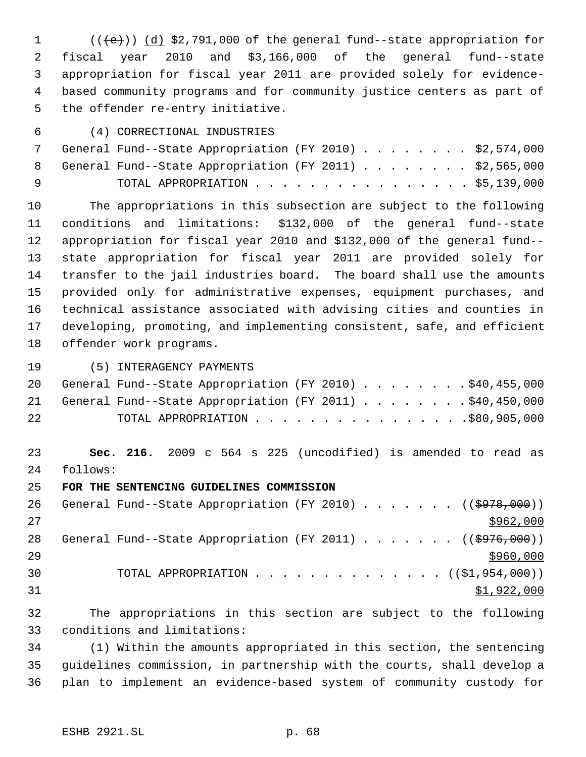$((\{e\}) \cap (\{d\})$  \$2,791,000 of the general fund--state appropriation for fiscal year 2010 and \$3,166,000 of the general fund--state appropriation for fiscal year 2011 are provided solely for evidence- based community programs and for community justice centers as part of the offender re-entry initiative.

(4) CORRECTIONAL INDUSTRIES

|     | 7 General Fund--State Appropriation (FY 2010) \$2,574,000 |  |
|-----|-----------------------------------------------------------|--|
|     | 8 General Fund--State Appropriation (FY 2011) \$2,565,000 |  |
| ∣ q | TOTAL APPROPRIATION \$5,139,000                           |  |

 The appropriations in this subsection are subject to the following conditions and limitations: \$132,000 of the general fund--state appropriation for fiscal year 2010 and \$132,000 of the general fund-- state appropriation for fiscal year 2011 are provided solely for transfer to the jail industries board. The board shall use the amounts provided only for administrative expenses, equipment purchases, and technical assistance associated with advising cities and counties in developing, promoting, and implementing consistent, safe, and efficient offender work programs.

(5) INTERAGENCY PAYMENTS

|    | 20 General Fund--State Appropriation (FY 2010) \$40,455,000 |  |  |  |  |  |
|----|-------------------------------------------------------------|--|--|--|--|--|
|    | 21 General Fund--State Appropriation (FY 2011) \$40,450,000 |  |  |  |  |  |
| 22 | TOTAL APPROPRIATION \$80,905,000                            |  |  |  |  |  |

 **Sec. 216.** 2009 c 564 s 225 (uncodified) is amended to read as follows:

**FOR THE SENTENCING GUIDELINES COMMISSION**

26 General Fund--State Appropriation (FY 2010) . . . . . . ((\$978,000)) 28 General Fund--State Appropriation (FY 2011) . . . . . . ((\$976,000)) 30 TOTAL APPROPRIATION  $\cdots$ ,  $\cdots$ ,  $\cdots$ ,  $\cdots$ ,  $\cdots$ ,  $\cdots$ ,  $\cdots$ ,  $\cdots$ \$1,922,000

 The appropriations in this section are subject to the following conditions and limitations:

 (1) Within the amounts appropriated in this section, the sentencing guidelines commission, in partnership with the courts, shall develop a plan to implement an evidence-based system of community custody for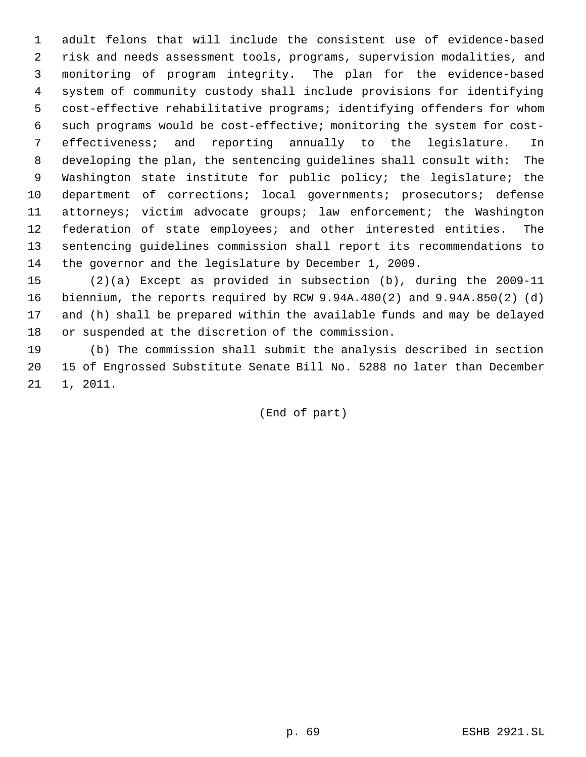adult felons that will include the consistent use of evidence-based risk and needs assessment tools, programs, supervision modalities, and monitoring of program integrity. The plan for the evidence-based system of community custody shall include provisions for identifying cost-effective rehabilitative programs; identifying offenders for whom such programs would be cost-effective; monitoring the system for cost- effectiveness; and reporting annually to the legislature. In developing the plan, the sentencing guidelines shall consult with: The Washington state institute for public policy; the legislature; the department of corrections; local governments; prosecutors; defense attorneys; victim advocate groups; law enforcement; the Washington federation of state employees; and other interested entities. The sentencing guidelines commission shall report its recommendations to the governor and the legislature by December 1, 2009.

 (2)(a) Except as provided in subsection (b), during the 2009-11 biennium, the reports required by RCW 9.94A.480(2) and 9.94A.850(2) (d) and (h) shall be prepared within the available funds and may be delayed or suspended at the discretion of the commission.

 (b) The commission shall submit the analysis described in section 15 of Engrossed Substitute Senate Bill No. 5288 no later than December 1, 2011.

(End of part)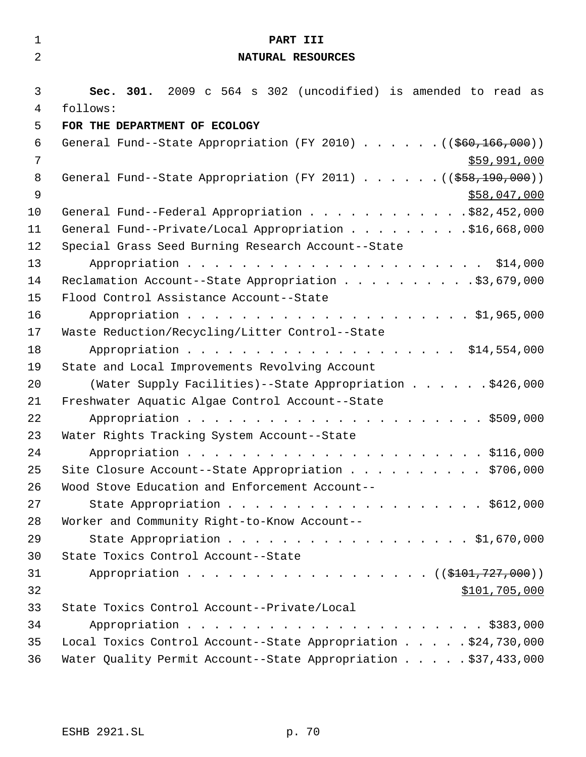| $\mathbf{1}$   | PART III                                                                      |
|----------------|-------------------------------------------------------------------------------|
| $\overline{2}$ | NATURAL RESOURCES                                                             |
|                |                                                                               |
| $\mathfrak{Z}$ | Sec. 301. 2009 c 564 s 302 (uncodified) is amended to read as                 |
| 4              | follows:                                                                      |
| 5              | FOR THE DEPARTMENT OF ECOLOGY                                                 |
| 6              | General Fund--State Appropriation (FY 2010) ( $(\frac{260}{166}, 000)$ )      |
| 7              | \$59,991,000                                                                  |
| 8              | General Fund--State Appropriation (FY 2011) $($ $($ $\frac{558}{190}$ , 000)) |
| $\mathsf 9$    | \$58,047,000                                                                  |
| 10             | General Fund--Federal Appropriation \$82,452,000                              |
| 11             | General Fund--Private/Local Appropriation \$16,668,000                        |
| 12             | Special Grass Seed Burning Research Account--State                            |
| 13             |                                                                               |
| 14             | Reclamation Account--State Appropriation \$3,679,000                          |
| 15             | Flood Control Assistance Account--State                                       |
| 16<br>17       |                                                                               |
| 18             | Waste Reduction/Recycling/Litter Control--State<br>Appropriation \$14,554,000 |
| 19             | State and Local Improvements Revolving Account                                |
| 20             | (Water Supply Facilities) -- State Appropriation \$426,000                    |
| 21             | Freshwater Aquatic Algae Control Account--State                               |
| 22             |                                                                               |
| 23             | Water Rights Tracking System Account--State                                   |
| 24             |                                                                               |
| 25             | Site Closure Account--State Appropriation \$706,000                           |
| 26             | Wood Stove Education and Enforcement Account--                                |
| 27             | State Appropriation \$612,000                                                 |
| 28             | Worker and Community Right-to-Know Account--                                  |
| 29             | State Appropriation \$1,670,000                                               |
| 30             | State Toxics Control Account--State                                           |
| 31             | Appropriation ((\$101,727,000))                                               |
| 32             | \$101,705,000                                                                 |
| 33             | State Toxics Control Account--Private/Local                                   |
| 34             |                                                                               |
| 35             | Local Toxics Control Account--State Appropriation \$24,730,000                |
| 36             | Water Quality Permit Account--State Appropriation \$37,433,000                |
|                |                                                                               |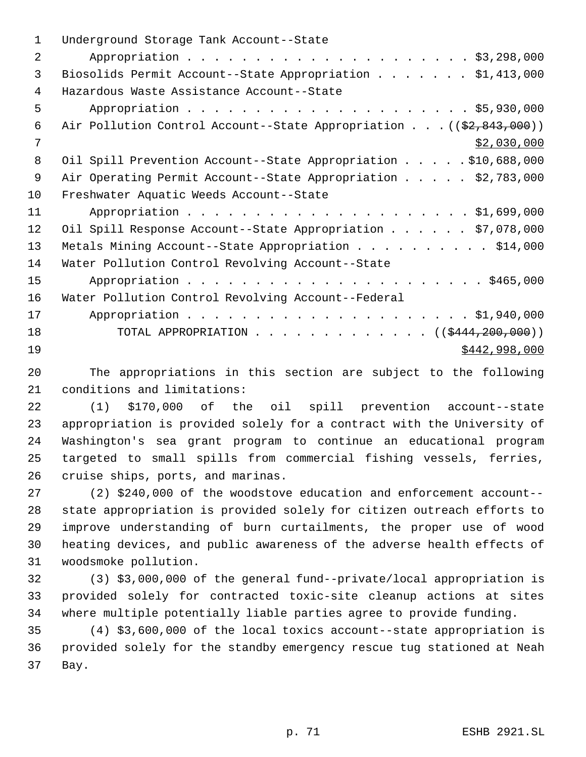| $\mathbf 1$    | Underground Storage Tank Account--State                                          |
|----------------|----------------------------------------------------------------------------------|
| $\overline{2}$ |                                                                                  |
| 3              | Biosolids Permit Account--State Appropriation \$1,413,000                        |
| 4              | Hazardous Waste Assistance Account--State                                        |
| 5              |                                                                                  |
| 6              | Air Pollution Control Account--State Appropriation ( $(\frac{2}{2}, 843, 000)$ ) |
| 7              | \$2,030,000                                                                      |
| 8              | Oil Spill Prevention Account--State Appropriation \$10,688,000                   |
| 9              | Air Operating Permit Account--State Appropriation \$2,783,000                    |
| 10             | Freshwater Aquatic Weeds Account--State                                          |
| 11             |                                                                                  |
| 12             | Oil Spill Response Account--State Appropriation \$7,078,000                      |
| 13             | Metals Mining Account--State Appropriation \$14,000                              |
| 14             | Water Pollution Control Revolving Account--State                                 |
| 15             |                                                                                  |
| 16             | Water Pollution Control Revolving Account--Federal                               |
| 17             |                                                                                  |
| 18             | TOTAL APPROPRIATION ( $(\frac{12444}{200},000)$ )                                |
| 19             | \$442,998,000                                                                    |
|                |                                                                                  |

 The appropriations in this section are subject to the following conditions and limitations:

 (1) \$170,000 of the oil spill prevention account--state appropriation is provided solely for a contract with the University of Washington's sea grant program to continue an educational program targeted to small spills from commercial fishing vessels, ferries, cruise ships, ports, and marinas.

 (2) \$240,000 of the woodstove education and enforcement account-- state appropriation is provided solely for citizen outreach efforts to improve understanding of burn curtailments, the proper use of wood heating devices, and public awareness of the adverse health effects of woodsmoke pollution.

 (3) \$3,000,000 of the general fund--private/local appropriation is provided solely for contracted toxic-site cleanup actions at sites where multiple potentially liable parties agree to provide funding.

 (4) \$3,600,000 of the local toxics account--state appropriation is provided solely for the standby emergency rescue tug stationed at Neah Bay.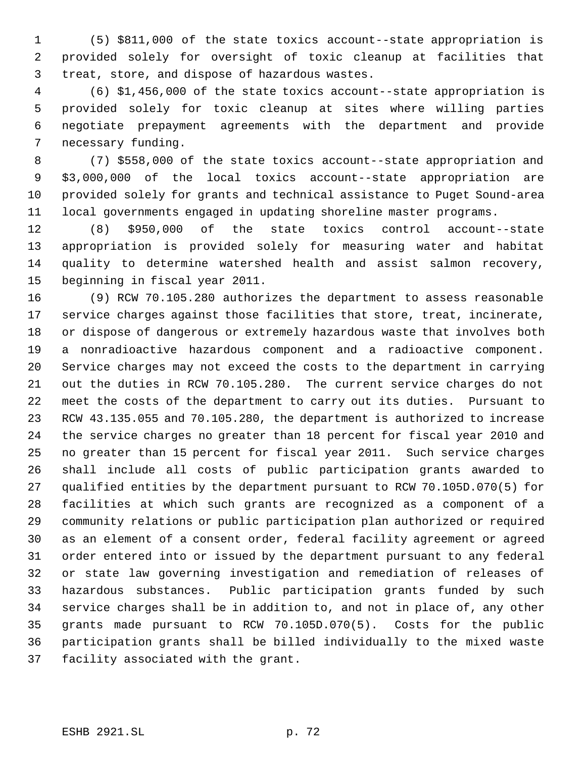(5) \$811,000 of the state toxics account--state appropriation is provided solely for oversight of toxic cleanup at facilities that treat, store, and dispose of hazardous wastes.

 (6) \$1,456,000 of the state toxics account--state appropriation is provided solely for toxic cleanup at sites where willing parties negotiate prepayment agreements with the department and provide necessary funding.

 (7) \$558,000 of the state toxics account--state appropriation and \$3,000,000 of the local toxics account--state appropriation are provided solely for grants and technical assistance to Puget Sound-area local governments engaged in updating shoreline master programs.

 (8) \$950,000 of the state toxics control account--state appropriation is provided solely for measuring water and habitat quality to determine watershed health and assist salmon recovery, beginning in fiscal year 2011.

 (9) RCW 70.105.280 authorizes the department to assess reasonable service charges against those facilities that store, treat, incinerate, or dispose of dangerous or extremely hazardous waste that involves both a nonradioactive hazardous component and a radioactive component. Service charges may not exceed the costs to the department in carrying out the duties in RCW 70.105.280. The current service charges do not meet the costs of the department to carry out its duties. Pursuant to RCW 43.135.055 and 70.105.280, the department is authorized to increase the service charges no greater than 18 percent for fiscal year 2010 and no greater than 15 percent for fiscal year 2011. Such service charges shall include all costs of public participation grants awarded to qualified entities by the department pursuant to RCW 70.105D.070(5) for facilities at which such grants are recognized as a component of a community relations or public participation plan authorized or required as an element of a consent order, federal facility agreement or agreed order entered into or issued by the department pursuant to any federal or state law governing investigation and remediation of releases of hazardous substances. Public participation grants funded by such service charges shall be in addition to, and not in place of, any other grants made pursuant to RCW 70.105D.070(5). Costs for the public participation grants shall be billed individually to the mixed waste facility associated with the grant.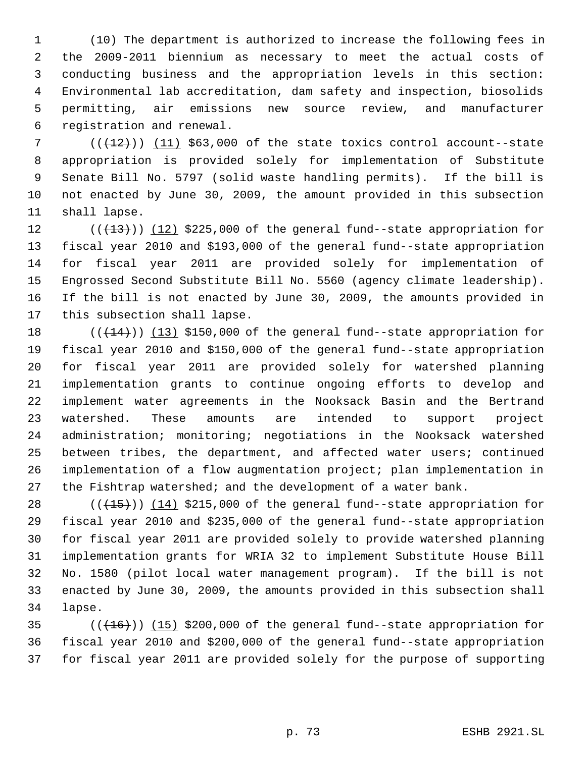(10) The department is authorized to increase the following fees in the 2009-2011 biennium as necessary to meet the actual costs of conducting business and the appropriation levels in this section: Environmental lab accreditation, dam safety and inspection, biosolids permitting, air emissions new source review, and manufacturer registration and renewal.

 $((+2)^2)$  (11) \$63,000 of the state toxics control account--state appropriation is provided solely for implementation of Substitute Senate Bill No. 5797 (solid waste handling permits). If the bill is not enacted by June 30, 2009, the amount provided in this subsection shall lapse.

 $((+13))$   $(12)$  \$225,000 of the general fund--state appropriation for fiscal year 2010 and \$193,000 of the general fund--state appropriation for fiscal year 2011 are provided solely for implementation of Engrossed Second Substitute Bill No. 5560 (agency climate leadership). If the bill is not enacted by June 30, 2009, the amounts provided in this subsection shall lapse.

 $((+14))$  (13) \$150,000 of the general fund--state appropriation for fiscal year 2010 and \$150,000 of the general fund--state appropriation for fiscal year 2011 are provided solely for watershed planning implementation grants to continue ongoing efforts to develop and implement water agreements in the Nooksack Basin and the Bertrand watershed. These amounts are intended to support project administration; monitoring; negotiations in the Nooksack watershed between tribes, the department, and affected water users; continued implementation of a flow augmentation project; plan implementation in the Fishtrap watershed; and the development of a water bank.

 $((+15))$   $(14)$  \$215,000 of the general fund--state appropriation for fiscal year 2010 and \$235,000 of the general fund--state appropriation for fiscal year 2011 are provided solely to provide watershed planning implementation grants for WRIA 32 to implement Substitute House Bill No. 1580 (pilot local water management program). If the bill is not enacted by June 30, 2009, the amounts provided in this subsection shall lapse.

 ( $(\overline{+16})$ )  $(15)$  \$200,000 of the general fund--state appropriation for fiscal year 2010 and \$200,000 of the general fund--state appropriation for fiscal year 2011 are provided solely for the purpose of supporting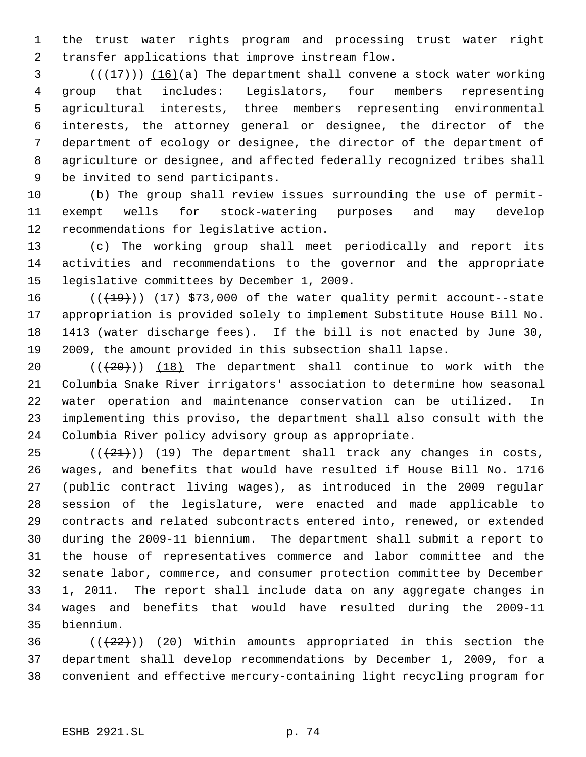the trust water rights program and processing trust water right transfer applications that improve instream flow.

 $\left(\frac{1}{27}\right)$  (16)(a) The department shall convene a stock water working group that includes: Legislators, four members representing agricultural interests, three members representing environmental interests, the attorney general or designee, the director of the department of ecology or designee, the director of the department of agriculture or designee, and affected federally recognized tribes shall be invited to send participants.

 (b) The group shall review issues surrounding the use of permit- exempt wells for stock-watering purposes and may develop recommendations for legislative action.

 (c) The working group shall meet periodically and report its activities and recommendations to the governor and the appropriate legislative committees by December 1, 2009.

 $((+19))$   $(17)$  \$73,000 of the water quality permit account--state appropriation is provided solely to implement Substitute House Bill No. 1413 (water discharge fees). If the bill is not enacted by June 30, 2009, the amount provided in this subsection shall lapse.

 $((+20))$   $(18)$  The department shall continue to work with the Columbia Snake River irrigators' association to determine how seasonal water operation and maintenance conservation can be utilized. In implementing this proviso, the department shall also consult with the Columbia River policy advisory group as appropriate.

 $((21))$  (19) The department shall track any changes in costs, wages, and benefits that would have resulted if House Bill No. 1716 (public contract living wages), as introduced in the 2009 regular session of the legislature, were enacted and made applicable to contracts and related subcontracts entered into, renewed, or extended during the 2009-11 biennium. The department shall submit a report to the house of representatives commerce and labor committee and the senate labor, commerce, and consumer protection committee by December 1, 2011. The report shall include data on any aggregate changes in wages and benefits that would have resulted during the 2009-11 biennium.

36 ( $(\frac{22}{2})$ ) (20) Within amounts appropriated in this section the department shall develop recommendations by December 1, 2009, for a convenient and effective mercury-containing light recycling program for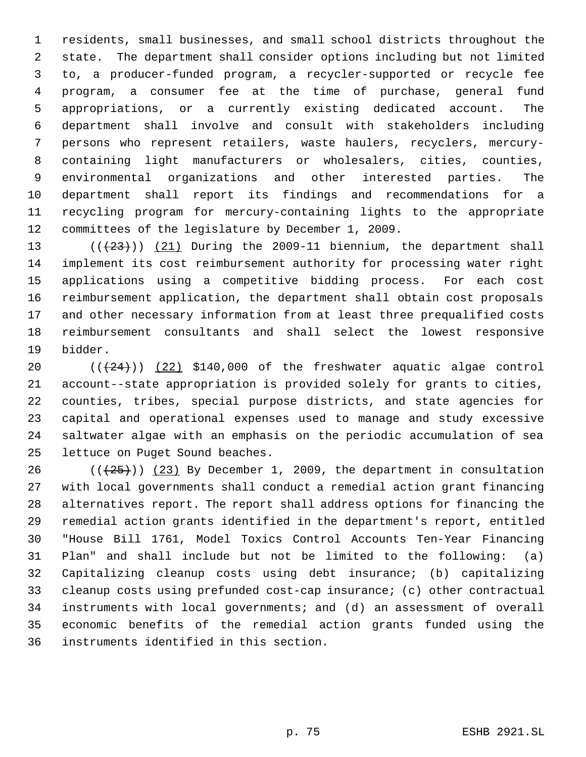residents, small businesses, and small school districts throughout the state. The department shall consider options including but not limited to, a producer-funded program, a recycler-supported or recycle fee program, a consumer fee at the time of purchase, general fund appropriations, or a currently existing dedicated account. The department shall involve and consult with stakeholders including persons who represent retailers, waste haulers, recyclers, mercury- containing light manufacturers or wholesalers, cities, counties, environmental organizations and other interested parties. The department shall report its findings and recommendations for a recycling program for mercury-containing lights to the appropriate committees of the legislature by December 1, 2009.

 $((+23))$   $(21)$  During the 2009-11 biennium, the department shall implement its cost reimbursement authority for processing water right applications using a competitive bidding process. For each cost reimbursement application, the department shall obtain cost proposals and other necessary information from at least three prequalified costs reimbursement consultants and shall select the lowest responsive bidder.

 $((+24))$   $(22)$  \$140,000 of the freshwater aquatic algae control account--state appropriation is provided solely for grants to cities, counties, tribes, special purpose districts, and state agencies for capital and operational expenses used to manage and study excessive saltwater algae with an emphasis on the periodic accumulation of sea lettuce on Puget Sound beaches.

26 ( $(\frac{25}{1})$ ) (23) By December 1, 2009, the department in consultation with local governments shall conduct a remedial action grant financing alternatives report. The report shall address options for financing the remedial action grants identified in the department's report, entitled "House Bill 1761, Model Toxics Control Accounts Ten-Year Financing Plan" and shall include but not be limited to the following: (a) Capitalizing cleanup costs using debt insurance; (b) capitalizing cleanup costs using prefunded cost-cap insurance; (c) other contractual instruments with local governments; and (d) an assessment of overall economic benefits of the remedial action grants funded using the instruments identified in this section.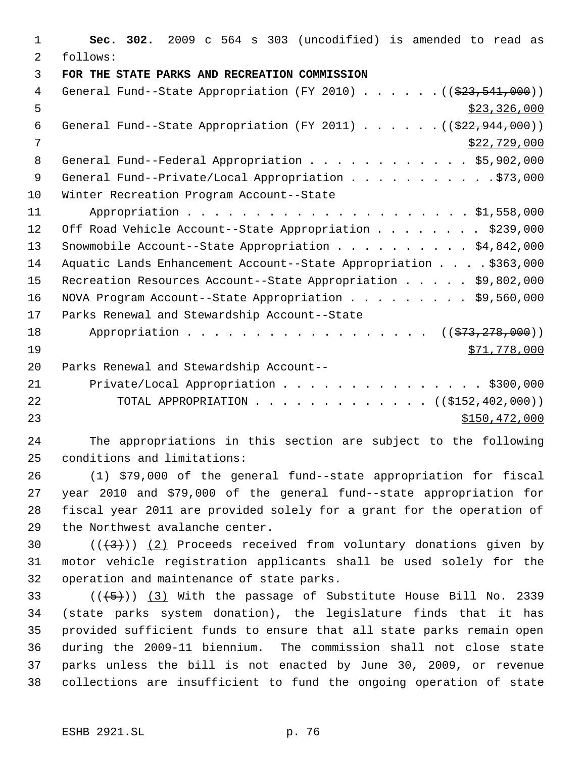1 **Sec. 302.** 2009 c 564 s 303 (uncodified) is amended to read as 2 follows: 3 **FOR THE STATE PARKS AND RECREATION COMMISSION**  4 General Fund--State Appropriation (FY 2010) . . . . . . ((\$23,541,000))  $\frac{1}{2}$  5 6 General Fund--State Appropriation (FY 2011) . . . . . .  $($   $($ \$22,944,000))  $7 \times 22,729,000$ 8 General Fund--Federal Appropriation . . . . . . . . . . . \$5,902,000 9 General Fund--Private/Local Appropriation . . . . . . . . . . . \$73,000 10 Winter Recreation Program Account--State 11 Appropriation . . . . . . . . . . . . . . . . . . . . . \$1,558,000 12 Off Road Vehicle Account--State Appropriation . . . . . . . \$239,000 13 Snowmobile Account--State Appropriation . . . . . . . . . . \$4,842,000 14 Aquatic Lands Enhancement Account--State Appropriation . . . . \$363,000 15 Recreation Resources Account--State Appropriation . . . . . \$9,802,000 16 NOVA Program Account--State Appropriation . . . . . . . . \$9,560,000 17 Parks Renewal and Stewardship Account--State 18 Appropriation . . . . . . . . . . . . . . . . ((\$73,278,000))  $19$  \$71,778,000 20 Parks Renewal and Stewardship Account-- 21 Private/Local Appropriation . . . . . . . . . . . . . . \$300,000 22 TOTAL APPROPRIATION . . . . . . . . . . . . ((\$<del>152,402,000</del>)) 23 \$150,472,000

24 The appropriations in this section are subject to the following 25 conditions and limitations:

 (1) \$79,000 of the general fund--state appropriation for fiscal year 2010 and \$79,000 of the general fund--state appropriation for fiscal year 2011 are provided solely for a grant for the operation of the Northwest avalanche center.

30  $((+3))$   $(2)$  Proceeds received from voluntary donations given by 31 motor vehicle registration applicants shall be used solely for the 32 operation and maintenance of state parks.

 $((+5))$   $(3)$  With the passage of Substitute House Bill No. 2339 (state parks system donation), the legislature finds that it has provided sufficient funds to ensure that all state parks remain open during the 2009-11 biennium. The commission shall not close state parks unless the bill is not enacted by June 30, 2009, or revenue collections are insufficient to fund the ongoing operation of state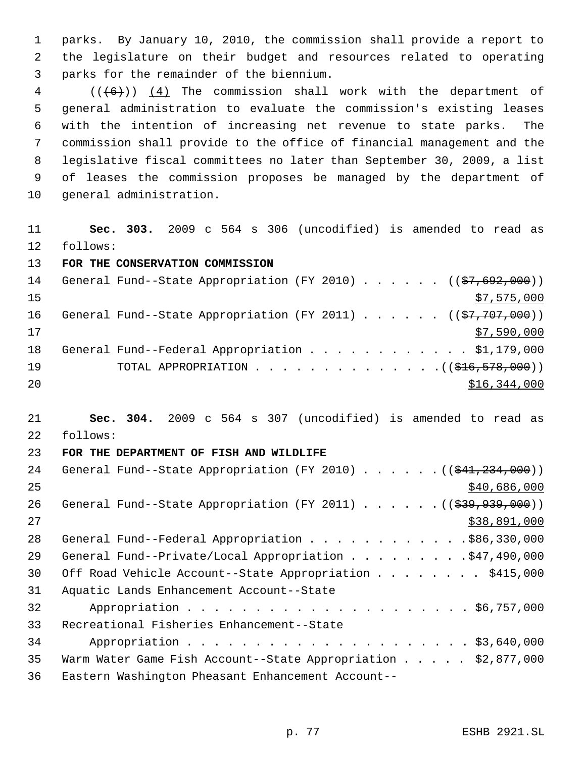parks. By January 10, 2010, the commission shall provide a report to the legislature on their budget and resources related to operating parks for the remainder of the biennium.

 (( $(6+)$ ))  $(4)$  The commission shall work with the department of general administration to evaluate the commission's existing leases with the intention of increasing net revenue to state parks. The commission shall provide to the office of financial management and the legislative fiscal committees no later than September 30, 2009, a list of leases the commission proposes be managed by the department of general administration.

 **Sec. 303.** 2009 c 564 s 306 (uncodified) is amended to read as follows:

**FOR THE CONSERVATION COMMISSION** 

| 14  | General Fund--State Appropriation (FY 2010) ( $(\frac{27}{67,692,000})$ |
|-----|-------------------------------------------------------------------------|
| 1.5 | \$7,575,000                                                             |
| 16  | General Fund--State Appropriation (FY 2011) $($ $($ \$7,707,000))       |
| 17  | \$7,590,000                                                             |
| 18  | General Fund--Federal Appropriation \$1,179,000                         |
| 19  |                                                                         |
| 20  | \$16,344,000                                                            |

 **Sec. 304.** 2009 c 564 s 307 (uncodified) is amended to read as follows:

## **FOR THE DEPARTMENT OF FISH AND WILDLIFE**

| 24 | General Fund--State Appropriation (FY 2010) $($ $($ $$41, 234, 000)$ )         |
|----|--------------------------------------------------------------------------------|
| 25 | \$40,686,000                                                                   |
| 26 | General Fund--State Appropriation (FY 2011) ( $(\frac{2939}{391}, 939, 000)$ ) |
| 27 | \$38,891,000                                                                   |
| 28 | General Fund--Federal Appropriation \$86,330,000                               |
| 29 | General Fund--Private/Local Appropriation \$47,490,000                         |
| 30 | Off Road Vehicle Account--State Appropriation \$415,000                        |
| 31 | Aquatic Lands Enhancement Account--State                                       |
| 32 |                                                                                |
| 33 | Recreational Fisheries Enhancement--State                                      |
| 34 |                                                                                |
| 35 | Warm Water Game Fish Account--State Appropriation \$2,877,000                  |
| 36 | Eastern Washington Pheasant Enhancement Account--                              |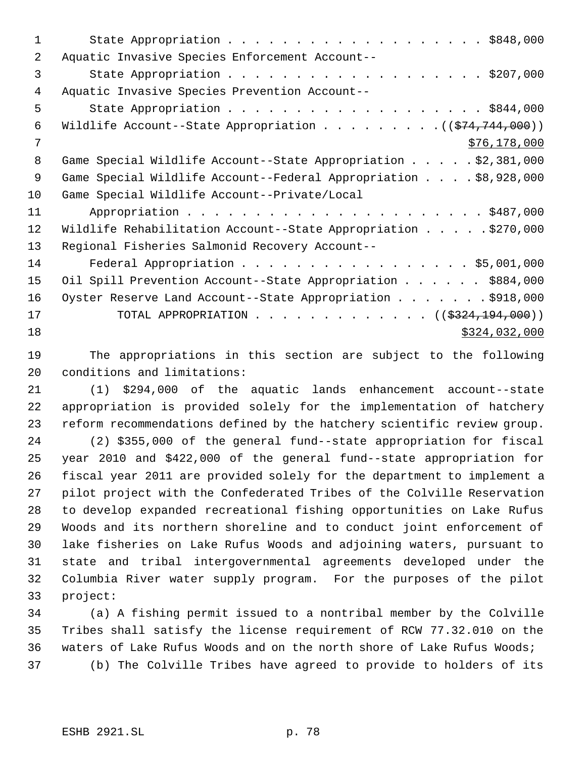| 1  |                                                                  |
|----|------------------------------------------------------------------|
| 2  | Aquatic Invasive Species Enforcement Account--                   |
| 3  | State Appropriation \$207,000                                    |
| 4  | Aquatic Invasive Species Prevention Account--                    |
| 5  | State Appropriation \$844,000                                    |
| 6  | Wildlife Account--State Appropriation $($ $($ \$74,744,000) $)$  |
| 7  | \$76,178,000                                                     |
| 8  | Game Special Wildlife Account--State Appropriation \$2,381,000   |
| 9  | Game Special Wildlife Account--Federal Appropriation \$8,928,000 |
| 10 | Game Special Wildlife Account--Private/Local                     |
| 11 |                                                                  |
| 12 | Wildlife Rehabilitation Account--State Appropriation \$270,000   |
| 13 | Regional Fisheries Salmonid Recovery Account--                   |
| 14 | Federal Appropriation \$5,001,000                                |
| 15 | Oil Spill Prevention Account--State Appropriation \$884,000      |
| 16 | Oyster Reserve Land Account--State Appropriation \$918,000       |
| 17 | TOTAL APPROPRIATION ( $(\frac{2324}{194},000)$ )                 |
| 18 | \$324,032,000                                                    |

 The appropriations in this section are subject to the following conditions and limitations:

 (1) \$294,000 of the aquatic lands enhancement account--state appropriation is provided solely for the implementation of hatchery reform recommendations defined by the hatchery scientific review group.

 (2) \$355,000 of the general fund--state appropriation for fiscal year 2010 and \$422,000 of the general fund--state appropriation for fiscal year 2011 are provided solely for the department to implement a pilot project with the Confederated Tribes of the Colville Reservation to develop expanded recreational fishing opportunities on Lake Rufus Woods and its northern shoreline and to conduct joint enforcement of lake fisheries on Lake Rufus Woods and adjoining waters, pursuant to state and tribal intergovernmental agreements developed under the Columbia River water supply program. For the purposes of the pilot project:

 (a) A fishing permit issued to a nontribal member by the Colville Tribes shall satisfy the license requirement of RCW 77.32.010 on the waters of Lake Rufus Woods and on the north shore of Lake Rufus Woods; (b) The Colville Tribes have agreed to provide to holders of its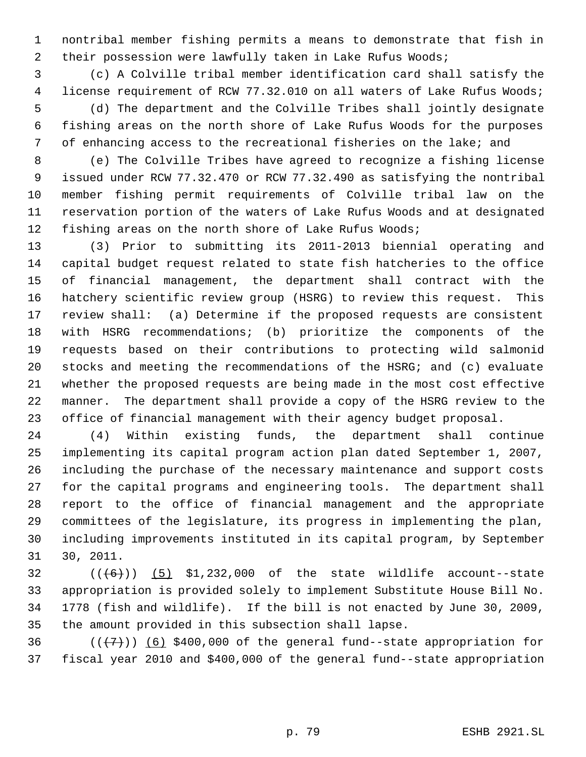nontribal member fishing permits a means to demonstrate that fish in 2 their possession were lawfully taken in Lake Rufus Woods;

 (c) A Colville tribal member identification card shall satisfy the license requirement of RCW 77.32.010 on all waters of Lake Rufus Woods; (d) The department and the Colville Tribes shall jointly designate fishing areas on the north shore of Lake Rufus Woods for the purposes of enhancing access to the recreational fisheries on the lake; and

 (e) The Colville Tribes have agreed to recognize a fishing license issued under RCW 77.32.470 or RCW 77.32.490 as satisfying the nontribal member fishing permit requirements of Colville tribal law on the reservation portion of the waters of Lake Rufus Woods and at designated fishing areas on the north shore of Lake Rufus Woods;

 (3) Prior to submitting its 2011-2013 biennial operating and capital budget request related to state fish hatcheries to the office of financial management, the department shall contract with the hatchery scientific review group (HSRG) to review this request. This review shall: (a) Determine if the proposed requests are consistent with HSRG recommendations; (b) prioritize the components of the requests based on their contributions to protecting wild salmonid stocks and meeting the recommendations of the HSRG; and (c) evaluate whether the proposed requests are being made in the most cost effective manner. The department shall provide a copy of the HSRG review to the office of financial management with their agency budget proposal.

 (4) Within existing funds, the department shall continue implementing its capital program action plan dated September 1, 2007, including the purchase of the necessary maintenance and support costs for the capital programs and engineering tools. The department shall report to the office of financial management and the appropriate committees of the legislature, its progress in implementing the plan, including improvements instituted in its capital program, by September 30, 2011.

 $((+6))$  (5) \$1,232,000 of the state wildlife account--state appropriation is provided solely to implement Substitute House Bill No. 1778 (fish and wildlife). If the bill is not enacted by June 30, 2009, the amount provided in this subsection shall lapse.

36  $((+7)$ ) (6) \$400,000 of the general fund--state appropriation for fiscal year 2010 and \$400,000 of the general fund--state appropriation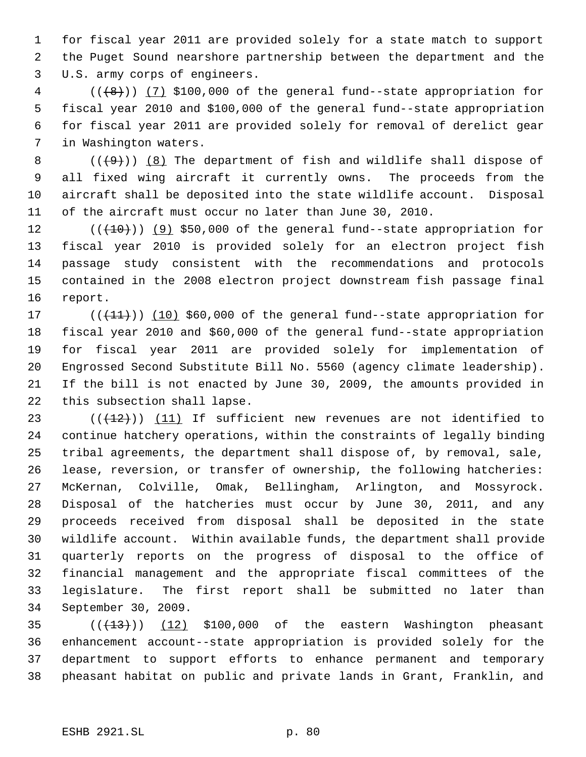for fiscal year 2011 are provided solely for a state match to support the Puget Sound nearshore partnership between the department and the U.S. army corps of engineers.

 ( $(\frac{1}{8})$ ) (7) \$100,000 of the general fund--state appropriation for fiscal year 2010 and \$100,000 of the general fund--state appropriation for fiscal year 2011 are provided solely for removal of derelict gear in Washington waters.

 $((+9))$   $(8)$  The department of fish and wildlife shall dispose of all fixed wing aircraft it currently owns. The proceeds from the aircraft shall be deposited into the state wildlife account. Disposal of the aircraft must occur no later than June 30, 2010.

 $((+10))$  (9) \$50,000 of the general fund--state appropriation for fiscal year 2010 is provided solely for an electron project fish passage study consistent with the recommendations and protocols contained in the 2008 electron project downstream fish passage final report.

17 (( $(11)$ )) (10) \$60,000 of the general fund--state appropriation for fiscal year 2010 and \$60,000 of the general fund--state appropriation for fiscal year 2011 are provided solely for implementation of Engrossed Second Substitute Bill No. 5560 (agency climate leadership). If the bill is not enacted by June 30, 2009, the amounts provided in this subsection shall lapse.

 $((+12))$  (11) If sufficient new revenues are not identified to continue hatchery operations, within the constraints of legally binding tribal agreements, the department shall dispose of, by removal, sale, lease, reversion, or transfer of ownership, the following hatcheries: McKernan, Colville, Omak, Bellingham, Arlington, and Mossyrock. Disposal of the hatcheries must occur by June 30, 2011, and any proceeds received from disposal shall be deposited in the state wildlife account. Within available funds, the department shall provide quarterly reports on the progress of disposal to the office of financial management and the appropriate fiscal committees of the legislature. The first report shall be submitted no later than September 30, 2009.

  $((+13))$   $(12)$  \$100,000 of the eastern Washington pheasant enhancement account--state appropriation is provided solely for the department to support efforts to enhance permanent and temporary pheasant habitat on public and private lands in Grant, Franklin, and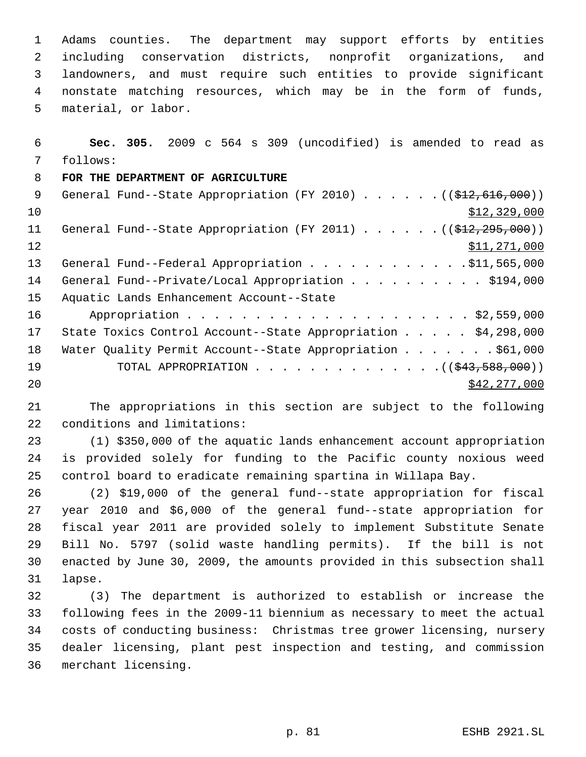Adams counties. The department may support efforts by entities including conservation districts, nonprofit organizations, and landowners, and must require such entities to provide significant nonstate matching resources, which may be in the form of funds, material, or labor.

 **Sec. 305.** 2009 c 564 s 309 (uncodified) is amended to read as follows:

## **FOR THE DEPARTMENT OF AGRICULTURE**

| - 9 | General Fund--State Appropriation (FY 2010) $($ $($ \$12,616,000))                 |
|-----|------------------------------------------------------------------------------------|
| 10  | \$12,329,000                                                                       |
| 11  | General Fund--State Appropriation (FY 2011) $($ $(\frac{12}{22}, \frac{295}{200})$ |
| 12  | \$11,271,000                                                                       |
| 13  | General Fund--Federal Appropriation \$11,565,000                                   |
| 14  | General Fund--Private/Local Appropriation \$194,000                                |
| 15  | Aquatic Lands Enhancement Account--State                                           |
| 16  |                                                                                    |
| 17  | State Toxics Control Account--State Appropriation $\ldots$ \$4,298,000             |
| 18  | Water Quality Permit Account--State Appropriation \$61,000                         |
| 19  | TOTAL APPROPRIATION $($ $($ $\frac{243,588,000)}{1000})$                           |
| 20  | \$42, 277, 000                                                                     |

 The appropriations in this section are subject to the following conditions and limitations:

 (1) \$350,000 of the aquatic lands enhancement account appropriation is provided solely for funding to the Pacific county noxious weed control board to eradicate remaining spartina in Willapa Bay.

 (2) \$19,000 of the general fund--state appropriation for fiscal year 2010 and \$6,000 of the general fund--state appropriation for fiscal year 2011 are provided solely to implement Substitute Senate Bill No. 5797 (solid waste handling permits). If the bill is not enacted by June 30, 2009, the amounts provided in this subsection shall lapse.

 (3) The department is authorized to establish or increase the following fees in the 2009-11 biennium as necessary to meet the actual costs of conducting business: Christmas tree grower licensing, nursery dealer licensing, plant pest inspection and testing, and commission merchant licensing.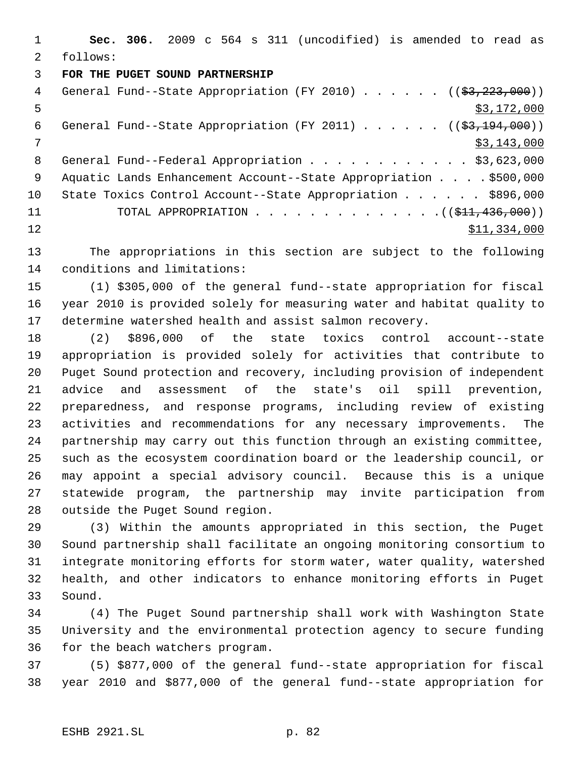**Sec. 306.** 2009 c 564 s 311 (uncodified) is amended to read as follows:

## **FOR THE PUGET SOUND PARTNERSHIP**

| 4  | General Fund--State Appropriation (FY 2010) $($ $($ \$3,223,000))    |
|----|----------------------------------------------------------------------|
| 5  | \$3,172,000                                                          |
| 6  | General Fund--State Appropriation (FY 2011) $($ $($ \$3,194,000) $)$ |
| 7  | \$3,143,000                                                          |
| 8  | General Fund--Federal Appropriation \$3,623,000                      |
| 9  | Aquatic Lands Enhancement Account--State Appropriation \$500,000     |
| 10 | State Toxics Control Account--State Appropriation \$896,000          |
| 11 |                                                                      |
| 12 | \$11,334,000                                                         |
|    |                                                                      |

 The appropriations in this section are subject to the following conditions and limitations:

 (1) \$305,000 of the general fund--state appropriation for fiscal year 2010 is provided solely for measuring water and habitat quality to determine watershed health and assist salmon recovery.

 (2) \$896,000 of the state toxics control account--state appropriation is provided solely for activities that contribute to Puget Sound protection and recovery, including provision of independent advice and assessment of the state's oil spill prevention, preparedness, and response programs, including review of existing activities and recommendations for any necessary improvements. The partnership may carry out this function through an existing committee, such as the ecosystem coordination board or the leadership council, or may appoint a special advisory council. Because this is a unique statewide program, the partnership may invite participation from outside the Puget Sound region.

 (3) Within the amounts appropriated in this section, the Puget Sound partnership shall facilitate an ongoing monitoring consortium to integrate monitoring efforts for storm water, water quality, watershed health, and other indicators to enhance monitoring efforts in Puget Sound.

 (4) The Puget Sound partnership shall work with Washington State University and the environmental protection agency to secure funding for the beach watchers program.

 (5) \$877,000 of the general fund--state appropriation for fiscal year 2010 and \$877,000 of the general fund--state appropriation for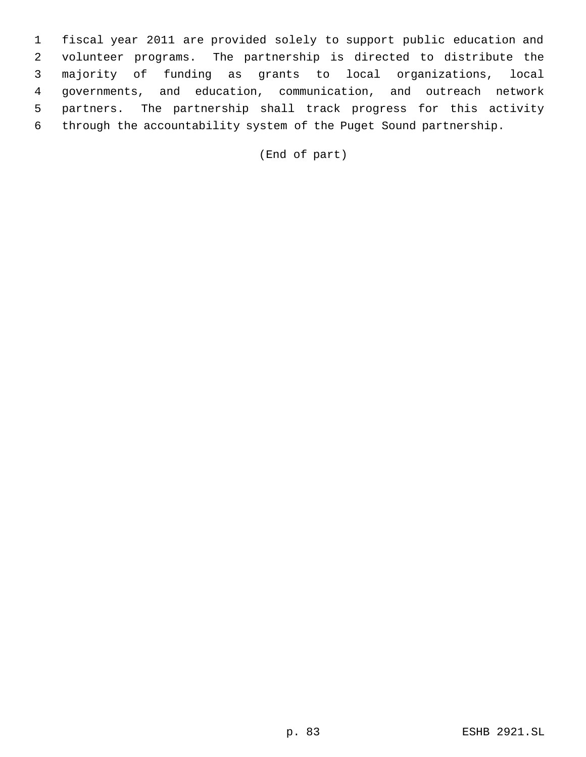fiscal year 2011 are provided solely to support public education and volunteer programs. The partnership is directed to distribute the majority of funding as grants to local organizations, local governments, and education, communication, and outreach network partners. The partnership shall track progress for this activity through the accountability system of the Puget Sound partnership.

(End of part)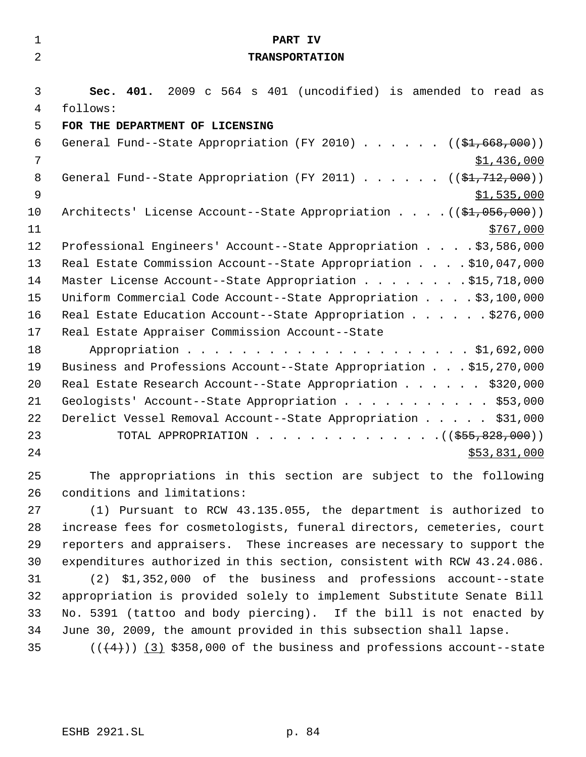| $\mathbf 1$    | PART IV                                                                           |
|----------------|-----------------------------------------------------------------------------------|
| $\overline{2}$ | <b>TRANSPORTATION</b>                                                             |
|                |                                                                                   |
| 3              | Sec. 401. 2009 c 564 s 401 (uncodified) is amended to read as                     |
| 4              | follows:                                                                          |
| 5              | FOR THE DEPARTMENT OF LICENSING                                                   |
| 6              | General Fund--State Appropriation (FY 2010) $($ $(\frac{21.668}{100})$            |
| $\overline{7}$ | \$1,436,000                                                                       |
| 8              | General Fund--State Appropriation (FY 2011) $($ $(\frac{1}{2}, 712, 000) )$       |
| $\overline{9}$ | \$1,535,000                                                                       |
| 10             | Architects' License Account--State Appropriation $($ $(\frac{1}{21}, 056, 000) )$ |
| 11             | \$767,000                                                                         |
| 12             | Professional Engineers' Account--State Appropriation \$3,586,000                  |
| 13             | Real Estate Commission Account--State Appropriation \$10,047,000                  |
| 14             | Master License Account--State Appropriation \$15,718,000                          |
| 15             | Uniform Commercial Code Account--State Appropriation \$3,100,000                  |
| 16             | Real Estate Education Account--State Appropriation \$276,000                      |
| 17             | Real Estate Appraiser Commission Account--State                                   |
| 18             |                                                                                   |
| 19             | Business and Professions Account--State Appropriation \$15,270,000                |
| 20             | Real Estate Research Account--State Appropriation \$320,000                       |
| 21             | Geologists' Account--State Appropriation \$53,000                                 |
| 22             | Derelict Vessel Removal Account--State Appropriation \$31,000                     |
| 23             | TOTAL APPROPRIATION ( $(\frac{255}{600})$ )                                       |
| 24             | \$53,831,000                                                                      |
| 25             | The appropriations in this section are subject to the following                   |
| 26             | conditions and limitations:                                                       |
| 27             | (1) Pursuant to RCW 43.135.055, the department is authorized to                   |
| 28             | increase fees for cosmetologists, funeral directors, cemeteries, court            |
| 29             | reporters and appraisers. These increases are necessary to support the            |
| 30             | expenditures authorized in this section, consistent with RCW 43.24.086.           |
| 31             | \$1,352,000 of the business and professions account--state<br>(2)                 |
| 32             | appropriation is provided solely to implement Substitute Senate Bill              |
| 33             | No. 5391 (tattoo and body piercing). If the bill is not enacted by                |
| 34             | June 30, 2009, the amount provided in this subsection shall lapse.                |
| 35             | $((+4))$ (3) \$358,000 of the business and professions account--state             |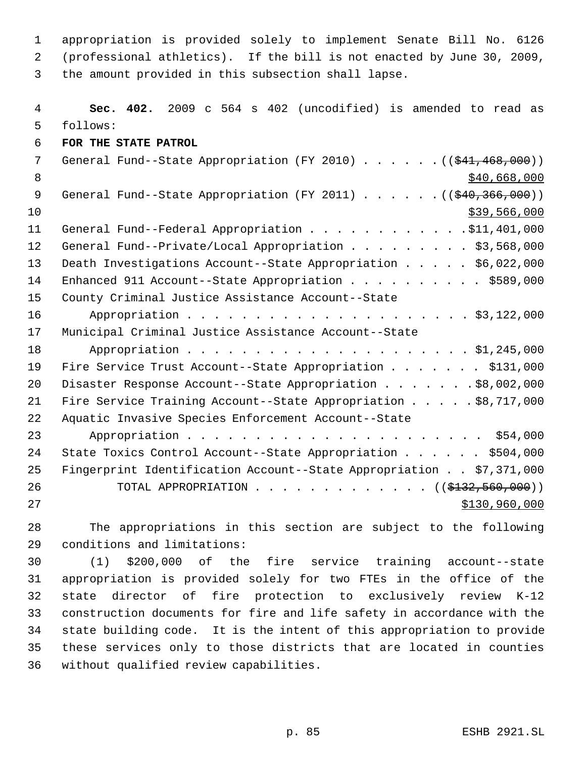appropriation is provided solely to implement Senate Bill No. 6126 (professional athletics). If the bill is not enacted by June 30, 2009, the amount provided in this subsection shall lapse.

 **Sec. 402.** 2009 c 564 s 402 (uncodified) is amended to read as follows: **FOR THE STATE PATROL** 7 General Fund--State Appropriation (FY 2010) . . . . . . ((\$41,468,000))  $8 \div 1000$ 9 General Fund--State Appropriation (FY 2011) . . . . . . ((\$40,366,000)) \$39,566,000 11 General Fund--Federal Appropriation . . . . . . . . . . . . \$11,401,000 12 General Fund--Private/Local Appropriation . . . . . . . . \$3,568,000 Death Investigations Account--State Appropriation . . . . . \$6,022,000 14 Enhanced 911 Account--State Appropriation . . . . . . . . . . \$589,000 County Criminal Justice Assistance Account--State Appropriation . . . . . . . . . . . . . . . . . . . . . \$3,122,000 Municipal Criminal Justice Assistance Account--State 18 Appropriation . . . . . . . . . . . . . . . . . . \$1,245,000 19 Fire Service Trust Account--State Appropriation . . . . . . \$131,000 20 Disaster Response Account--State Appropriation . . . . . . \$8,002,000 Fire Service Training Account--State Appropriation . . . . . \$8,717,000 Aquatic Invasive Species Enforcement Account--State Appropriation . . . . . . . . . . . . . . . . . . . . . . \$54,000 State Toxics Control Account--State Appropriation . . . . . . \$504,000 Fingerprint Identification Account--State Appropriation . . \$7,371,000 26 TOTAL APPROPRIATION . . . . . . . . . . . . ((\$<del>132,560,000</del>)) 27 \$130,960,000

 The appropriations in this section are subject to the following conditions and limitations:

 (1) \$200,000 of the fire service training account--state appropriation is provided solely for two FTEs in the office of the state director of fire protection to exclusively review K-12 construction documents for fire and life safety in accordance with the state building code. It is the intent of this appropriation to provide these services only to those districts that are located in counties without qualified review capabilities.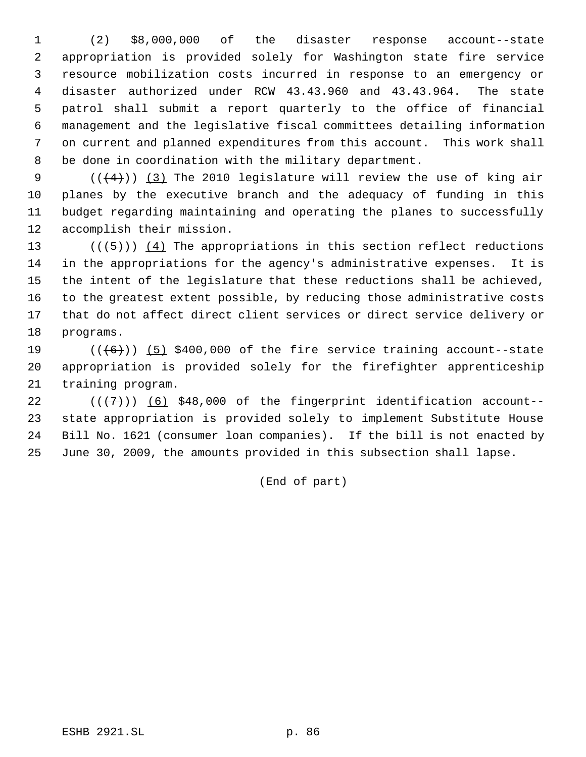(2) \$8,000,000 of the disaster response account--state appropriation is provided solely for Washington state fire service resource mobilization costs incurred in response to an emergency or disaster authorized under RCW 43.43.960 and 43.43.964. The state patrol shall submit a report quarterly to the office of financial management and the legislative fiscal committees detailing information on current and planned expenditures from this account. This work shall be done in coordination with the military department.

 $((+4))$   $(3)$  The 2010 legislature will review the use of king air planes by the executive branch and the adequacy of funding in this budget regarding maintaining and operating the planes to successfully accomplish their mission.

 $((+5))$   $(4)$  The appropriations in this section reflect reductions in the appropriations for the agency's administrative expenses. It is the intent of the legislature that these reductions shall be achieved, to the greatest extent possible, by reducing those administrative costs that do not affect direct client services or direct service delivery or programs.

19  $((+6))$   $(5)$  \$400,000 of the fire service training account--state appropriation is provided solely for the firefighter apprenticeship training program.

 $((+7))$   $(6)$  \$48,000 of the fingerprint identification account-- state appropriation is provided solely to implement Substitute House Bill No. 1621 (consumer loan companies). If the bill is not enacted by June 30, 2009, the amounts provided in this subsection shall lapse.

(End of part)

ESHB 2921.SL p. 86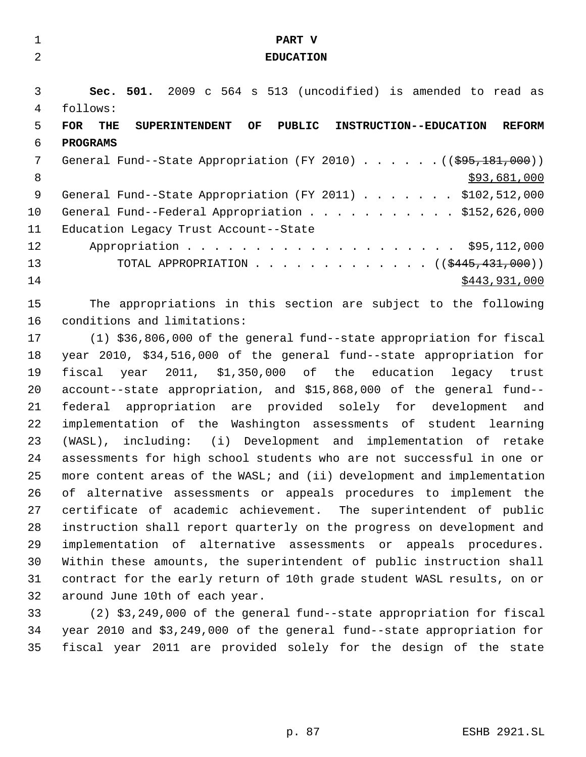| $\mathbf{1}$ | PART V                                                                                             |
|--------------|----------------------------------------------------------------------------------------------------|
| 2            | <b>EDUCATION</b>                                                                                   |
|              |                                                                                                    |
| 3            | Sec. 501. 2009 c 564 s 513 (uncodified) is amended to read as                                      |
| 4            | follows:                                                                                           |
| 5            | <b>FOR</b><br>OF<br>PUBLIC INSTRUCTION--EDUCATION<br><b>REFORM</b><br>THE<br><b>SUPERINTENDENT</b> |
| 6            | <b>PROGRAMS</b>                                                                                    |
| 7            | General Fund--State Appropriation (FY 2010) $($ $($ $\frac{695}{181},000)$ )                       |
| 8            | \$93,681,000                                                                                       |
| 9            | General Fund--State Appropriation (FY 2011) \$102,512,000                                          |
| 10           | General Fund--Federal Appropriation \$152,626,000                                                  |
| 11           | Education Legacy Trust Account--State                                                              |
| 12           |                                                                                                    |
| 13           | TOTAL APPROPRIATION ( $(\frac{2445}{131000})$ )                                                    |
| 14           | \$443,931,000                                                                                      |
| 15           | The appropriations in this section are subject to the following                                    |
| 16           | conditions and limitations:                                                                        |
| 17           | (1) \$36,806,000 of the general fund--state appropriation for fiscal                               |
| 18           | year 2010, \$34,516,000 of the general fund--state appropriation for                               |
| 19           | fiscal year 2011, \$1,350,000 of the education legacy trust                                        |
| 20           | account--state appropriation, and \$15,868,000 of the general fund--                               |
| 21           | federal appropriation are provided solely for development and                                      |
| 22           | implementation of the Washington assessments of student learning                                   |
| 23           | (WASL), including: (i) Development and implementation of retake                                    |
| 24           | assessments for high school students who are not successful in one or                              |
| 25           | more content areas of the WASL; and (ii) development and implementation                            |
| 26           | of alternative assessments or appeals procedures to implement the                                  |
| 27           | certificate of academic achievement. The superintendent of public                                  |
| 28           | instruction shall report quarterly on the progress on development and                              |
| 29           | implementation of alternative assessments or appeals procedures.                                   |
| 30           | Within these amounts, the superintendent of public instruction shall                               |
| 31           | contract for the early return of 10th grade student WASL results, on or                            |
| 32           | around June 10th of each year.                                                                     |
| 33           | (2) \$3,249,000 of the general fund--state appropriation for fiscal                                |
| 34           | year 2010 and \$3,249,000 of the general fund--state appropriation for                             |
| 35           | fiscal year 2011 are provided solely for the design of the state                                   |
|              |                                                                                                    |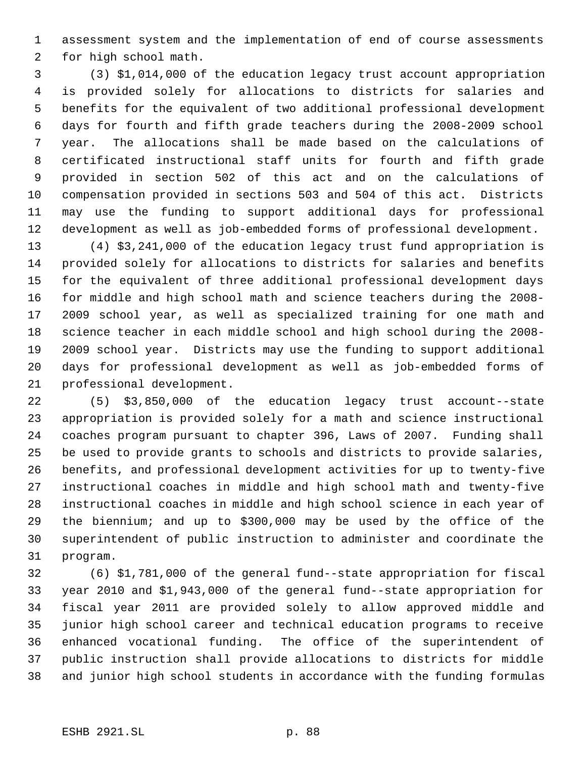assessment system and the implementation of end of course assessments for high school math.

 (3) \$1,014,000 of the education legacy trust account appropriation is provided solely for allocations to districts for salaries and benefits for the equivalent of two additional professional development days for fourth and fifth grade teachers during the 2008-2009 school year. The allocations shall be made based on the calculations of certificated instructional staff units for fourth and fifth grade provided in section 502 of this act and on the calculations of compensation provided in sections 503 and 504 of this act. Districts may use the funding to support additional days for professional development as well as job-embedded forms of professional development.

 (4) \$3,241,000 of the education legacy trust fund appropriation is provided solely for allocations to districts for salaries and benefits for the equivalent of three additional professional development days for middle and high school math and science teachers during the 2008- 2009 school year, as well as specialized training for one math and science teacher in each middle school and high school during the 2008- 2009 school year. Districts may use the funding to support additional days for professional development as well as job-embedded forms of professional development.

 (5) \$3,850,000 of the education legacy trust account--state appropriation is provided solely for a math and science instructional coaches program pursuant to chapter 396, Laws of 2007. Funding shall be used to provide grants to schools and districts to provide salaries, benefits, and professional development activities for up to twenty-five instructional coaches in middle and high school math and twenty-five instructional coaches in middle and high school science in each year of the biennium; and up to \$300,000 may be used by the office of the superintendent of public instruction to administer and coordinate the program.

 (6) \$1,781,000 of the general fund--state appropriation for fiscal year 2010 and \$1,943,000 of the general fund--state appropriation for fiscal year 2011 are provided solely to allow approved middle and junior high school career and technical education programs to receive enhanced vocational funding. The office of the superintendent of public instruction shall provide allocations to districts for middle and junior high school students in accordance with the funding formulas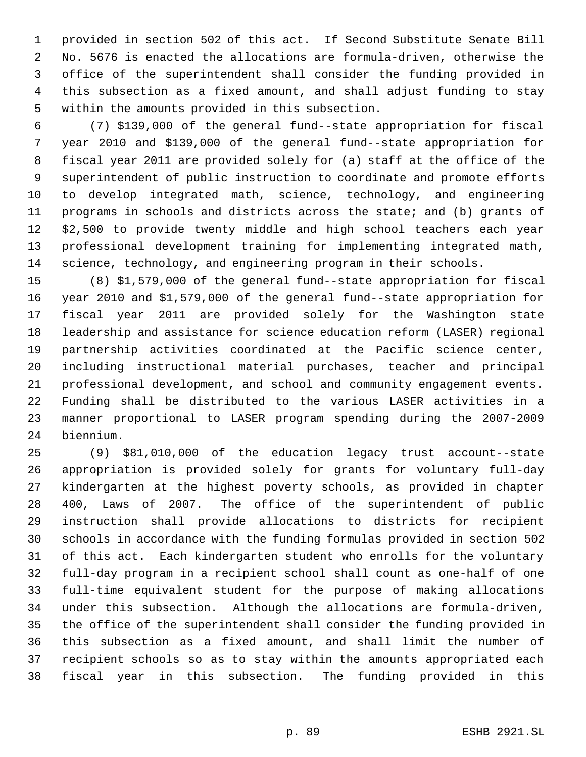provided in section 502 of this act. If Second Substitute Senate Bill No. 5676 is enacted the allocations are formula-driven, otherwise the office of the superintendent shall consider the funding provided in this subsection as a fixed amount, and shall adjust funding to stay within the amounts provided in this subsection.

 (7) \$139,000 of the general fund--state appropriation for fiscal year 2010 and \$139,000 of the general fund--state appropriation for fiscal year 2011 are provided solely for (a) staff at the office of the superintendent of public instruction to coordinate and promote efforts to develop integrated math, science, technology, and engineering programs in schools and districts across the state; and (b) grants of \$2,500 to provide twenty middle and high school teachers each year professional development training for implementing integrated math, science, technology, and engineering program in their schools.

 (8) \$1,579,000 of the general fund--state appropriation for fiscal year 2010 and \$1,579,000 of the general fund--state appropriation for fiscal year 2011 are provided solely for the Washington state leadership and assistance for science education reform (LASER) regional partnership activities coordinated at the Pacific science center, including instructional material purchases, teacher and principal professional development, and school and community engagement events. Funding shall be distributed to the various LASER activities in a manner proportional to LASER program spending during the 2007-2009 biennium.

 (9) \$81,010,000 of the education legacy trust account--state appropriation is provided solely for grants for voluntary full-day kindergarten at the highest poverty schools, as provided in chapter 400, Laws of 2007. The office of the superintendent of public instruction shall provide allocations to districts for recipient schools in accordance with the funding formulas provided in section 502 of this act. Each kindergarten student who enrolls for the voluntary full-day program in a recipient school shall count as one-half of one full-time equivalent student for the purpose of making allocations under this subsection. Although the allocations are formula-driven, the office of the superintendent shall consider the funding provided in this subsection as a fixed amount, and shall limit the number of recipient schools so as to stay within the amounts appropriated each fiscal year in this subsection. The funding provided in this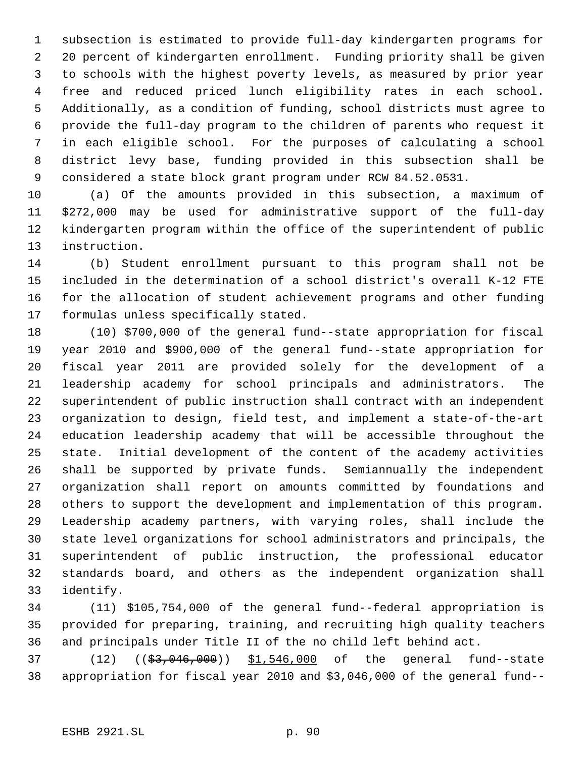subsection is estimated to provide full-day kindergarten programs for 20 percent of kindergarten enrollment. Funding priority shall be given to schools with the highest poverty levels, as measured by prior year free and reduced priced lunch eligibility rates in each school. Additionally, as a condition of funding, school districts must agree to provide the full-day program to the children of parents who request it in each eligible school. For the purposes of calculating a school district levy base, funding provided in this subsection shall be considered a state block grant program under RCW 84.52.0531.

 (a) Of the amounts provided in this subsection, a maximum of \$272,000 may be used for administrative support of the full-day kindergarten program within the office of the superintendent of public instruction.

 (b) Student enrollment pursuant to this program shall not be included in the determination of a school district's overall K-12 FTE for the allocation of student achievement programs and other funding formulas unless specifically stated.

 (10) \$700,000 of the general fund--state appropriation for fiscal year 2010 and \$900,000 of the general fund--state appropriation for fiscal year 2011 are provided solely for the development of a leadership academy for school principals and administrators. The superintendent of public instruction shall contract with an independent organization to design, field test, and implement a state-of-the-art education leadership academy that will be accessible throughout the state. Initial development of the content of the academy activities shall be supported by private funds. Semiannually the independent organization shall report on amounts committed by foundations and others to support the development and implementation of this program. Leadership academy partners, with varying roles, shall include the state level organizations for school administrators and principals, the superintendent of public instruction, the professional educator standards board, and others as the independent organization shall identify.

 (11) \$105,754,000 of the general fund--federal appropriation is provided for preparing, training, and recruiting high quality teachers and principals under Title II of the no child left behind act.

37 (12) ((\$3,046,000)) \$1,546,000 of the general fund--state appropriation for fiscal year 2010 and \$3,046,000 of the general fund--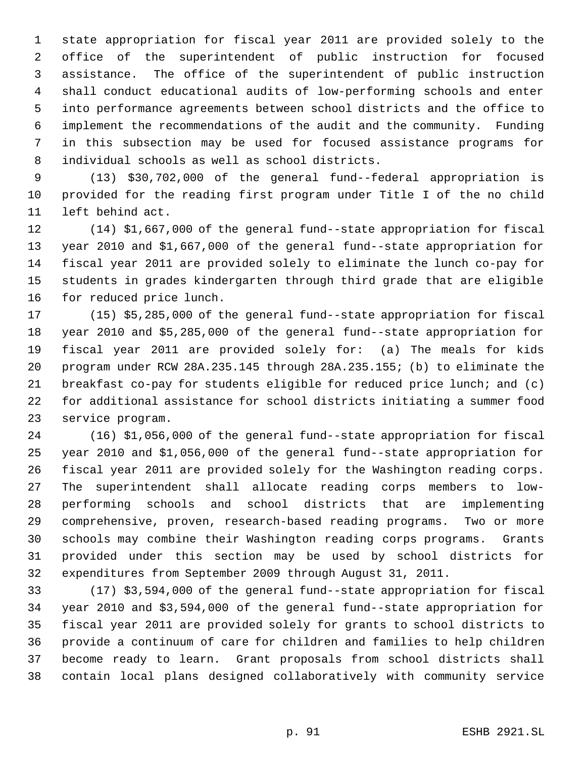state appropriation for fiscal year 2011 are provided solely to the office of the superintendent of public instruction for focused assistance. The office of the superintendent of public instruction shall conduct educational audits of low-performing schools and enter into performance agreements between school districts and the office to implement the recommendations of the audit and the community. Funding in this subsection may be used for focused assistance programs for individual schools as well as school districts.

 (13) \$30,702,000 of the general fund--federal appropriation is provided for the reading first program under Title I of the no child left behind act.

 (14) \$1,667,000 of the general fund--state appropriation for fiscal year 2010 and \$1,667,000 of the general fund--state appropriation for fiscal year 2011 are provided solely to eliminate the lunch co-pay for students in grades kindergarten through third grade that are eligible for reduced price lunch.

 (15) \$5,285,000 of the general fund--state appropriation for fiscal year 2010 and \$5,285,000 of the general fund--state appropriation for fiscal year 2011 are provided solely for: (a) The meals for kids program under RCW 28A.235.145 through 28A.235.155; (b) to eliminate the breakfast co-pay for students eligible for reduced price lunch; and (c) for additional assistance for school districts initiating a summer food service program.

 (16) \$1,056,000 of the general fund--state appropriation for fiscal year 2010 and \$1,056,000 of the general fund--state appropriation for fiscal year 2011 are provided solely for the Washington reading corps. The superintendent shall allocate reading corps members to low- performing schools and school districts that are implementing comprehensive, proven, research-based reading programs. Two or more schools may combine their Washington reading corps programs. Grants provided under this section may be used by school districts for expenditures from September 2009 through August 31, 2011.

 (17) \$3,594,000 of the general fund--state appropriation for fiscal year 2010 and \$3,594,000 of the general fund--state appropriation for fiscal year 2011 are provided solely for grants to school districts to provide a continuum of care for children and families to help children become ready to learn. Grant proposals from school districts shall contain local plans designed collaboratively with community service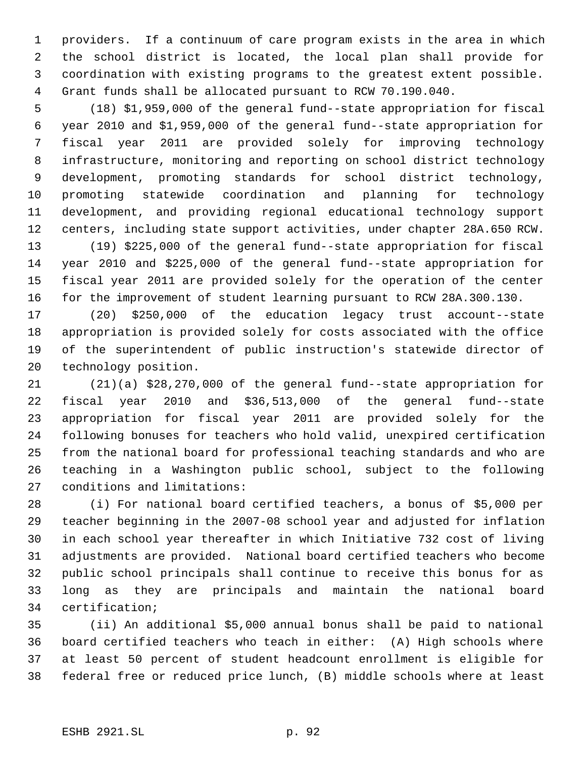providers. If a continuum of care program exists in the area in which the school district is located, the local plan shall provide for coordination with existing programs to the greatest extent possible. Grant funds shall be allocated pursuant to RCW 70.190.040.

 (18) \$1,959,000 of the general fund--state appropriation for fiscal year 2010 and \$1,959,000 of the general fund--state appropriation for fiscal year 2011 are provided solely for improving technology infrastructure, monitoring and reporting on school district technology development, promoting standards for school district technology, promoting statewide coordination and planning for technology development, and providing regional educational technology support centers, including state support activities, under chapter 28A.650 RCW.

 (19) \$225,000 of the general fund--state appropriation for fiscal year 2010 and \$225,000 of the general fund--state appropriation for fiscal year 2011 are provided solely for the operation of the center for the improvement of student learning pursuant to RCW 28A.300.130.

 (20) \$250,000 of the education legacy trust account--state appropriation is provided solely for costs associated with the office of the superintendent of public instruction's statewide director of technology position.

 (21)(a) \$28,270,000 of the general fund--state appropriation for fiscal year 2010 and \$36,513,000 of the general fund--state appropriation for fiscal year 2011 are provided solely for the following bonuses for teachers who hold valid, unexpired certification from the national board for professional teaching standards and who are teaching in a Washington public school, subject to the following conditions and limitations:

 (i) For national board certified teachers, a bonus of \$5,000 per teacher beginning in the 2007-08 school year and adjusted for inflation in each school year thereafter in which Initiative 732 cost of living adjustments are provided. National board certified teachers who become public school principals shall continue to receive this bonus for as long as they are principals and maintain the national board certification;

 (ii) An additional \$5,000 annual bonus shall be paid to national board certified teachers who teach in either: (A) High schools where at least 50 percent of student headcount enrollment is eligible for federal free or reduced price lunch, (B) middle schools where at least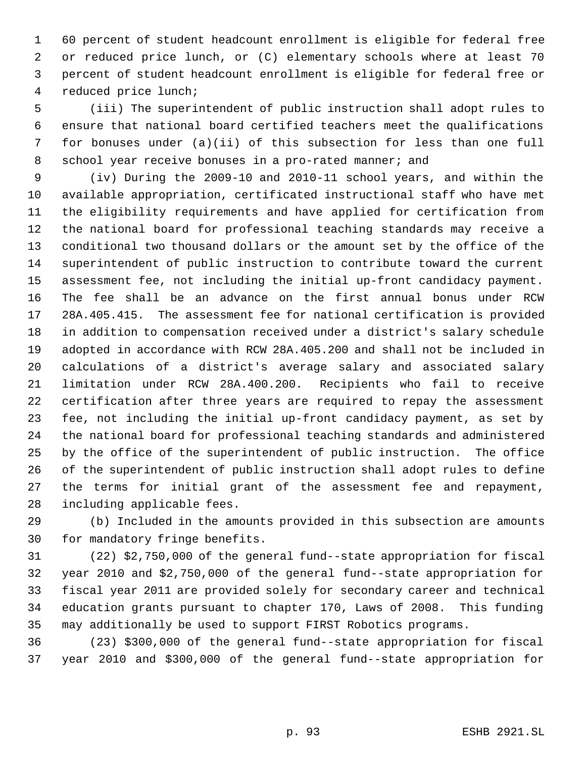60 percent of student headcount enrollment is eligible for federal free or reduced price lunch, or (C) elementary schools where at least 70 percent of student headcount enrollment is eligible for federal free or reduced price lunch;

 (iii) The superintendent of public instruction shall adopt rules to ensure that national board certified teachers meet the qualifications for bonuses under (a)(ii) of this subsection for less than one full 8 school year receive bonuses in a pro-rated manner; and

 (iv) During the 2009-10 and 2010-11 school years, and within the available appropriation, certificated instructional staff who have met the eligibility requirements and have applied for certification from the national board for professional teaching standards may receive a conditional two thousand dollars or the amount set by the office of the superintendent of public instruction to contribute toward the current assessment fee, not including the initial up-front candidacy payment. The fee shall be an advance on the first annual bonus under RCW 28A.405.415. The assessment fee for national certification is provided in addition to compensation received under a district's salary schedule adopted in accordance with RCW 28A.405.200 and shall not be included in calculations of a district's average salary and associated salary limitation under RCW 28A.400.200. Recipients who fail to receive certification after three years are required to repay the assessment fee, not including the initial up-front candidacy payment, as set by the national board for professional teaching standards and administered by the office of the superintendent of public instruction. The office of the superintendent of public instruction shall adopt rules to define the terms for initial grant of the assessment fee and repayment, including applicable fees.

 (b) Included in the amounts provided in this subsection are amounts for mandatory fringe benefits.

 (22) \$2,750,000 of the general fund--state appropriation for fiscal year 2010 and \$2,750,000 of the general fund--state appropriation for fiscal year 2011 are provided solely for secondary career and technical education grants pursuant to chapter 170, Laws of 2008. This funding may additionally be used to support FIRST Robotics programs.

 (23) \$300,000 of the general fund--state appropriation for fiscal year 2010 and \$300,000 of the general fund--state appropriation for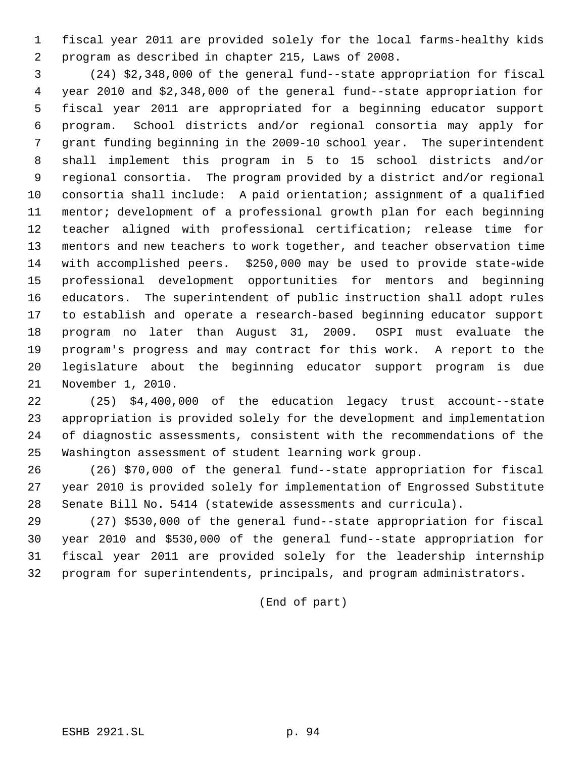fiscal year 2011 are provided solely for the local farms-healthy kids program as described in chapter 215, Laws of 2008.

 (24) \$2,348,000 of the general fund--state appropriation for fiscal year 2010 and \$2,348,000 of the general fund--state appropriation for fiscal year 2011 are appropriated for a beginning educator support program. School districts and/or regional consortia may apply for grant funding beginning in the 2009-10 school year. The superintendent shall implement this program in 5 to 15 school districts and/or regional consortia. The program provided by a district and/or regional consortia shall include: A paid orientation; assignment of a qualified mentor; development of a professional growth plan for each beginning teacher aligned with professional certification; release time for mentors and new teachers to work together, and teacher observation time with accomplished peers. \$250,000 may be used to provide state-wide professional development opportunities for mentors and beginning educators. The superintendent of public instruction shall adopt rules to establish and operate a research-based beginning educator support program no later than August 31, 2009. OSPI must evaluate the program's progress and may contract for this work. A report to the legislature about the beginning educator support program is due November 1, 2010.

 (25) \$4,400,000 of the education legacy trust account--state appropriation is provided solely for the development and implementation of diagnostic assessments, consistent with the recommendations of the Washington assessment of student learning work group.

 (26) \$70,000 of the general fund--state appropriation for fiscal year 2010 is provided solely for implementation of Engrossed Substitute Senate Bill No. 5414 (statewide assessments and curricula).

 (27) \$530,000 of the general fund--state appropriation for fiscal year 2010 and \$530,000 of the general fund--state appropriation for fiscal year 2011 are provided solely for the leadership internship program for superintendents, principals, and program administrators.

(End of part)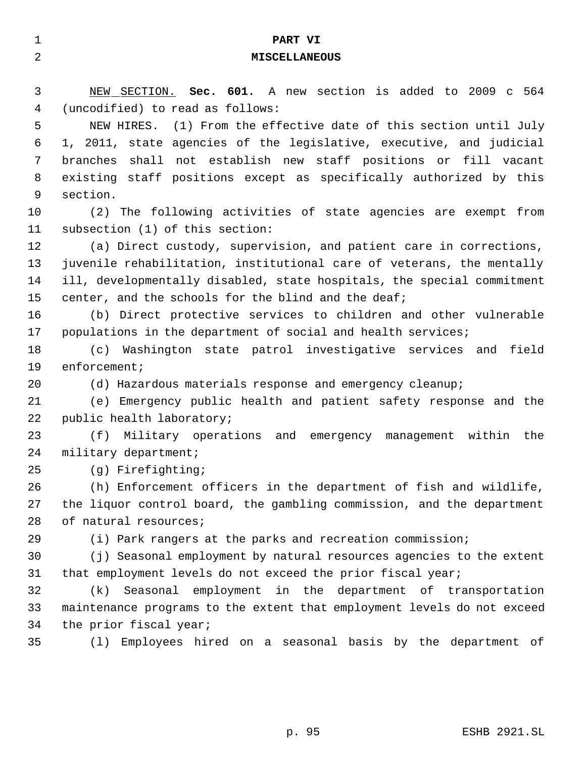| 1  | PART VI                                                                 |
|----|-------------------------------------------------------------------------|
| 2  | <b>MISCELLANEOUS</b>                                                    |
|    |                                                                         |
| 3  | NEW SECTION. Sec. 601. A new section is added to 2009 c 564             |
| 4  | (uncodified) to read as follows:                                        |
| 5  | NEW HIRES. (1) From the effective date of this section until July       |
| 6  | 1, 2011, state agencies of the legislative, executive, and judicial     |
| 7  | shall not establish new staff positions or fill vacant<br>branches      |
| 8  | existing staff positions except as specifically authorized by this      |
| 9  | section.                                                                |
| 10 | (2) The following activities of state agencies are exempt from          |
| 11 | subsection (1) of this section:                                         |
| 12 | (a) Direct custody, supervision, and patient care in corrections,       |
| 13 | juvenile rehabilitation, institutional care of veterans, the mentally   |
| 14 | ill, developmentally disabled, state hospitals, the special commitment  |
| 15 | center, and the schools for the blind and the deaf;                     |
| 16 | (b) Direct protective services to children and other vulnerable         |
| 17 | populations in the department of social and health services;            |
| 18 | Washington state patrol investigative services and field<br>(C)         |
| 19 | $enfore$ ment;                                                          |
| 20 | (d) Hazardous materials response and emergency cleanup;                 |
| 21 | (e) Emergency public health and patient safety response and the         |
| 22 | public health laboratory;                                               |
| 23 | (f)<br>Military operations and emergency<br>within the<br>management    |
| 24 | military department;                                                    |
| 25 | (g) Firefighting;                                                       |
| 26 | (h) Enforcement officers in the department of fish and wildlife,        |
| 27 | the liquor control board, the gambling commission, and the department   |
| 28 | of natural resources;                                                   |
| 29 | (i) Park rangers at the parks and recreation commission;                |
| 30 | (j) Seasonal employment by natural resources agencies to the extent     |
| 31 | that employment levels do not exceed the prior fiscal year;             |
| 32 | Seasonal employment in the department of transportation<br>(k)          |
| 33 | maintenance programs to the extent that employment levels do not exceed |
| 34 | the prior fiscal year;                                                  |
| 35 | (1) Employees hired on a seasonal basis by the department of            |
|    |                                                                         |
|    |                                                                         |
|    |                                                                         |
|    | p. 95<br>ESHB 2921.SL                                                   |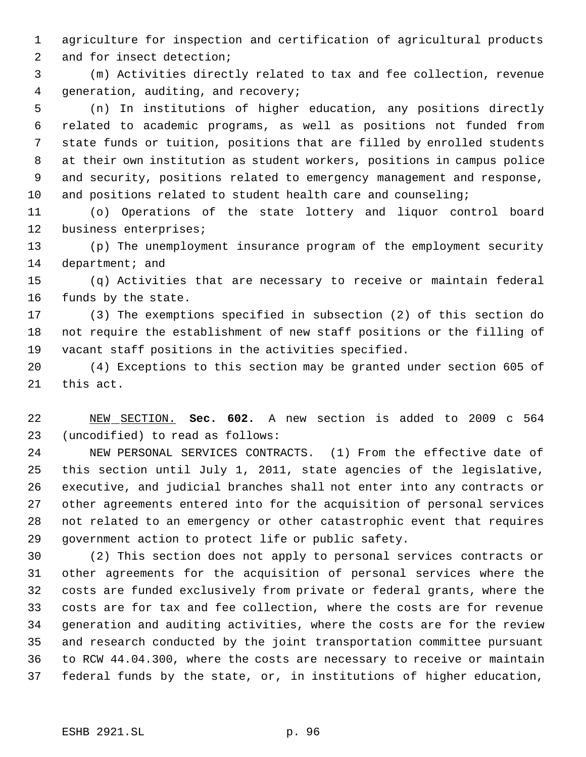agriculture for inspection and certification of agricultural products

and for insect detection;

 (m) Activities directly related to tax and fee collection, revenue generation, auditing, and recovery;

 (n) In institutions of higher education, any positions directly related to academic programs, as well as positions not funded from state funds or tuition, positions that are filled by enrolled students at their own institution as student workers, positions in campus police and security, positions related to emergency management and response, and positions related to student health care and counseling;

 (o) Operations of the state lottery and liquor control board business enterprises;

 (p) The unemployment insurance program of the employment security 14 department; and

 (q) Activities that are necessary to receive or maintain federal funds by the state.

 (3) The exemptions specified in subsection (2) of this section do not require the establishment of new staff positions or the filling of vacant staff positions in the activities specified.

 (4) Exceptions to this section may be granted under section 605 of this act.

 NEW SECTION. **Sec. 602.** A new section is added to 2009 c 564 (uncodified) to read as follows:

 NEW PERSONAL SERVICES CONTRACTS. (1) From the effective date of this section until July 1, 2011, state agencies of the legislative, executive, and judicial branches shall not enter into any contracts or other agreements entered into for the acquisition of personal services not related to an emergency or other catastrophic event that requires government action to protect life or public safety.

 (2) This section does not apply to personal services contracts or other agreements for the acquisition of personal services where the costs are funded exclusively from private or federal grants, where the costs are for tax and fee collection, where the costs are for revenue generation and auditing activities, where the costs are for the review and research conducted by the joint transportation committee pursuant to RCW 44.04.300, where the costs are necessary to receive or maintain federal funds by the state, or, in institutions of higher education,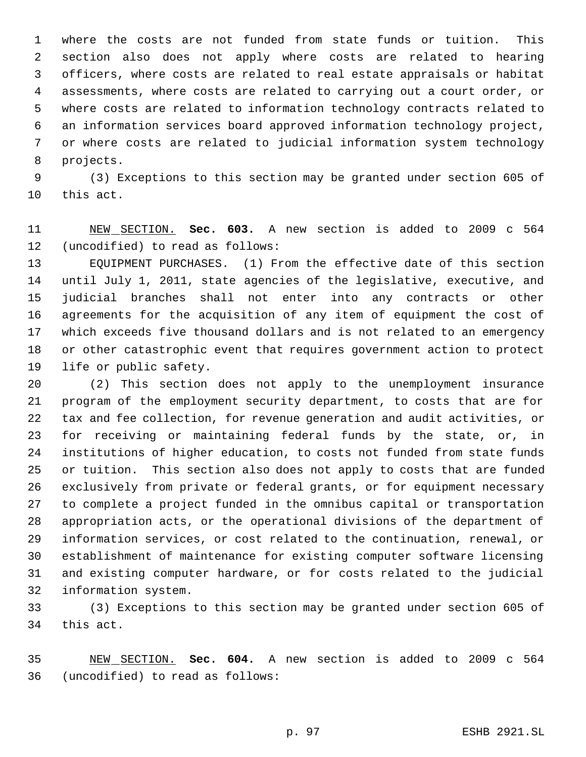where the costs are not funded from state funds or tuition. This section also does not apply where costs are related to hearing officers, where costs are related to real estate appraisals or habitat assessments, where costs are related to carrying out a court order, or where costs are related to information technology contracts related to an information services board approved information technology project, or where costs are related to judicial information system technology projects.

 (3) Exceptions to this section may be granted under section 605 of this act.

 NEW SECTION. **Sec. 603.** A new section is added to 2009 c 564 (uncodified) to read as follows:

 EQUIPMENT PURCHASES. (1) From the effective date of this section until July 1, 2011, state agencies of the legislative, executive, and judicial branches shall not enter into any contracts or other agreements for the acquisition of any item of equipment the cost of which exceeds five thousand dollars and is not related to an emergency or other catastrophic event that requires government action to protect life or public safety.

 (2) This section does not apply to the unemployment insurance program of the employment security department, to costs that are for tax and fee collection, for revenue generation and audit activities, or for receiving or maintaining federal funds by the state, or, in institutions of higher education, to costs not funded from state funds or tuition. This section also does not apply to costs that are funded exclusively from private or federal grants, or for equipment necessary to complete a project funded in the omnibus capital or transportation appropriation acts, or the operational divisions of the department of information services, or cost related to the continuation, renewal, or establishment of maintenance for existing computer software licensing and existing computer hardware, or for costs related to the judicial information system.

 (3) Exceptions to this section may be granted under section 605 of this act.

 NEW SECTION. **Sec. 604.** A new section is added to 2009 c 564 (uncodified) to read as follows: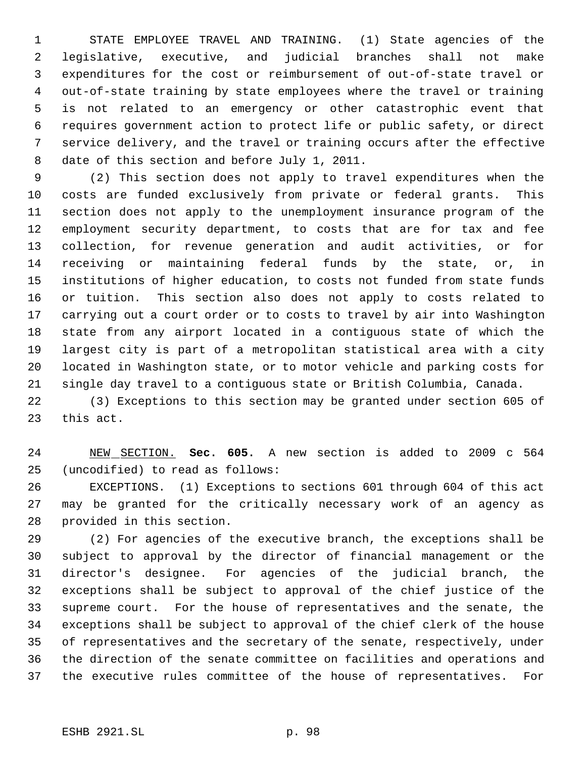STATE EMPLOYEE TRAVEL AND TRAINING. (1) State agencies of the legislative, executive, and judicial branches shall not make expenditures for the cost or reimbursement of out-of-state travel or out-of-state training by state employees where the travel or training is not related to an emergency or other catastrophic event that requires government action to protect life or public safety, or direct service delivery, and the travel or training occurs after the effective date of this section and before July 1, 2011.

 (2) This section does not apply to travel expenditures when the costs are funded exclusively from private or federal grants. This section does not apply to the unemployment insurance program of the employment security department, to costs that are for tax and fee collection, for revenue generation and audit activities, or for receiving or maintaining federal funds by the state, or, in institutions of higher education, to costs not funded from state funds or tuition. This section also does not apply to costs related to carrying out a court order or to costs to travel by air into Washington state from any airport located in a contiguous state of which the largest city is part of a metropolitan statistical area with a city located in Washington state, or to motor vehicle and parking costs for single day travel to a contiguous state or British Columbia, Canada.

 (3) Exceptions to this section may be granted under section 605 of this act.

 NEW SECTION. **Sec. 605.** A new section is added to 2009 c 564 (uncodified) to read as follows:

 EXCEPTIONS. (1) Exceptions to sections 601 through 604 of this act may be granted for the critically necessary work of an agency as provided in this section.

 (2) For agencies of the executive branch, the exceptions shall be subject to approval by the director of financial management or the director's designee. For agencies of the judicial branch, the exceptions shall be subject to approval of the chief justice of the supreme court. For the house of representatives and the senate, the exceptions shall be subject to approval of the chief clerk of the house of representatives and the secretary of the senate, respectively, under the direction of the senate committee on facilities and operations and the executive rules committee of the house of representatives. For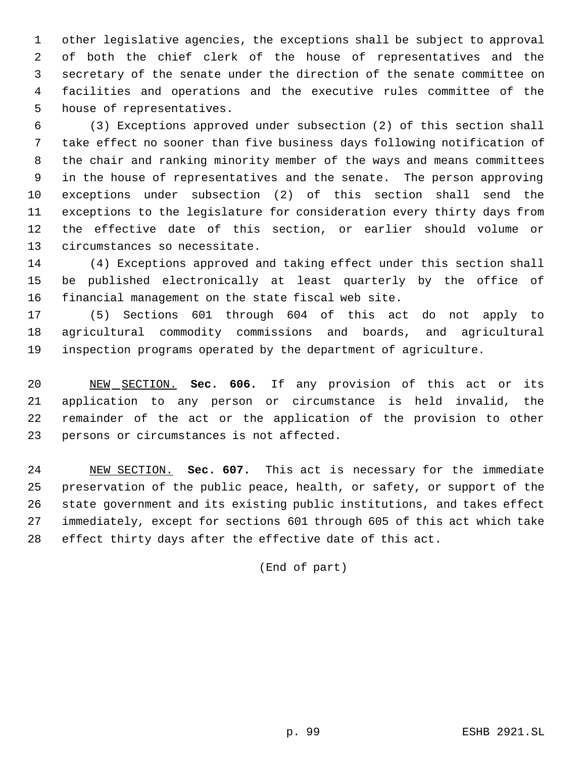other legislative agencies, the exceptions shall be subject to approval of both the chief clerk of the house of representatives and the secretary of the senate under the direction of the senate committee on facilities and operations and the executive rules committee of the house of representatives.

 (3) Exceptions approved under subsection (2) of this section shall take effect no sooner than five business days following notification of the chair and ranking minority member of the ways and means committees in the house of representatives and the senate. The person approving exceptions under subsection (2) of this section shall send the exceptions to the legislature for consideration every thirty days from the effective date of this section, or earlier should volume or circumstances so necessitate.

 (4) Exceptions approved and taking effect under this section shall be published electronically at least quarterly by the office of financial management on the state fiscal web site.

 (5) Sections 601 through 604 of this act do not apply to agricultural commodity commissions and boards, and agricultural inspection programs operated by the department of agriculture.

 NEW SECTION. **Sec. 606.** If any provision of this act or its application to any person or circumstance is held invalid, the remainder of the act or the application of the provision to other persons or circumstances is not affected.

 NEW SECTION. **Sec. 607.** This act is necessary for the immediate preservation of the public peace, health, or safety, or support of the state government and its existing public institutions, and takes effect immediately, except for sections 601 through 605 of this act which take effect thirty days after the effective date of this act.

(End of part)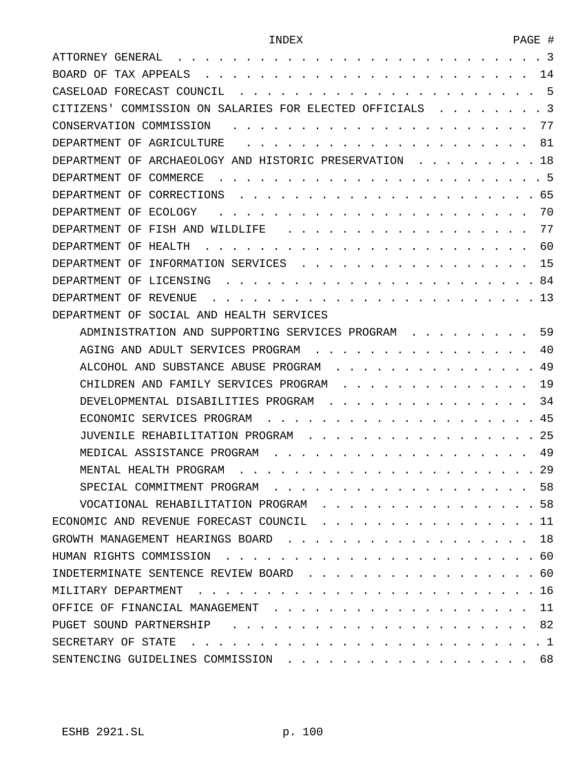| -3<br>ATTORNEY GENERAL                                          |
|-----------------------------------------------------------------|
| TAX APPEALS<br>14<br>BOARD OF                                   |
| -5<br>CASELOAD FORECAST COUNCIL                                 |
| -3<br>CITIZENS'<br>COMMISSION ON SALARIES FOR ELECTED OFFICIALS |
| 77<br>CONSERVATION COMMISSION                                   |
| AGRICULTURE<br>81<br>DEPARTMENT OF                              |
| OF<br>ARCHAEOLOGY AND HISTORIC PRESERVATION<br>18<br>DEPARTMENT |
| - 5<br>OF<br>COMMERCE<br>DEPARTMENT                             |
| 65<br>OF<br>CORRECTIONS<br>DEPARTMENT                           |
| 70<br>ECOLOGY<br>DEPARTMENT<br>OF                               |
| 77<br>FISH AND WILDLIFE<br>DEPARTMENT<br>OF                     |
| 60<br>HEALTH<br>DEPARTMENT<br>OF                                |
| 15<br>OF<br>INFORMATION SERVICES<br>DEPARTMENT                  |
| 84<br>OF<br>LICENSING<br>DEPARTMENT                             |
| 13<br>DEPARTMENT<br>OF<br>REVENUE                               |
| SOCIAL AND HEALTH SERVICES<br>OF<br>DEPARTMENT                  |
| 59<br>ADMINISTRATION AND SUPPORTING SERVICES PROGRAM            |
| AGING AND ADULT SERVICES PROGRAM<br>40                          |
| 49<br>ALCOHOL AND SUBSTANCE ABUSE PROGRAM                       |
| 19<br>CHILDREN AND FAMILY SERVICES PROGRAM                      |
| 34<br>DEVELOPMENTAL DISABILITIES PROGRAM                        |
| 45<br>ECONOMIC SERVICES PROGRAM                                 |
| 25<br>JUVENILE REHABILITATION PROGRAM                           |
| 49<br>MEDICAL ASSISTANCE PROGRAM                                |
| 29<br>MENTAL HEALTH PROGRAM                                     |
| 58                                                              |
| VOCATIONAL REHABILITATION PROGRAM 58                            |
| ECONOMIC AND REVENUE FORECAST COUNCIL 11                        |
| GROWTH MANAGEMENT HEARINGS BOARD<br>. 18                        |
|                                                                 |
| INDETERMINATE SENTENCE REVIEW BOARD 60                          |
| MILITARY DEPARTMENT                                             |
| OFFICE OF FINANCIAL MANAGEMENT<br>. 11                          |
|                                                                 |
| SECRETARY OF STATE                                              |
| SENTENCING GUIDELINES COMMISSION 68                             |